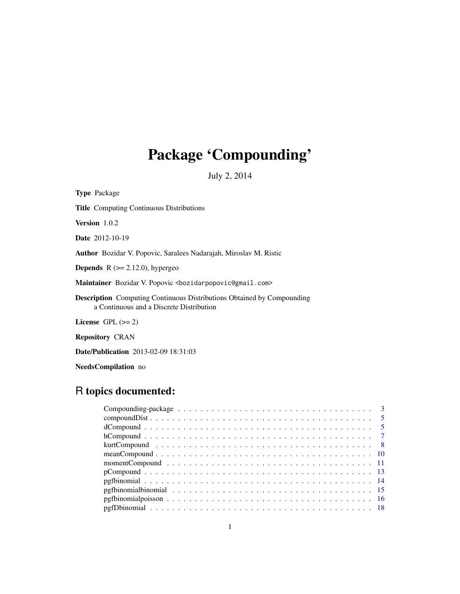# Package 'Compounding'

July 2, 2014

| <b>Type Package</b>                                                                                                       |
|---------------------------------------------------------------------------------------------------------------------------|
| <b>Title</b> Computing Continuous Distributions                                                                           |
| Version 1.0.2                                                                                                             |
| <b>Date</b> 2012-10-19                                                                                                    |
| <b>Author</b> Bozidar V. Popovic, Saralees Nadarajah, Miroslav M. Ristic                                                  |
| <b>Depends</b> $R (= 2.12.0)$ , hypergeo                                                                                  |
| Maintainer Bozidar V. Popovic <bozidarpopovic@gmail.com></bozidarpopovic@gmail.com>                                       |
| <b>Description</b> Computing Continuous Distributions Obtained by Compounding<br>a Continuous and a Discrete Distribution |
| License $GPL (= 2)$                                                                                                       |
| <b>Repository CRAN</b>                                                                                                    |
|                                                                                                                           |

Date/Publication 2013-02-09 18:31:03

NeedsCompilation no

# R topics documented: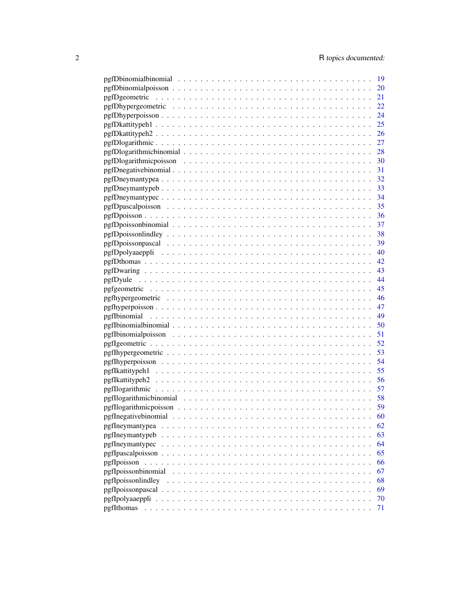|                     | -19 |
|---------------------|-----|
|                     | 20  |
|                     |     |
|                     |     |
|                     | 24  |
|                     | 25  |
|                     |     |
|                     |     |
|                     |     |
|                     |     |
|                     |     |
|                     |     |
|                     |     |
|                     |     |
|                     |     |
|                     |     |
|                     |     |
|                     |     |
|                     |     |
|                     |     |
|                     |     |
|                     |     |
|                     |     |
|                     |     |
|                     |     |
|                     |     |
|                     |     |
|                     | 50  |
|                     | 51  |
|                     | 52  |
|                     |     |
|                     | 54  |
|                     |     |
|                     |     |
|                     |     |
|                     |     |
|                     | 59  |
|                     | 60  |
| pgfIneymantypea     | 62  |
| pgfIneymantypeb     | 63  |
| pgfIneymantypec     | 64  |
|                     | 65  |
| pgfIpoisson         | 66  |
| pgfIpoissonbinomial | 67  |
| pgfIpoissonlindley  | 68  |
|                     | 69  |
|                     | 70  |
|                     | 71  |
|                     |     |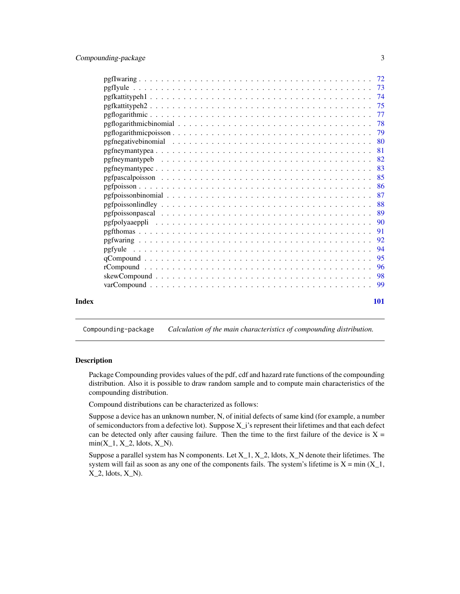<span id="page-2-0"></span>

|       | -81 |
|-------|-----|
|       |     |
|       |     |
|       |     |
|       |     |
|       |     |
|       | -88 |
|       |     |
|       |     |
|       | 91  |
|       |     |
|       |     |
|       |     |
|       |     |
|       |     |
|       |     |
| Index | 101 |
|       |     |

Compounding-package *Calculation of the main characteristics of compounding distribution.*

#### Description

Package Compounding provides values of the pdf, cdf and hazard rate functions of the compounding distribution. Also it is possible to draw random sample and to compute main characteristics of the compounding distribution.

Compound distributions can be characterized as follows:

Suppose a device has an unknown number, N, of initial defects of same kind (for example, a number of semiconductors from a defective lot). Suppose X\_i's represent their lifetimes and that each defect can be detected only after causing failure. Then the time to the first failure of the device is  $X =$  $min(X_1, X_2,$  ldots,  $X_N$ ).

Suppose a parallel system has N components. Let  $X_1$ ,  $X_2$ , ldots,  $X_N$  denote their lifetimes. The system will fail as soon as any one of the components fails. The system's lifetime is  $X = min(X_1, ...)$  $X_2$ , ldots,  $X_N$ .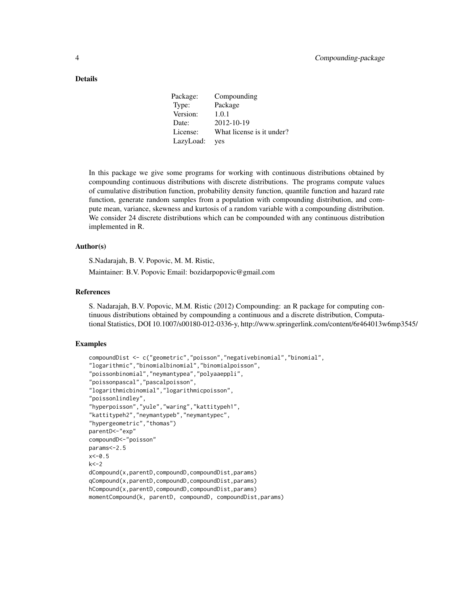#### Details

| Package:  | Compounding               |
|-----------|---------------------------|
| Type:     | Package                   |
| Version:  | 1.0.1                     |
| Date:     | 2012-10-19                |
| License:  | What license is it under? |
| LazyLoad: | yes                       |

In this package we give some programs for working with continuous distributions obtained by compounding continuous distributions with discrete distributions. The programs compute values of cumulative distribution function, probability density function, quantile function and hazard rate function, generate random samples from a population with compounding distribution, and compute mean, variance, skewness and kurtosis of a random variable with a compounding distribution. We consider 24 discrete distributions which can be compounded with any continuous distribution implemented in R.

# Author(s)

S.Nadarajah, B. V. Popovic, M. M. Ristic,

Maintainer: B.V. Popovic Email: bozidarpopovic@gmail.com

# References

S. Nadarajah, B.V. Popovic, M.M. Ristic (2012) Compounding: an R package for computing continuous distributions obtained by compounding a continuous and a discrete distribution, Computational Statistics, DOI 10.1007/s00180-012-0336-y, http://www.springerlink.com/content/6r464013w6mp3545/

```
compoundDist <- c("geometric","poisson","negativebinomial","binomial",
"logarithmic","binomialbinomial","binomialpoisson",
"poissonbinomial","neymantypea","polyaaeppli",
"poissonpascal","pascalpoisson",
"logarithmicbinomial","logarithmicpoisson",
"poissonlindley",
"hyperpoisson","yule","waring","kattitypeh1",
"kattitypeh2","neymantypeb","neymantypec",
"hypergeometric","thomas")
parentD<-"exp"
compoundD<-"poisson"
params<-2.5
x < -0.5k < -2dCompound(x,parentD,compoundD,compoundDist,params)
qCompound(x,parentD,compoundD,compoundDist,params)
hCompound(x,parentD,compoundD,compoundDist,params)
momentCompound(k, parentD, compoundD, compoundDist,params)
```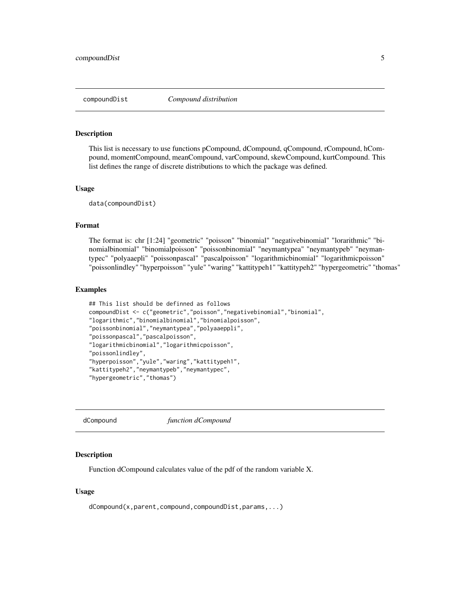<span id="page-4-0"></span>

#### **Description**

This list is necessary to use functions pCompound, dCompound, qCompound, rCompound, hCompound, momentCompound, meanCompound, varCompound, skewCompound, kurtCompound. This list defines the range of discrete distributions to which the package was defined.

#### Usage

data(compoundDist)

#### Format

The format is: chr [1:24] "geometric" "poisson" "binomial" "negativebinomial" "lorarithmic" "binomialbinomial" "binomialpoisson" "poissonbinomial" "neymantypea" "neymantypeb" "neymantypec" "polyaaepli" "poissonpascal" "pascalpoisson" "logarithmicbinomial" "logarithmicpoisson" "poissonlindley" "hyperpoisson" "yule" "waring" "kattitypeh1" "kattitypeh2" "hypergeometric" "thomas"

#### Examples

```
## This list should be definned as follows
compoundDist <- c("geometric","poisson","negativebinomial","binomial",
"logarithmic","binomialbinomial","binomialpoisson",
"poissonbinomial","neymantypea","polyaaeppli",
"poissonpascal","pascalpoisson",
"logarithmicbinomial","logarithmicpoisson",
"poissonlindley",
"hyperpoisson","yule","waring","kattitypeh1",
"kattitypeh2","neymantypeb","neymantypec",
"hypergeometric","thomas")
```
dCompound *function dCompound*

#### Description

Function dCompound calculates value of the pdf of the random variable X.

# Usage

dCompound(x,parent,compound,compoundDist,params,...)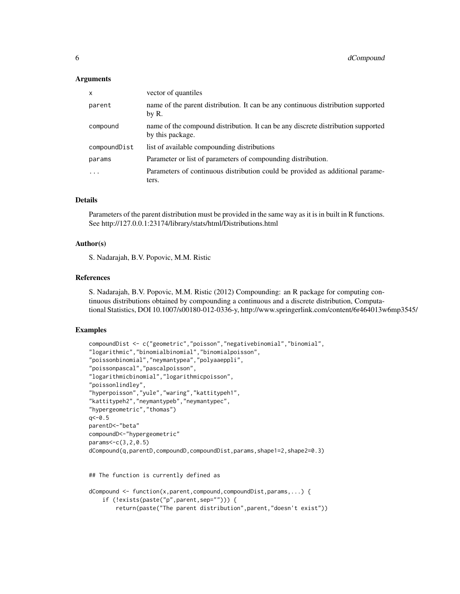#### Arguments

| $\mathsf{x}$ | vector of quantiles                                                                                  |
|--------------|------------------------------------------------------------------------------------------------------|
| parent       | name of the parent distribution. It can be any continuous distribution supported<br>by R.            |
| compound     | name of the compound distribution. It can be any discrete distribution supported<br>by this package. |
| compoundDist | list of available compounding distributions                                                          |
| params       | Parameter or list of parameters of compounding distribution.                                         |
| $\cdot$      | Parameters of continuous distribution could be provided as additional parame-<br>ters.               |

#### Details

Parameters of the parent distribution must be provided in the same way as it is in built in R functions. See http://127.0.0.1:23174/library/stats/html/Distributions.html

#### Author(s)

S. Nadarajah, B.V. Popovic, M.M. Ristic

# References

S. Nadarajah, B.V. Popovic, M.M. Ristic (2012) Compounding: an R package for computing continuous distributions obtained by compounding a continuous and a discrete distribution, Computational Statistics, DOI 10.1007/s00180-012-0336-y, http://www.springerlink.com/content/6r464013w6mp3545/

#### Examples

```
compoundDist <- c("geometric","poisson","negativebinomial","binomial",
"logarithmic","binomialbinomial","binomialpoisson",
"poissonbinomial","neymantypea","polyaaeppli",
"poissonpascal","pascalpoisson",
"logarithmicbinomial","logarithmicpoisson",
"poissonlindley",
"hyperpoisson","yule","waring","kattitypeh1",
"kattitypeh2","neymantypeb","neymantypec",
"hypergeometric","thomas")
q< -0.5parentD<-"beta"
compoundD<-"hypergeometric"
params<-c(3,2,0.5)
dCompound(q,parentD,compoundD,compoundDist,params,shape1=2,shape2=0.3)
```
## The function is currently defined as

```
dCompound <- function(x,parent,compound,compoundDist,params,...) {
    if (!exists(paste("p",parent,sep=""))) {
       return(paste("The parent distribution",parent,"doesn't exist"))
```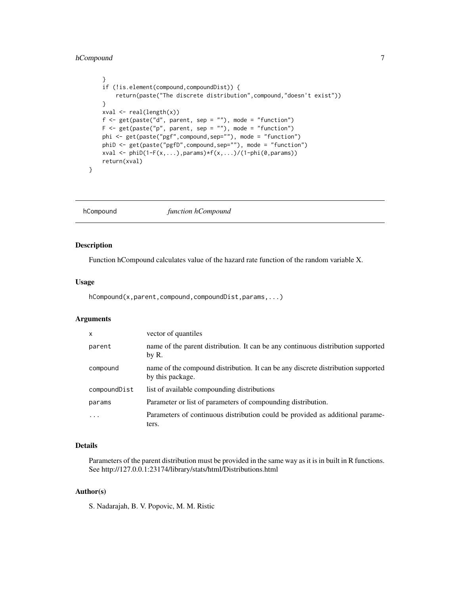# <span id="page-6-0"></span>hCompound 7

```
}
if (!is.element(compound,compoundDist)) {
    return(paste("The discrete distribution",compound,"doesn't exist"))
}
xval <- real(length(x))
f <- get(paste("d", parent, sep = ""), mode = "function")
F \leq - get(paste("p", parent, sep = ""), mode = "function")phi <- get(paste("pgf",compound,sep=""), mode = "function")
phiD <- get(paste("pgfD",compound,sep=""), mode = "function")
xval \le phiD(1-F(x,...), params)*f(x,...)/(1-phi(0, params))
return(xval)
```
hCompound *function hCompound*

#### Description

}

Function hCompound calculates value of the hazard rate function of the random variable X.

#### Usage

hCompound(x,parent,compound,compoundDist,params,...)

#### Arguments

| X            | vector of quantiles                                                                                  |
|--------------|------------------------------------------------------------------------------------------------------|
| parent       | name of the parent distribution. It can be any continuous distribution supported<br>by R.            |
| compound     | name of the compound distribution. It can be any discrete distribution supported<br>by this package. |
| compoundDist | list of available compounding distributions                                                          |
| params       | Parameter or list of parameters of compounding distribution.                                         |
|              | Parameters of continuous distribution could be provided as additional parame-<br>ters.               |

# Details

Parameters of the parent distribution must be provided in the same way as it is in built in R functions. See http://127.0.0.1:23174/library/stats/html/Distributions.html

# Author(s)

S. Nadarajah, B. V. Popovic, M. M. Ristic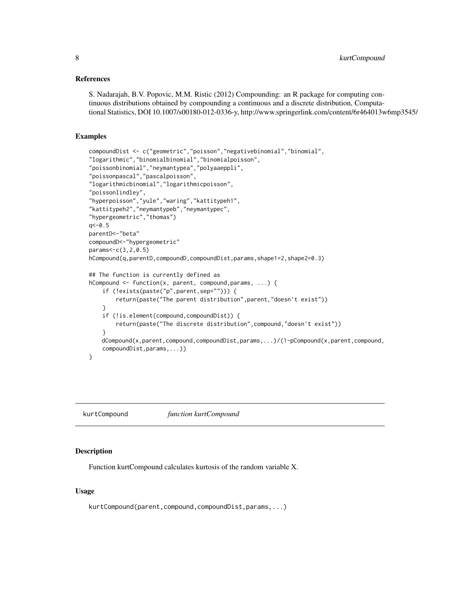#### <span id="page-7-0"></span>References

S. Nadarajah, B.V. Popovic, M.M. Ristic (2012) Compounding: an R package for computing continuous distributions obtained by compounding a continuous and a discrete distribution, Computational Statistics, DOI 10.1007/s00180-012-0336-y, http://www.springerlink.com/content/6r464013w6mp3545/

#### Examples

```
compoundDist <- c("geometric","poisson","negativebinomial","binomial",
"logarithmic","binomialbinomial","binomialpoisson",
"poissonbinomial","neymantypea","polyaaeppli",
"poissonpascal","pascalpoisson",
"logarithmicbinomial","logarithmicpoisson",
"poissonlindley",
"hyperpoisson","yule","waring","kattitypeh1",
"kattitypeh2","neymantypeb","neymantypec",
"hypergeometric","thomas")
q < -0.5parentD<-"beta"
compoundD<-"hypergeometric"
params<-c(3,2,0.5)
hCompound(q,parentD,compoundD,compoundDist,params,shape1=2,shape2=0.3)
## The function is currently defined as
hCompound <- function(x, parent, compound,params, ...) {
    if (!exists(paste("p",parent,sep=""))) {
        return(paste("The parent distribution",parent,"doesn't exist"))
    }
    if (!is.element(compound,compoundDist)) {
        return(paste("The discrete distribution",compound,"doesn't exist"))
    }
   dCompound(x,parent,compound,compoundDist,params,...)/(1-pCompound(x,parent,compound,
    compoundDist,params,...))
}
```
kurtCompound *function kurtCompound*

#### Description

Function kurtCompound calculates kurtosis of the random variable X.

#### Usage

kurtCompound(parent,compound,compoundDist,params,...)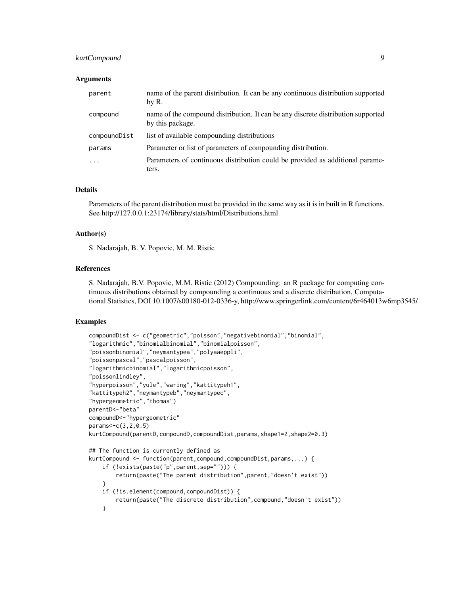# kurtCompound 9

#### **Arguments**

| parent       | name of the parent distribution. It can be any continuous distribution supported<br>by R.            |
|--------------|------------------------------------------------------------------------------------------------------|
| compound     | name of the compound distribution. It can be any discrete distribution supported<br>by this package. |
| compoundDist | list of available compounding distributions                                                          |
| params       | Parameter or list of parameters of compounding distribution.                                         |
| $\cdots$     | Parameters of continuous distribution could be provided as additional parame-<br>ters.               |

#### Details

Parameters of the parent distribution must be provided in the same way as it is in built in R functions. See http://127.0.0.1:23174/library/stats/html/Distributions.html

#### Author(s)

S. Nadarajah, B. V. Popovic, M. M. Ristic

#### References

S. Nadarajah, B.V. Popovic, M.M. Ristic (2012) Compounding: an R package for computing continuous distributions obtained by compounding a continuous and a discrete distribution, Computational Statistics, DOI 10.1007/s00180-012-0336-y, http://www.springerlink.com/content/6r464013w6mp3545/

```
compoundDist <- c("geometric","poisson","negativebinomial","binomial",
"logarithmic","binomialbinomial","binomialpoisson",
"poissonbinomial","neymantypea","polyaaeppli",
"poissonpascal","pascalpoisson",
"logarithmicbinomial","logarithmicpoisson",
"poissonlindley",
"hyperpoisson","yule","waring","kattitypeh1",
"kattitypeh2","neymantypeb","neymantypec",
"hypergeometric","thomas")
parentD<-"beta"
compoundD<-"hypergeometric"
params<-c(3,2,0.5)
kurtCompound(parentD,compoundD,compoundDist,params,shape1=2,shape2=0.3)
## The function is currently defined as
kurtCompound <- function(parent,compound,compoundDist,params,...) {
   if (!exists(paste("p",parent,sep=""))) {
       return(paste("The parent distribution",parent,"doesn't exist"))
    }
    if (!is.element(compound,compoundDist)) {
       return(paste("The discrete distribution",compound,"doesn't exist"))
    }
```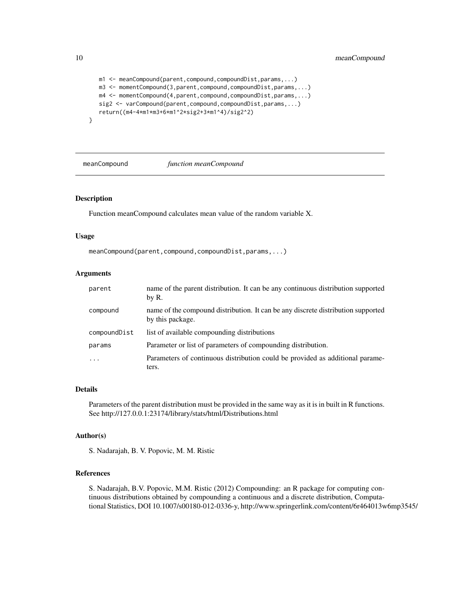```
m1 <- meanCompound(parent,compound,compoundDist,params,...)
m3 <- momentCompound(3,parent,compound,compoundDist,params,...)
m4 <- momentCompound(4,parent,compound,compoundDist,params,...)
sig2 <- varCompound(parent,compound,compoundDist,params,...)
return((m4-4*m1*m3+6*m1^2*sig2+3*m1^4)/sig2^2)
```
meanCompound *function meanCompound*

#### Description

}

Function meanCompound calculates mean value of the random variable X.

#### Usage

```
meanCompound(parent,compound,compoundDist,params,...)
```
#### Arguments

| parent       | name of the parent distribution. It can be any continuous distribution supported<br>by R.            |
|--------------|------------------------------------------------------------------------------------------------------|
| compound     | name of the compound distribution. It can be any discrete distribution supported<br>by this package. |
| compoundDist | list of available compounding distributions                                                          |
| params       | Parameter or list of parameters of compounding distribution.                                         |
| $\ddots$ .   | Parameters of continuous distribution could be provided as additional parame-<br>ters.               |

#### Details

Parameters of the parent distribution must be provided in the same way as it is in built in R functions. See http://127.0.0.1:23174/library/stats/html/Distributions.html

#### Author(s)

S. Nadarajah, B. V. Popovic, M. M. Ristic

#### References

S. Nadarajah, B.V. Popovic, M.M. Ristic (2012) Compounding: an R package for computing continuous distributions obtained by compounding a continuous and a discrete distribution, Computational Statistics, DOI 10.1007/s00180-012-0336-y, http://www.springerlink.com/content/6r464013w6mp3545/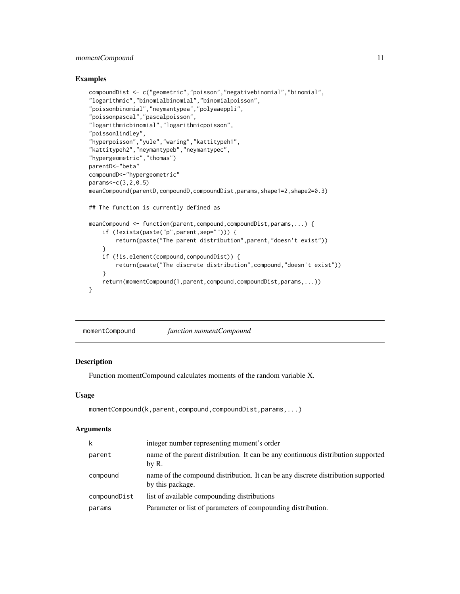# <span id="page-10-0"></span>momentCompound 11

#### Examples

```
compoundDist <- c("geometric","poisson","negativebinomial","binomial",
"logarithmic","binomialbinomial","binomialpoisson",
"poissonbinomial","neymantypea","polyaaeppli",
"poissonpascal","pascalpoisson",
"logarithmicbinomial","logarithmicpoisson",
"poissonlindley",
"hyperpoisson","yule","waring","kattitypeh1",
"kattitypeh2","neymantypeb","neymantypec",
"hypergeometric","thomas")
parentD<-"beta"
compoundD<-"hypergeometric"
params<-c(3,2,0.5)
meanCompound(parentD,compoundD,compoundDist,params,shape1=2,shape2=0.3)
## The function is currently defined as
meanCompound <- function(parent,compound,compoundDist,params,...) {
    if (!exists(paste("p",parent,sep=""))) {
        return(paste("The parent distribution",parent,"doesn't exist"))
    }
    if (!is.element(compound,compoundDist)) {
        return(paste("The discrete distribution",compound,"doesn't exist"))
    }
    return(momentCompound(1,parent,compound,compoundDist,params,...))
}
```
momentCompound *function momentCompound*

#### Description

Function momentCompound calculates moments of the random variable X.

#### Usage

```
momentCompound(k,parent,compound,compoundDist,params,...)
```
#### **Arguments**

| integer number representing moment's order                                                           |
|------------------------------------------------------------------------------------------------------|
| name of the parent distribution. It can be any continuous distribution supported<br>by R.            |
| name of the compound distribution. It can be any discrete distribution supported<br>by this package. |
| list of available compounding distributions                                                          |
| Parameter or list of parameters of compounding distribution.                                         |
|                                                                                                      |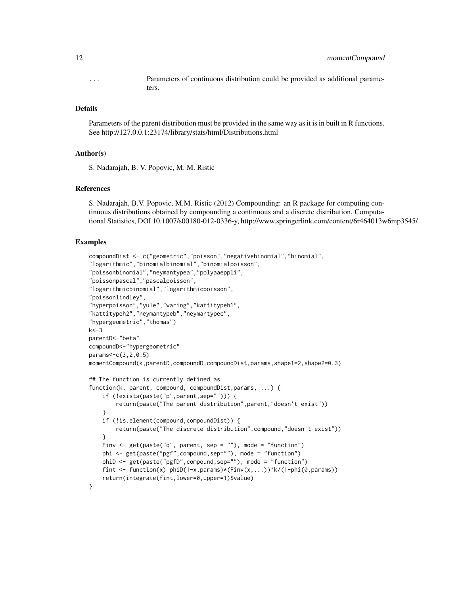... Parameters of continuous distribution could be provided as additional parameters.

#### Details

Parameters of the parent distribution must be provided in the same way as it is in built in R functions. See http://127.0.0.1:23174/library/stats/html/Distributions.html

#### Author(s)

S. Nadarajah, B. V. Popovic, M. M. Ristic

#### References

S. Nadarajah, B.V. Popovic, M.M. Ristic (2012) Compounding: an R package for computing continuous distributions obtained by compounding a continuous and a discrete distribution, Computational Statistics, DOI 10.1007/s00180-012-0336-y, http://www.springerlink.com/content/6r464013w6mp3545/

```
compoundDist <- c("geometric","poisson","negativebinomial","binomial",
"logarithmic","binomialbinomial","binomialpoisson",
"poissonbinomial","neymantypea","polyaaeppli",
"poissonpascal","pascalpoisson",
"logarithmicbinomial","logarithmicpoisson",
"poissonlindley",
"hyperpoisson","yule","waring","kattitypeh1",
"kattitypeh2","neymantypeb","neymantypec",
"hypergeometric","thomas")
k < -3parentD<-"beta"
compoundD<-"hypergeometric"
params<-c(3,2,0.5)
momentCompound(k,parentD,compoundD,compoundDist,params,shape1=2,shape2=0.3)
## The function is currently defined as
function(k, parent, compound, compoundDist,params, ...) {
    if (!exists(paste("p",parent,sep=""))) {
        return(paste("The parent distribution",parent,"doesn't exist"))
    }
    if (!is.element(compound,compoundDist)) {
        return(paste("The discrete distribution",compound,"doesn't exist"))
    }
   Finv \leq get(paste("q", parent, sep = ""), mode = "function")
   phi <- get(paste("pgf",compound,sep=""), mode = "function")
   phiD <- get(paste("pgfD",compound,sep=""), mode = "function")
    fint \leq function(x) phiD(1-x,params)*(Finv(x,...))^k/(1-phi(0,params))
    return(integrate(fint,lower=0,upper=1)$value)
}
```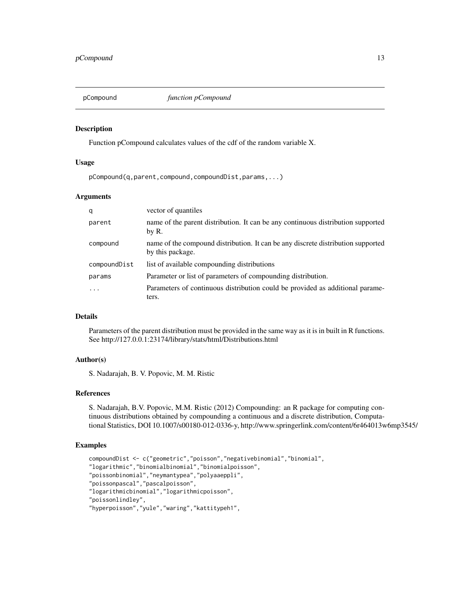<span id="page-12-0"></span>

#### Description

Function pCompound calculates values of the cdf of the random variable X.

#### Usage

pCompound(q,parent,compound,compoundDist,params,...)

#### Arguments

| q            | vector of quantiles                                                                                  |
|--------------|------------------------------------------------------------------------------------------------------|
| parent       | name of the parent distribution. It can be any continuous distribution supported<br>by R.            |
| compound     | name of the compound distribution. It can be any discrete distribution supported<br>by this package. |
| compoundDist | list of available compounding distributions                                                          |
| params       | Parameter or list of parameters of compounding distribution.                                         |
| $\ddotsc$    | Parameters of continuous distribution could be provided as additional parame-<br>ters.               |

### Details

Parameters of the parent distribution must be provided in the same way as it is in built in R functions. See http://127.0.0.1:23174/library/stats/html/Distributions.html

#### Author(s)

S. Nadarajah, B. V. Popovic, M. M. Ristic

#### References

S. Nadarajah, B.V. Popovic, M.M. Ristic (2012) Compounding: an R package for computing continuous distributions obtained by compounding a continuous and a discrete distribution, Computational Statistics, DOI 10.1007/s00180-012-0336-y, http://www.springerlink.com/content/6r464013w6mp3545/

```
compoundDist <- c("geometric","poisson","negativebinomial","binomial",
"logarithmic","binomialbinomial","binomialpoisson",
"poissonbinomial","neymantypea","polyaaeppli",
"poissonpascal","pascalpoisson",
"logarithmicbinomial","logarithmicpoisson",
"poissonlindley",
"hyperpoisson","yule","waring","kattitypeh1",
```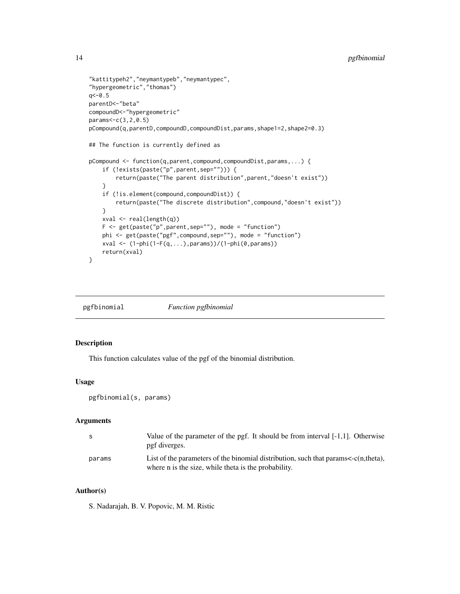# <span id="page-13-0"></span>14 pgfbinomial

```
"kattitypeh2","neymantypeb","neymantypec",
"hypergeometric","thomas")
q<-0.5
parentD<-"beta"
compoundD<-"hypergeometric"
params<-c(3,2,0.5)
pCompound(q,parentD,compoundD,compoundDist,params,shape1=2,shape2=0.3)
## The function is currently defined as
pCompound <- function(q,parent,compound,compoundDist,params,...) {
    if (!exists(paste("p",parent,sep=""))) {
        return(paste("The parent distribution",parent,"doesn't exist"))
    }
    if (!is.element(compound,compoundDist)) {
        return(paste("The discrete distribution",compound,"doesn't exist"))
    }
   xval <- real(length(q))
   F \leftarrow get(paste("p", parent, sep="), mode = "function")phi <- get(paste("pgf",compound,sep=""), mode = "function")
   xval <- (1-phi(1-F(q,...),params))/(1-phi(0,params))
   return(xval)
}
```
pgfbinomial *Function pgfbinomial*

# Description

This function calculates value of the pgf of the binomial distribution.

#### Usage

pgfbinomial(s, params)

#### Arguments

| -S     | Value of the parameter of the pgf. It should be from interval $[-1,1]$ . Otherwise<br>pgf diverges.                                              |
|--------|--------------------------------------------------------------------------------------------------------------------------------------------------|
| params | List of the parameters of the binomial distribution, such that params $\lt$ -c(n,theta),<br>where n is the size, while theta is the probability. |

# Author(s)

S. Nadarajah, B. V. Popovic, M. M. Ristic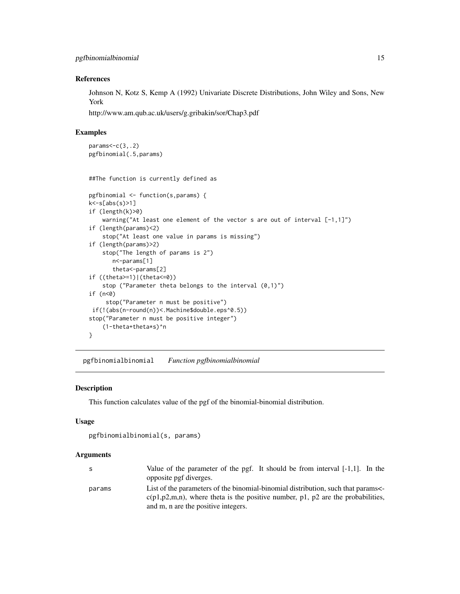#### <span id="page-14-0"></span>References

Johnson N, Kotz S, Kemp A (1992) Univariate Discrete Distributions, John Wiley and Sons, New York

http://www.am.qub.ac.uk/users/g.gribakin/sor/Chap3.pdf

#### Examples

```
params < -c(3, .2)pgfbinomial(.5,params)
```
##The function is currently defined as

```
pgfbinomial <- function(s,params) {
k<-s[abs(s)>1]
if (length(k)>0)
    warning("At least one element of the vector s are out of interval [-1,1]")
if (length(params)<2)
    stop("At least one value in params is missing")
if (length(params)>2)
    stop("The length of params is 2")
       n<-params[1]
       theta<-params[2]
if ((theta>=1)|(theta<=0))
    stop ("Parameter theta belongs to the interval (0,1)")
if (n<0)
     stop("Parameter n must be positive")
 if(!(abs(n-round(n))<.Machine$double.eps^0.5))
stop("Parameter n must be positive integer")
    (1-theta+theta*s)^n
}
```
pgfbinomialbinomial *Function pgfbinomialbinomial*

#### Description

This function calculates value of the pgf of the binomial-binomial distribution.

#### Usage

```
pgfbinomialbinomial(s, params)
```
#### Arguments

| S      | Value of the parameter of the pgf. It should be from interval $[-1,1]$ . In the         |
|--------|-----------------------------------------------------------------------------------------|
|        | opposite pgf diverges.                                                                  |
| params | List of the parameters of the binomial-binomial distribution, such that params          |
|        | $c(p_1, p_2, m, n)$ , where theta is the positive number, p1, p2 are the probabilities, |
|        | and m, n are the positive integers.                                                     |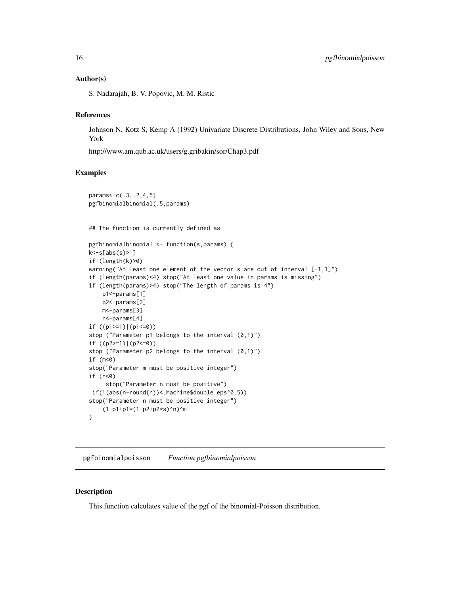#### <span id="page-15-0"></span>Author(s)

S. Nadarajah, B. V. Popovic, M. M. Ristic

# References

Johnson N, Kotz S, Kemp A (1992) Univariate Discrete Distributions, John Wiley and Sons, New York

http://www.am.qub.ac.uk/users/g.gribakin/sor/Chap3.pdf

# Examples

```
params<-c(.3,.2,4,5)
pgfbinomialbinomial(.5,params)
## The function is currently defined as
pgfbinomialbinomial <- function(s,params) {
k<-s[abs(s)>1]
if (length(k)>0)
warning("At least one element of the vector s are out of interval [-1,1]")
if (length(params)<4) stop("At least one value in params is missing")
if (length(params)>4) stop("The length of params is 4")
   p1<-params[1]
   p2<-params[2]
   m<-params[3]
   n<-params[4]
if ((p1>=1)|(p1<=0))stop ("Parameter p1 belongs to the interval (0,1)")
if ((p2>=1)|(p2<=0))
stop ("Parameter p2 belongs to the interval (0,1)")
if (m<0)
stop("Parameter m must be positive integer")
if (n<0)
     stop("Parameter n must be positive")
if(!(abs(n-round(n))<.Machine$double.eps^0.5))
stop("Parameter n must be positive integer")
    (1-p1+p1*(1-p2+p2*s)^n)^m
}
```
pgfbinomialpoisson *Function pgfbinomialpoisson*

# Description

This function calculates value of the pgf of the binomial-Poisson distribution.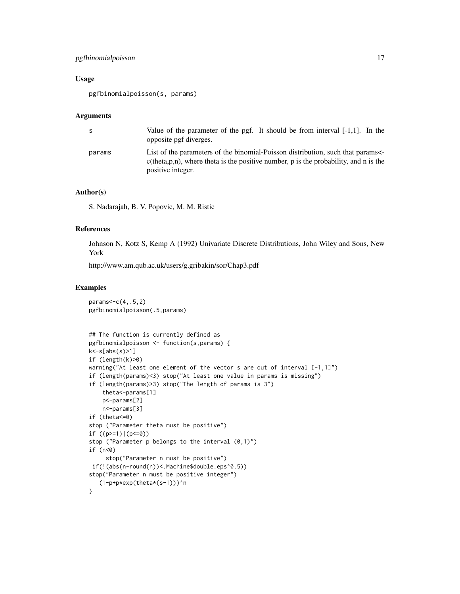# pgfbinomialpoisson 17

# Usage

pgfbinomialpoisson(s, params)

#### Arguments

| S.     | Value of the parameter of the pgf. It should be from interval $[-1,1]$ . In the<br>opposite pgf diverges.                                                                                       |
|--------|-------------------------------------------------------------------------------------------------------------------------------------------------------------------------------------------------|
| params | List of the parameters of the binomial-Poisson distribution, such that params<br>$c$ (theta, p, n), where theta is the positive number, p is the probability, and n is the<br>positive integer. |

#### Author(s)

S. Nadarajah, B. V. Popovic, M. M. Ristic

#### References

Johnson N, Kotz S, Kemp A (1992) Univariate Discrete Distributions, John Wiley and Sons, New York

http://www.am.qub.ac.uk/users/g.gribakin/sor/Chap3.pdf

```
params<-c(4,.5,2)
pgfbinomialpoisson(.5,params)
## The function is currently defined as
pgfbinomialpoisson <- function(s,params) {
k<-s[abs(s)>1]
if (length(k)>0)
warning("At least one element of the vector s are out of interval [-1,1]")
if (length(params)<3) stop("At least one value in params is missing")
if (length(params)>3) stop("The length of params is 3")
    theta<-params[1]
   p<-params[2]
   n<-params[3]
if (theta<=0)
stop ("Parameter theta must be positive")
if ((p>=1)|(p<=0))stop ("Parameter p belongs to the interval (0,1)")
if (n<0)
     stop("Parameter n must be positive")
if(!(abs(n-round(n))<.Machine$double.eps^0.5))
stop("Parameter n must be positive integer")
   (1-p+p*exp(theta*(s-1)))^n
}
```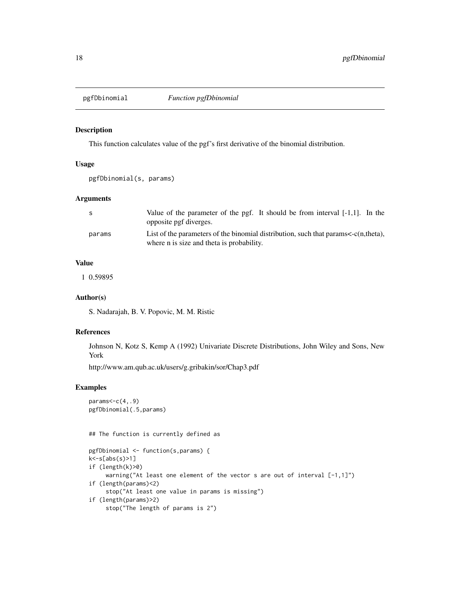<span id="page-17-0"></span>

#### Description

This function calculates value of the pgf's first derivative of the binomial distribution.

#### Usage

```
pgfDbinomial(s, params)
```
#### Arguments

| -S     | Value of the parameter of the pgf. It should be from interval $[-1,1]$ . In the<br>opposite pgf diverges.                             |
|--------|---------------------------------------------------------------------------------------------------------------------------------------|
| params | List of the parameters of the binomial distribution, such that params $\lt$ -c(n,theta),<br>where n is size and theta is probability. |

#### Value

1 0.59895

# Author(s)

S. Nadarajah, B. V. Popovic, M. M. Ristic

#### References

Johnson N, Kotz S, Kemp A (1992) Univariate Discrete Distributions, John Wiley and Sons, New York

http://www.am.qub.ac.uk/users/g.gribakin/sor/Chap3.pdf

# Examples

```
params < -c(4, .9)pgfDbinomial(.5,params)
```
## The function is currently defined as

```
pgfDbinomial <- function(s,params) {
k<-s[abs(s)>1]
if (length(k)>0)
     warning("At least one element of the vector s are out of interval [-1,1]")
if (length(params)<2)
     stop("At least one value in params is missing")
if (length(params)>2)
    stop("The length of params is 2")
```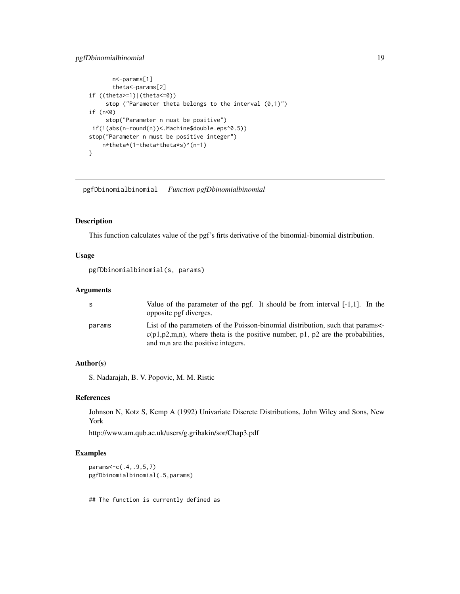# <span id="page-18-0"></span>pgfDbinomialbinomial 19

```
n<-params[1]
      theta<-params[2]
if ((theta>=1)|(theta<=0))
     stop ("Parameter theta belongs to the interval (0,1)")
if (n<0)
     stop("Parameter n must be positive")
if(!(abs(n-round(n))<.Machine$double.eps^0.5))
stop("Parameter n must be positive integer")
   n*theta*(1-theta+theta*s)^(n-1)
}
```
pgfDbinomialbinomial *Function pgfDbinomialbinomial*

#### Description

This function calculates value of the pgf's firts derivative of the binomial-binomial distribution.

# Usage

pgfDbinomialbinomial(s, params)

# Arguments

| S.     | Value of the parameter of the pgf. It should be from interval $[-1,1]$ . In the<br>opposite pgf diverges.                                                                                                       |
|--------|-----------------------------------------------------------------------------------------------------------------------------------------------------------------------------------------------------------------|
| params | List of the parameters of the Poisson-binomial distribution, such that params<br>$c(p_1, p_2, m, n)$ , where theta is the positive number, p1, p2 are the probabilities,<br>and m, n are the positive integers. |

# Author(s)

S. Nadarajah, B. V. Popovic, M. M. Ristic

#### References

Johnson N, Kotz S, Kemp A (1992) Univariate Discrete Distributions, John Wiley and Sons, New York

http://www.am.qub.ac.uk/users/g.gribakin/sor/Chap3.pdf

#### Examples

params<-c(.4,.9,5,7) pgfDbinomialbinomial(.5,params)

## The function is currently defined as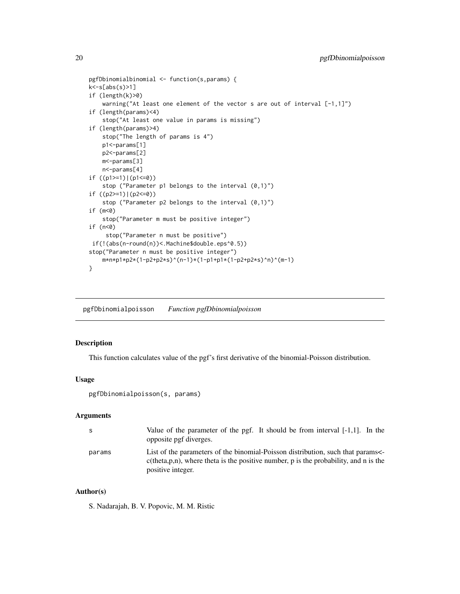```
pgfDbinomialbinomial <- function(s,params) {
k<-s[abs(s)>1]
if (length(k)>0)
   warning("At least one element of the vector s are out of interval [-1,1]")
if (length(params)<4)
    stop("At least one value in params is missing")
if (length(params)>4)
   stop("The length of params is 4")
   p1<-params[1]
   p2<-params[2]
   m<-params[3]
   n<-params[4]
if ((p1>=1)|(p1<=0))
    stop ("Parameter p1 belongs to the interval (0,1)")
if ((p2>=1)|(p2<=0))
    stop ("Parameter p2 belongs to the interval (0,1)")
if (m<0)
    stop("Parameter m must be positive integer")
if (n<0)
     stop("Parameter n must be positive")
if(!(abs(n-round(n))<.Machine$double.eps^0.5))
stop("Parameter n must be positive integer")
   m*n*p1*p2*(1-p2+p2*s)^(n-1)*(1-p1+p1*(1-p2+p2*s)^n)^(m-1)
}
```
pgfDbinomialpoisson *Function pgfDbinomialpoisson*

# Description

This function calculates value of the pgf's first derivative of the binomial-Poisson distribution.

#### Usage

pgfDbinomialpoisson(s, params)

#### **Arguments**

| -S     | Value of the parameter of the pgf. It should be from interval $[-1,1]$ . In the<br>opposite pgf diverges.                                                                                       |
|--------|-------------------------------------------------------------------------------------------------------------------------------------------------------------------------------------------------|
| params | List of the parameters of the binomial-Poisson distribution, such that params<br>$c$ (theta, p, n), where theta is the positive number, p is the probability, and n is the<br>positive integer. |

# Author(s)

S. Nadarajah, B. V. Popovic, M. M. Ristic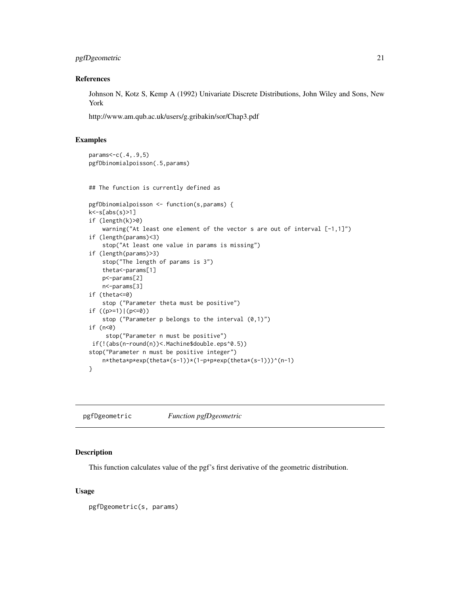# <span id="page-20-0"></span>pgfDgeometric 21

# References

Johnson N, Kotz S, Kemp A (1992) Univariate Discrete Distributions, John Wiley and Sons, New York

http://www.am.qub.ac.uk/users/g.gribakin/sor/Chap3.pdf

# Examples

```
params<-c(.4,.9,5)
pgfDbinomialpoisson(.5,params)
## The function is currently defined as
pgfDbinomialpoisson <- function(s,params) {
k<-s[abs(s)>1]
if (length(k)>0)
    warning("At least one element of the vector s are out of interval [-1,1]")
if (length(params)<3)
    stop("At least one value in params is missing")
if (length(params)>3)
   stop("The length of params is 3")
   theta<-params[1]
   p<-params[2]
   n<-params[3]
if (theta<=0)
   stop ("Parameter theta must be positive")
if ((p>=1)|(p<=0))stop ("Parameter p belongs to the interval (0,1)")
if (n<0)
     stop("Parameter n must be positive")
if(!(abs(n-round(n))<.Machine$double.eps^0.5))
stop("Parameter n must be positive integer")
    n*theta*p*exp(theta*(s-1))*(1-p+p*exp(theta*(s-1)))^(n-1)
}
```
pgfDgeometric *Function pgfDgeometric*

#### Description

This function calculates value of the pgf's first derivative of the geometric distribution.

#### Usage

pgfDgeometric(s, params)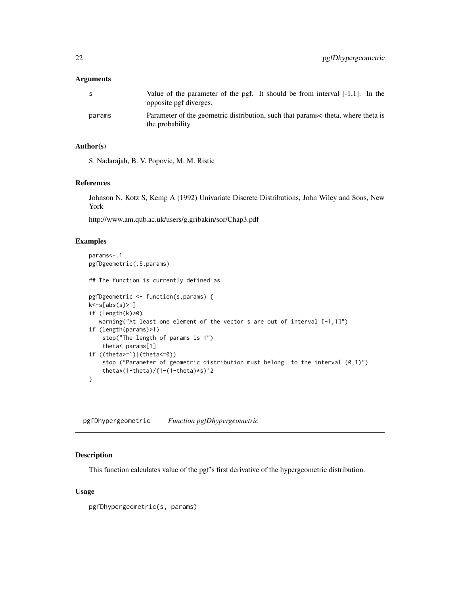#### <span id="page-21-0"></span>Arguments

| -S     | Value of the parameter of the pgf. It should be from interval $[-1,1]$ . In the<br>opposite pgf diverges. |
|--------|-----------------------------------------------------------------------------------------------------------|
| params | Parameter of the geometric distribution, such that params<-theta, where theta is<br>the probability.      |

#### Author(s)

S. Nadarajah, B. V. Popovic, M. M. Ristic

#### References

Johnson N, Kotz S, Kemp A (1992) Univariate Discrete Distributions, John Wiley and Sons, New York

http://www.am.qub.ac.uk/users/g.gribakin/sor/Chap3.pdf

#### Examples

```
params<-.1
pgfDgeometric(.5,params)
## The function is currently defined as
pgfDgeometric <- function(s,params) {
k<-s[abs(s)>1]
if (length(k)>0)
   warning("At least one element of the vector s are out of interval [-1,1]")
if (length(params)>1)
    stop("The length of params is 1")
    theta<-params[1]
if ((theta>=1)|(theta<=0))
    stop ("Parameter of geometric distribution must belong to the interval (0,1)")
    theta*(1-theta)/(1-(1-theta)*s)^2
}
```
pgfDhypergeometric *Function pgfDhypergeometric*

#### Description

This function calculates value of the pgf's first derivative of the hypergeometric distribution.

#### Usage

pgfDhypergeometric(s, params)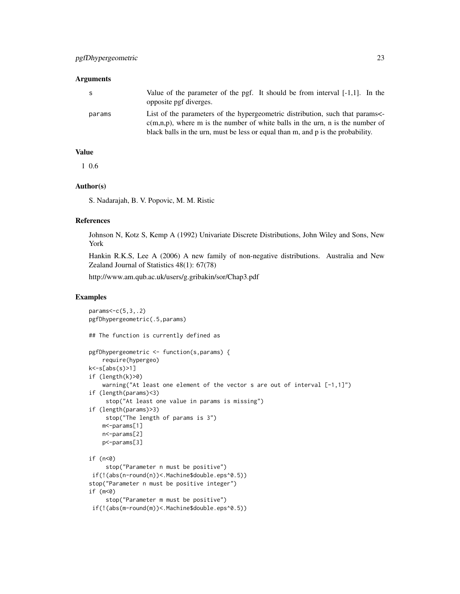# Arguments

| S      | Value of the parameter of the pgf. It should be from interval $[-1,1]$ . In the<br>opposite pgf diverges.                                                                                                                                          |
|--------|----------------------------------------------------------------------------------------------------------------------------------------------------------------------------------------------------------------------------------------------------|
| params | List of the parameters of the hypergeometric distribution, such that params<br>$c(m,n,p)$ , where m is the number of white balls in the urn, n is the number of<br>black balls in the urn, must be less or equal than m, and p is the probability. |

# Value

1 0.6

# Author(s)

S. Nadarajah, B. V. Popovic, M. M. Ristic

#### References

Johnson N, Kotz S, Kemp A (1992) Univariate Discrete Distributions, John Wiley and Sons, New York

Hankin R.K.S, Lee A (2006) A new family of non-negative distributions. Australia and New Zealand Journal of Statistics 48(1): 67(78)

http://www.am.qub.ac.uk/users/g.gribakin/sor/Chap3.pdf

```
params < -c(5,3, .2)pgfDhypergeometric(.5,params)
## The function is currently defined as
pgfDhypergeometric <- function(s,params) {
    require(hypergeo)
k<-s[abs(s)>1]
if (length(k)>0)
    warning("At least one element of the vector s are out of interval [-1,1]")
if (length(params)<3)
     stop("At least one value in params is missing")
if (length(params)>3)
    stop("The length of params is 3")
   m<-params[1]
   n<-params[2]
   p<-params[3]
if (n<0)
     stop("Parameter n must be positive")
if(!(abs(n-round(n))<.Machine$double.eps^0.5))
stop("Parameter n must be positive integer")
if (m<0)
     stop("Parameter m must be positive")
if(!(abs(m-round(m))<.Machine$double.eps^0.5))
```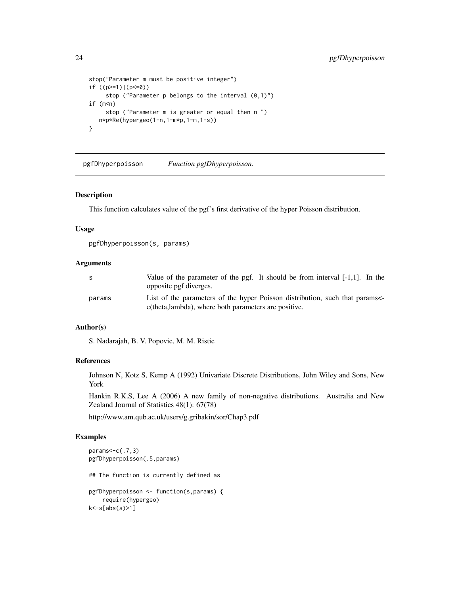```
stop("Parameter m must be positive integer")
if ((p>=1)|(p<=0))
     stop ("Parameter p belongs to the interval (0,1)")
if (m<sub>n</sub>)stop ("Parameter m is greater or equal then n ")
   n*p*Re(hypergeo(1-n,1-m*p,1-m,1-s))
}
```
pgfDhyperpoisson *Function pgfDhyperpoisson.*

#### Description

This function calculates value of the pgf's first derivative of the hyper Poisson distribution.

#### Usage

```
pgfDhyperpoisson(s, params)
```
#### Arguments

| S      | Value of the parameter of the pgf. It should be from interval $[-1,1]$ . In the<br>opposite pgf diverges.                          |
|--------|------------------------------------------------------------------------------------------------------------------------------------|
| params | List of the parameters of the hyper Poisson distribution, such that params<br>c(theta,lambda), where both parameters are positive. |

# Author(s)

S. Nadarajah, B. V. Popovic, M. M. Ristic

#### References

Johnson N, Kotz S, Kemp A (1992) Univariate Discrete Distributions, John Wiley and Sons, New York

Hankin R.K.S, Lee A (2006) A new family of non-negative distributions. Australia and New Zealand Journal of Statistics 48(1): 67(78)

http://www.am.qub.ac.uk/users/g.gribakin/sor/Chap3.pdf

```
params<-c(.7,3)
pgfDhyperpoisson(.5,params)
## The function is currently defined as
pgfDhyperpoisson <- function(s,params) {
    require(hypergeo)
k<-s[abs(s)>1]
```
<span id="page-23-0"></span>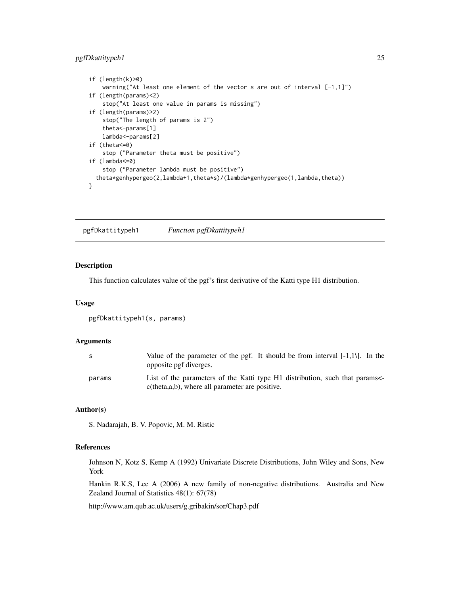# <span id="page-24-0"></span>pgfDkattitypeh1 25

```
if (length(k)>0)
    warning("At least one element of the vector s are out of interval [-1,1]")
if (length(params)<2)
   stop("At least one value in params is missing")
if (length(params)>2)
   stop("The length of params is 2")
   theta<-params[1]
   lambda<-params[2]
if (theta<=0)
    stop ("Parameter theta must be positive")
if (lambda<=0)
    stop ("Parameter lambda must be positive")
 theta*genhypergeo(2,lambda+1,theta*s)/(lambda*genhypergeo(1,lambda,theta))
}
```
pgfDkattitypeh1 *Function pgfDkattitypeh1*

#### Description

This function calculates value of the pgf's first derivative of the Katti type H1 distribution.

#### Usage

```
pgfDkattitypeh1(s, params)
```
#### **Arguments**

| S.     | Value of the parameter of the pgf. It should be from interval $[-1,1]$ . In the<br>opposite pgf diverges.                        |
|--------|----------------------------------------------------------------------------------------------------------------------------------|
| params | List of the parameters of the Katti type H1 distribution, such that params<br>$c$ (theta,a,b), where all parameter are positive. |

#### Author(s)

S. Nadarajah, B. V. Popovic, M. M. Ristic

#### References

Johnson N, Kotz S, Kemp A (1992) Univariate Discrete Distributions, John Wiley and Sons, New York

Hankin R.K.S, Lee A (2006) A new family of non-negative distributions. Australia and New Zealand Journal of Statistics 48(1): 67(78)

http://www.am.qub.ac.uk/users/g.gribakin/sor/Chap3.pdf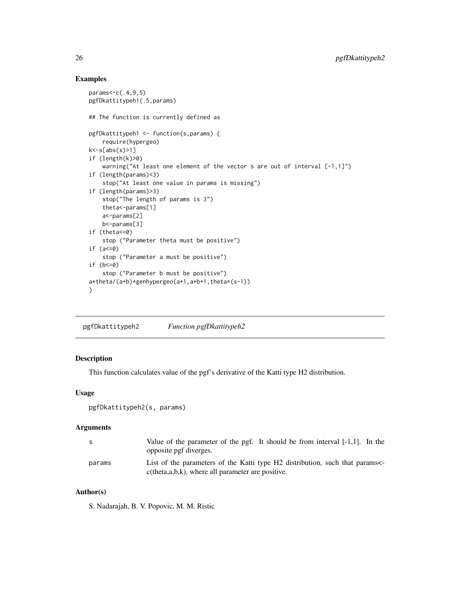# Examples

```
params<-c(.4,9,5)
pgfDkattitypeh1(.5,params)
## The function is currently defined as
pgfDkattitypeh1 <- function(s,params) {
    require(hypergeo)
k<-s[abs(s)>1]
if (length(k)>0)
   warning("At least one element of the vector s are out of interval [-1,1]")
if (length(params)<3)
   stop("At least one value in params is missing")
if (length(params)>3)
   stop("The length of params is 3")
   theta<-params[1]
   a<-params[2]
   b<-params[3]
if (theta<=0)
    stop ("Parameter theta must be positive")
if (a<=0)
    stop ("Parameter a must be positive")
if (b < = 0)stop ("Parameter b must be positive")
a*theta/(a+b)*genhypergeo(a+1,a+b+1,theta*(s-1))
}
```
pgfDkattitypeh2 *Function pgfDkattitypeh2*

# Description

This function calculates value of the pgf's derivative of the Katti type H2 distribution.

#### Usage

```
pgfDkattitypeh2(s, params)
```
#### Arguments

| - S    | Value of the parameter of the pgf. It should be from interval $[-1,1]$ . In the<br>opposite pgf diverges.                             |
|--------|---------------------------------------------------------------------------------------------------------------------------------------|
| params | List of the parameters of the Katti type H2 distribution, such that params<br>$c$ (theta, a, b, k), where all parameter are positive. |

# Author(s)

S. Nadarajah, B. V. Popovic, M. M. Ristic

<span id="page-25-0"></span>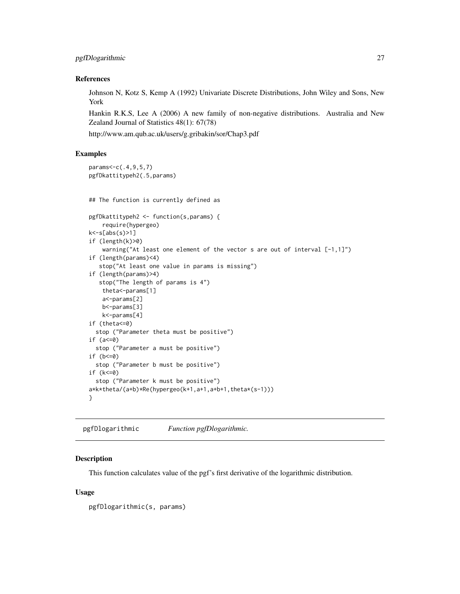# <span id="page-26-0"></span>pgfDlogarithmic 27

#### References

Johnson N, Kotz S, Kemp A (1992) Univariate Discrete Distributions, John Wiley and Sons, New York

Hankin R.K.S, Lee A (2006) A new family of non-negative distributions. Australia and New Zealand Journal of Statistics 48(1): 67(78)

http://www.am.qub.ac.uk/users/g.gribakin/sor/Chap3.pdf

#### Examples

params<-c(.4,9,5,7)

```
pgfDkattitypeh2(.5,params)
## The function is currently defined as
pgfDkattitypeh2 <- function(s,params) {
    require(hypergeo)
k<-s[abs(s)>1]
if (length(k)>0)
    warning("At least one element of the vector s are out of interval [-1,1]")
if (length(params)<4)
   stop("At least one value in params is missing")
if (length(params)>4)
  stop("The length of params is 4")
   theta<-params[1]
   a<-params[2]
   b<-params[3]
   k<-params[4]
if (theta<=0)
 stop ("Parameter theta must be positive")
if (a<=0)
 stop ("Parameter a must be positive")
if (b < = 0)stop ("Parameter b must be positive")
if (k<=0)
 stop ("Parameter k must be positive")
a*k*theta/(a+b)*Re(hypergeo(k+1,a+1,a+b+1,theta*(s-1)))
}
```
pgfDlogarithmic *Function pgfDlogarithmic.*

# **Description**

This function calculates value of the pgf's first derivative of the logarithmic distribution.

#### Usage

pgfDlogarithmic(s, params)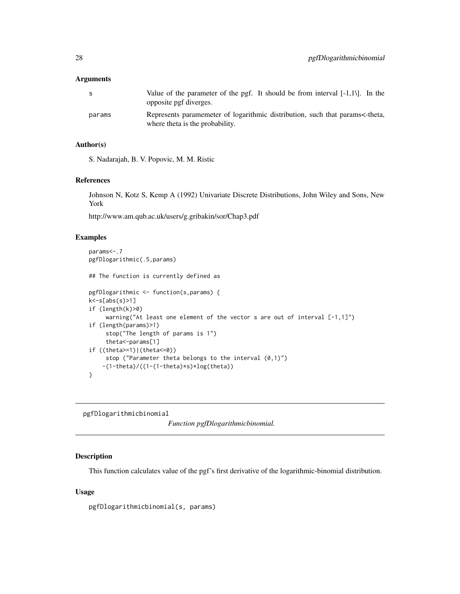#### <span id="page-27-0"></span>**Arguments**

| -S     | Value of the parameter of the pgf. It should be from interval $[-1,1]$ . In the<br>opposite pgf diverges.       |
|--------|-----------------------------------------------------------------------------------------------------------------|
| params | Represents paramemeter of logarithmic distribution, such that params<-theta,<br>where theta is the probability. |

# Author(s)

S. Nadarajah, B. V. Popovic, M. M. Ristic

#### References

Johnson N, Kotz S, Kemp A (1992) Univariate Discrete Distributions, John Wiley and Sons, New York

http://www.am.qub.ac.uk/users/g.gribakin/sor/Chap3.pdf

#### Examples

```
params<-.7
pgfDlogarithmic(.5,params)
## The function is currently defined as
pgfDlogarithmic <- function(s,params) {
k<-s[abs(s)>1]
if (length(k)>0)
     warning("At least one element of the vector s are out of interval [-1,1]")
if (length(params)>1)
     stop("The length of params is 1")
     theta<-params[1]
if ((theta>=1)|(theta<=0))
    stop ("Parameter theta belongs to the interval (0,1)")
    -(1-theta)/((1-(1-theta)*s)*log(theta))
}
```
pgfDlogarithmicbinomial

*Function pgfDlogarithmicbinomial.*

#### Description

This function calculates value of the pgf's first derivative of the logarithmic-binomial distribution.

# Usage

pgfDlogarithmicbinomial(s, params)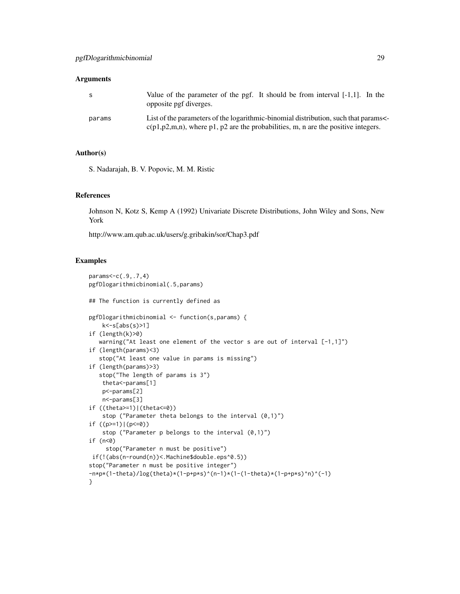#### **Arguments**

| S.     | Value of the parameter of the pgf. It should be from interval $[-1,1]$ . In the<br>opposite pgf diverges.                                                                 |
|--------|---------------------------------------------------------------------------------------------------------------------------------------------------------------------------|
| params | List of the parameters of the logarithmic-binomial distribution, such that params<br>$c(p1,p2,m,n)$ , where p1, p2 are the probabilities, m, n are the positive integers. |

# Author(s)

S. Nadarajah, B. V. Popovic, M. M. Ristic

# References

Johnson N, Kotz S, Kemp A (1992) Univariate Discrete Distributions, John Wiley and Sons, New York

http://www.am.qub.ac.uk/users/g.gribakin/sor/Chap3.pdf

```
params<-c(.9,.7,4)
pgfDlogarithmicbinomial(.5,params)
## The function is currently defined as
pgfDlogarithmicbinomial <- function(s,params) {
   k<-s[abs(s)>1]
if (length(k)>0)
  warning("At least one element of the vector s are out of interval [-1,1]")
if (length(params)<3)
   stop("At least one value in params is missing")
if (length(params)>3)
  stop("The length of params is 3")
   theta<-params[1]
   p<-params[2]
   n<-params[3]
if ((theta>=1)|(theta<=0))
    stop ("Parameter theta belongs to the interval (0,1)")
if ((p>=1)|(p<=0))
    stop ("Parameter p belongs to the interval (0,1)")
if (n<0)
     stop("Parameter n must be positive")
if(!(abs(n-round(n))<.Machine$double.eps^0.5))
stop("Parameter n must be positive integer")
-n*p*(1-theta)/log(theta)*(1-p+pxs)^{(n-1)*(1-(1-theta)*(1-p+pxs)^n)(-1)}
```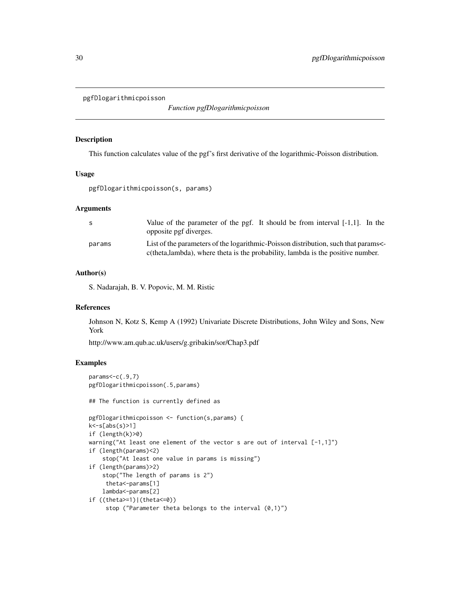<span id="page-29-0"></span>pgfDlogarithmicpoisson

*Function pgfDlogarithmicpoisson*

#### Description

This function calculates value of the pgf's first derivative of the logarithmic-Poisson distribution.

#### Usage

pgfDlogarithmicpoisson(s, params)

#### Arguments

| -S     | Value of the parameter of the pgf. It should be from interval $[-1,1]$ . In the<br>opposite pgf diverges.                                                            |
|--------|----------------------------------------------------------------------------------------------------------------------------------------------------------------------|
| params | List of the parameters of the logarithmic-Poisson distribution, such that params<br>c(theta, lambda), where theta is the probability, lambda is the positive number. |

#### Author(s)

S. Nadarajah, B. V. Popovic, M. M. Ristic

#### References

Johnson N, Kotz S, Kemp A (1992) Univariate Discrete Distributions, John Wiley and Sons, New York

http://www.am.qub.ac.uk/users/g.gribakin/sor/Chap3.pdf

```
params < -c(.9, 7)pgfDlogarithmicpoisson(.5,params)
## The function is currently defined as
pgfDlogarithmicpoisson <- function(s,params) {
k < -s[abs(s)>1]if (length(k)>0)
warning("At least one element of the vector s are out of interval [-1,1]")
if (length(params)<2)
    stop("At least one value in params is missing")
if (length(params)>2)
    stop("The length of params is 2")
     theta<-params[1]
   lambda<-params[2]
if ((theta>=1)|(theta<=0))
     stop ("Parameter theta belongs to the interval (0,1)")
```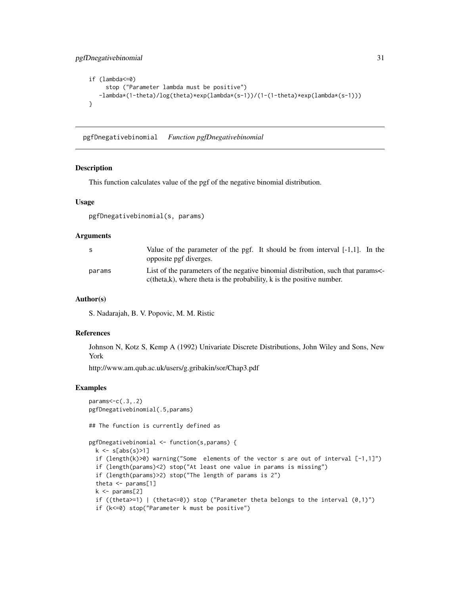```
if (lambda<=0)
     stop ("Parameter lambda must be positive")
  -lambda*(1-theta)/log(theta)*exp(lambda*(s-1))/(1-(1-theta)*exp(lambda*(s-1)))
}
```
pgfDnegativebinomial *Function pgfDnegativebinomial*

#### Description

This function calculates value of the pgf of the negative binomial distribution.

#### Usage

pgfDnegativebinomial(s, params)

# **Arguments**

| -S     | Value of the parameter of the pgf. It should be from interval $[-1,1]$ . In the<br>opposite pgf diverges.                                                  |
|--------|------------------------------------------------------------------------------------------------------------------------------------------------------------|
| params | List of the parameters of the negative binomial distribution, such that params<br>$c$ (theta,k), where theta is the probability, k is the positive number. |

#### Author(s)

S. Nadarajah, B. V. Popovic, M. M. Ristic

#### References

Johnson N, Kotz S, Kemp A (1992) Univariate Discrete Distributions, John Wiley and Sons, New York

http://www.am.qub.ac.uk/users/g.gribakin/sor/Chap3.pdf

```
params<-c(.3,.2)
pgfDnegativebinomial(.5,params)
## The function is currently defined as
pgfDnegativebinomial <- function(s,params) {
 k \leq s[abs(s)>1]if (length(k)>0) warning("Some elements of the vector s are out of interval [-1,1]")
 if (length(params)<2) stop("At least one value in params is missing")
 if (length(params)>2) stop("The length of params is 2")
 theta <- params[1]
 k \leq params[2]
 if ((theta>=1) | (theta<=0)) stop ("Parameter theta belongs to the interval (0,1)")
 if (k<=0) stop("Parameter k must be positive")
```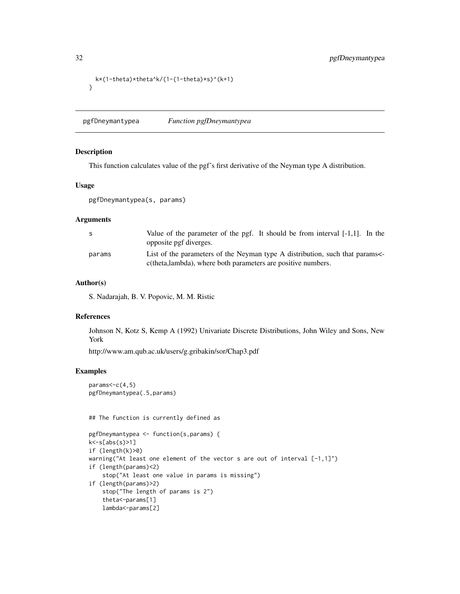```
k*(1-theta)*theta^k/(1-(1-theta)*s)^(k+1)
}
```
pgfDneymantypea *Function pgfDneymantypea*

# Description

This function calculates value of the pgf's first derivative of the Neyman type A distribution.

# Usage

pgfDneymantypea(s, params)

# Arguments

| S      | Value of the parameter of the pgf. It should be from interval $[-1,1]$ . In the<br>opposite pgf diverges.                                  |
|--------|--------------------------------------------------------------------------------------------------------------------------------------------|
| params | List of the parameters of the Neyman type A distribution, such that params<br>c(theta,lambda), where both parameters are positive numbers. |

#### Author(s)

S. Nadarajah, B. V. Popovic, M. M. Ristic

# References

Johnson N, Kotz S, Kemp A (1992) Univariate Discrete Distributions, John Wiley and Sons, New York

http://www.am.qub.ac.uk/users/g.gribakin/sor/Chap3.pdf

#### Examples

```
params<-c(4,5)
pgfDneymantypea(.5,params)
```
## The function is currently defined as

```
pgfDneymantypea <- function(s,params) {
k<-s[abs(s)>1]
if (length(k)>0)
warning("At least one element of the vector s are out of interval [-1,1]")
if (length(params)<2)
    stop("At least one value in params is missing")
if (length(params)>2)
   stop("The length of params is 2")
    theta<-params[1]
   lambda<-params[2]
```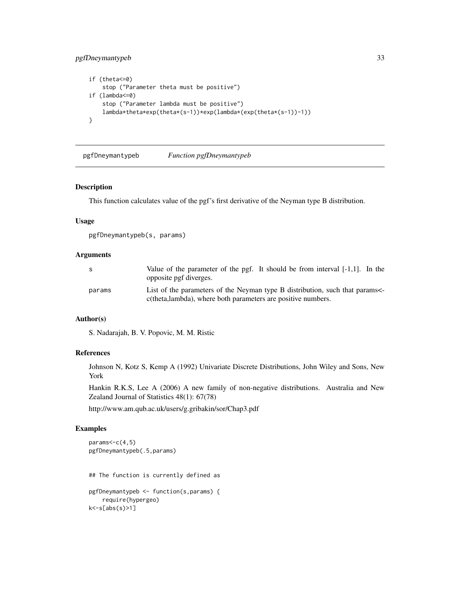# <span id="page-32-0"></span>pgfDneymantypeb 33

```
if (theta<=0)
    stop ("Parameter theta must be positive")
if (lambda<=0)
   stop ("Parameter lambda must be positive")
   lambda*theta*exp(theta*(s-1))*exp(lambda*(exp(theta*(s-1))-1))
}
```
pgfDneymantypeb *Function pgfDneymantypeb*

#### Description

This function calculates value of the pgf's first derivative of the Neyman type B distribution.

#### Usage

pgfDneymantypeb(s, params)

# Arguments

| -S     | Value of the parameter of the pgf. It should be from interval $[-1,1]$ . In the<br>opposite pgf diverges.                                  |
|--------|--------------------------------------------------------------------------------------------------------------------------------------------|
| params | List of the parameters of the Neyman type B distribution, such that params<br>c(theta,lambda), where both parameters are positive numbers. |

#### Author(s)

S. Nadarajah, B. V. Popovic, M. M. Ristic

# References

Johnson N, Kotz S, Kemp A (1992) Univariate Discrete Distributions, John Wiley and Sons, New York

Hankin R.K.S, Lee A (2006) A new family of non-negative distributions. Australia and New Zealand Journal of Statistics 48(1): 67(78)

http://www.am.qub.ac.uk/users/g.gribakin/sor/Chap3.pdf

```
params < -c(4,5)pgfDneymantypeb(.5,params)
## The function is currently defined as
pgfDneymantypeb <- function(s,params) {
   require(hypergeo)
k<-s[abs(s)>1]
```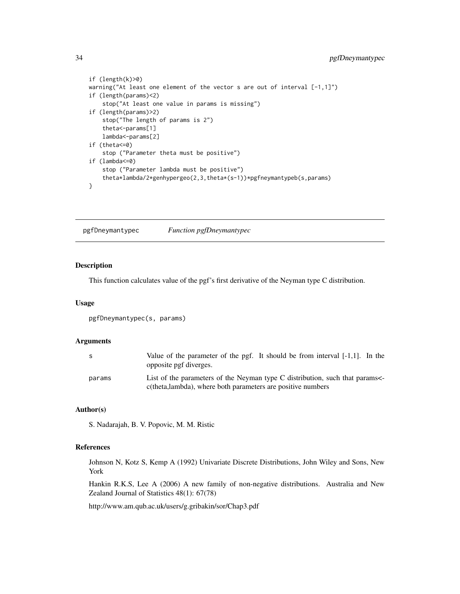```
if (length(k)>0)
warning("At least one element of the vector s are out of interval [-1,1]")
if (length(params)<2)
   stop("At least one value in params is missing")
if (length(params)>2)
   stop("The length of params is 2")
   theta<-params[1]
   lambda<-params[2]
if (theta<=0)
   stop ("Parameter theta must be positive")
if (lambda<=0)
    stop ("Parameter lambda must be positive")
    theta*lambda/2*genhypergeo(2,3,theta*(s-1))*pgfneymantypeb(s,params)
}
```
pgfDneymantypec *Function pgfDneymantypec*

#### Description

This function calculates value of the pgf's first derivative of the Neyman type C distribution.

#### Usage

```
pgfDneymantypec(s, params)
```
#### **Arguments**

| S.     | Value of the parameter of the pgf. It should be from interval $[-1,1]$ . In the<br>opposite pgf diverges.                                 |
|--------|-------------------------------------------------------------------------------------------------------------------------------------------|
| params | List of the parameters of the Neyman type C distribution, such that params<br>c(theta,lambda), where both parameters are positive numbers |

#### Author(s)

S. Nadarajah, B. V. Popovic, M. M. Ristic

#### References

Johnson N, Kotz S, Kemp A (1992) Univariate Discrete Distributions, John Wiley and Sons, New York

Hankin R.K.S, Lee A (2006) A new family of non-negative distributions. Australia and New Zealand Journal of Statistics 48(1): 67(78)

http://www.am.qub.ac.uk/users/g.gribakin/sor/Chap3.pdf

<span id="page-33-0"></span>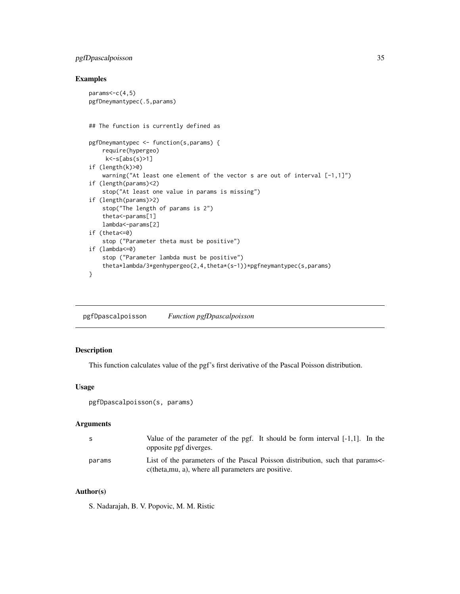# <span id="page-34-0"></span>pgfDpascalpoisson 35

# Examples

```
params < -c(4,5)pgfDneymantypec(.5,params)
## The function is currently defined as
pgfDneymantypec <- function(s,params) {
    require(hypergeo)
    k<-s[abs(s)>1]
if (length(k)>0)
   warning("At least one element of the vector s are out of interval [-1,1]")
if (length(params)<2)
    stop("At least one value in params is missing")
if (length(params)>2)
   stop("The length of params is 2")
    theta<-params[1]
   lambda<-params[2]
if (theta<=0)
    stop ("Parameter theta must be positive")
if (lambda<=0)
    stop ("Parameter lambda must be positive")
    theta*lambda/3*genhypergeo(2,4,theta*(s-1))*pgfneymantypec(s,params)
}
```
pgfDpascalpoisson *Function pgfDpascalpoisson*

# Description

This function calculates value of the pgf's first derivative of the Pascal Poisson distribution.

# Usage

```
pgfDpascalpoisson(s, params)
```
#### Arguments

| -S     | Value of the parameter of the pgf. It should be form interval $[-1,1]$ . In the<br>opposite pgf diverges.                          |
|--------|------------------------------------------------------------------------------------------------------------------------------------|
| params | List of the parameters of the Pascal Poisson distribution, such that params<br>c(theta, mu, a), where all parameters are positive. |
|        |                                                                                                                                    |

# Author(s)

S. Nadarajah, B. V. Popovic, M. M. Ristic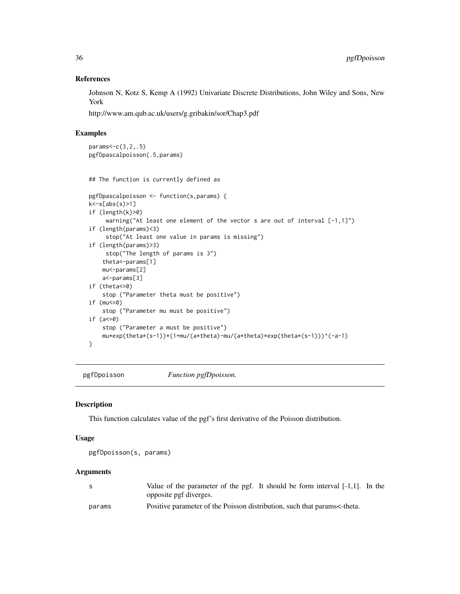#### References

Johnson N, Kotz S, Kemp A (1992) Univariate Discrete Distributions, John Wiley and Sons, New York

http://www.am.qub.ac.uk/users/g.gribakin/sor/Chap3.pdf

# Examples

```
params<-c(3,2,.5)
pgfDpascalpoisson(.5,params)
```
## The function is currently defined as

```
pgfDpascalpoisson <- function(s,params) {
k < -s[abs(s)>1]if (length(k)>0)
     warning("At least one element of the vector s are out of interval [-1,1]")
if (length(params)<3)
     stop("At least one value in params is missing")
if (length(params)>3)
     stop("The length of params is 3")
    theta<-params[1]
   mu<-params[2]
   a<-params[3]
if (theta<=0)
   stop ("Parameter theta must be positive")
if (mu<=0)
   stop ("Parameter mu must be positive")
if (a<=0)
    stop ("Parameter a must be positive")
    mu*exp(theta*(s-1))*(1+mu/(a*theta)-mu/(a*theta)*exp(theta*(s-1)))^(-a-1)
}
```
pgfDpoisson *Function pgfDpoisson.*

# Description

This function calculates value of the pgf's first derivative of the Poisson distribution.

#### Usage

```
pgfDpoisson(s, params)
```
# Arguments

|        | Value of the parameter of the pgf. It should be form interval [-1,1]. In the |
|--------|------------------------------------------------------------------------------|
|        | opposite pgf diverges.                                                       |
| params | Positive parameter of the Poisson distribution, such that params<-theta.     |

<span id="page-35-0"></span>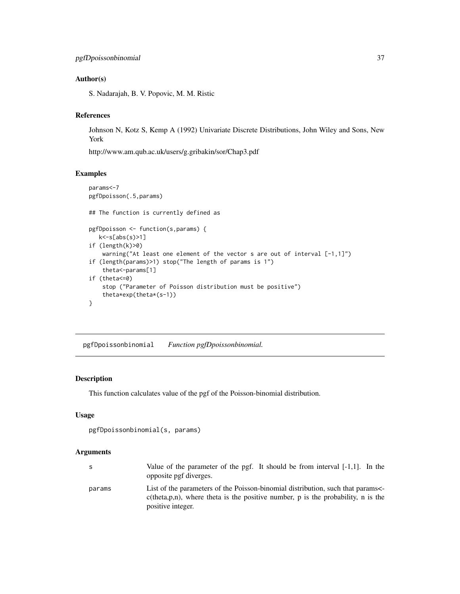### Author(s)

S. Nadarajah, B. V. Popovic, M. M. Ristic

# References

Johnson N, Kotz S, Kemp A (1992) Univariate Discrete Distributions, John Wiley and Sons, New York

http://www.am.qub.ac.uk/users/g.gribakin/sor/Chap3.pdf

### Examples

```
params<-7
pgfDpoisson(.5,params)
## The function is currently defined as
pgfDpoisson <- function(s,params) {
  k < -s[abs(s)>1]if (length(k)>0)
   warning("At least one element of the vector s are out of interval [-1,1]")
if (length(params)>1) stop("The length of params is 1")
    theta<-params[1]
if (theta<=0)
   stop ("Parameter of Poisson distribution must be positive")
    theta*exp(theta*(s-1))
}
```
pgfDpoissonbinomial *Function pgfDpoissonbinomial.*

# Description

This function calculates value of the pgf of the Poisson-binomial distribution.

### Usage

```
pgfDpoissonbinomial(s, params)
```
### Arguments

| -S     | Value of the parameter of the pgf. It should be from interval $[-1,1]$ . In the<br>opposite pgf diverges.                                                                                   |
|--------|---------------------------------------------------------------------------------------------------------------------------------------------------------------------------------------------|
| params | List of the parameters of the Poisson-binomial distribution, such that params<br>$c$ (theta, p, n), where theta is the positive number, p is the probability, n is the<br>positive integer. |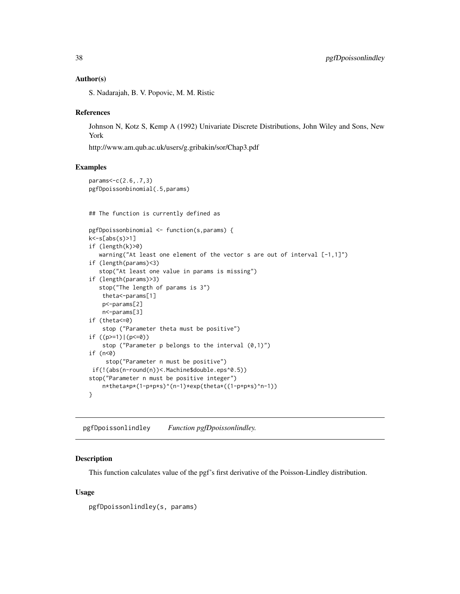### Author(s)

S. Nadarajah, B. V. Popovic, M. M. Ristic

#### References

Johnson N, Kotz S, Kemp A (1992) Univariate Discrete Distributions, John Wiley and Sons, New York

http://www.am.qub.ac.uk/users/g.gribakin/sor/Chap3.pdf

#### Examples

```
params<-c(2.6,.7,3)
pgfDpoissonbinomial(.5,params)
## The function is currently defined as
pgfDpoissonbinomial <- function(s,params) {
k<-s[abs(s)>1]
if (length(k)>0)
  warning("At least one element of the vector s are out of interval [-1,1]")
if (length(params)<3)
   stop("At least one value in params is missing")
if (length(params)>3)
  stop("The length of params is 3")
   theta<-params[1]
   p<-params[2]
   n<-params[3]
if (theta<=0)
    stop ("Parameter theta must be positive")
if ((p>=1)|(p<=0))
    stop ("Parameter p belongs to the interval (0,1)")
if (n<0)
     stop("Parameter n must be positive")
if(!(abs(n-round(n))<.Machine$double.eps^0.5))
stop("Parameter n must be positive integer")
   n*theta*p*(1-p+p*s)^(n-1)*exp(theta*((1-p+p*s)^n-1))
}
```
pgfDpoissonlindley *Function pgfDpoissonlindley.*

## **Description**

This function calculates value of the pgf's first derivative of the Poisson-Lindley distribution.

### Usage

pgfDpoissonlindley(s, params)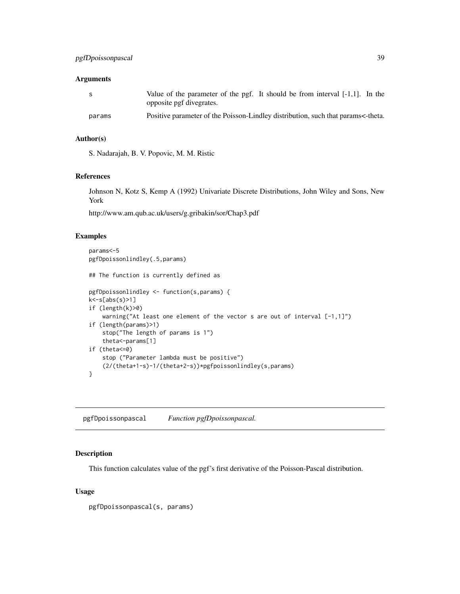## Arguments

| -S     | Value of the parameter of the pgf. It should be from interval $[-1,1]$ . In the<br>opposite pgf divegrates. |
|--------|-------------------------------------------------------------------------------------------------------------|
| params | Positive parameter of the Poisson-Lindley distribution, such that params<-theta.                            |

## Author(s)

S. Nadarajah, B. V. Popovic, M. M. Ristic

#### References

Johnson N, Kotz S, Kemp A (1992) Univariate Discrete Distributions, John Wiley and Sons, New York

http://www.am.qub.ac.uk/users/g.gribakin/sor/Chap3.pdf

## Examples

```
params<-5
pgfDpoissonlindley(.5,params)
## The function is currently defined as
pgfDpoissonlindley <- function(s,params) {
k<-s[abs(s)>1]
if (length(k)>0)
    warning("At least one element of the vector s are out of interval [-1,1]")
if (length(params)>1)
    stop("The length of params is 1")
    theta<-params[1]
if (theta<=0)
   stop ("Parameter lambda must be positive")
    (2/(theta+1-s)-1/(theta+2-s))*pgfpoissonlindley(s,params)
}
```
pgfDpoissonpascal *Function pgfDpoissonpascal.*

# Description

This function calculates value of the pgf's first derivative of the Poisson-Pascal distribution.

## Usage

pgfDpoissonpascal(s, params)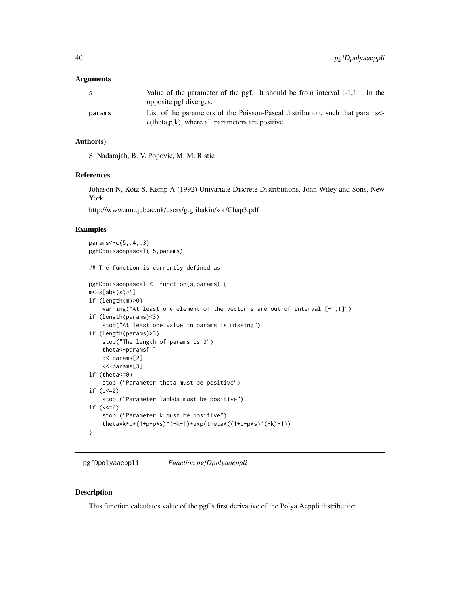#### **Arguments**

| S.     | Value of the parameter of the pgf. It should be from interval $[-1,1]$ . In the<br>opposite pgf diverges.                               |
|--------|-----------------------------------------------------------------------------------------------------------------------------------------|
| params | List of the parameters of the Poisson-Pascal distribution, such that params<br>$c$ (theta, $p, k$ ), where all parameters are positive. |

# Author(s)

S. Nadarajah, B. V. Popovic, M. M. Ristic

#### References

Johnson N, Kotz S, Kemp A (1992) Univariate Discrete Distributions, John Wiley and Sons, New York

http://www.am.qub.ac.uk/users/g.gribakin/sor/Chap3.pdf

#### Examples

```
params<-c(5,.4,.3)
pgfDpoissonpascal(.5,params)
## The function is currently defined as
pgfDpoissonpascal <- function(s,params) {
m<-s[abs(s)>1]
if (length(m)>0)
    warning("At least one element of the vector s are out of interval [-1,1]")
if (length(params)<3)
   stop("At least one value in params is missing")
if (length(params)>3)
   stop("The length of params is 3")
   theta<-params[1]
   p<-params[2]
   k<-params[3]
if (theta<=0)
    stop ("Parameter theta must be positive")
if (p<=0)
    stop ("Parameter lambda must be positive")
if (k<=0)
    stop ("Parameter k must be positive")
    theta*k*p*(1+p-p*s)^(-k-1)*exp(theta*((1+p-p*s)^(-k)-1))
}
```
pgfDpolyaaeppli *Function pgfDpolyaaeppli*

### Description

This function calculates value of the pgf's first derivative of the Polya Aeppli distribution.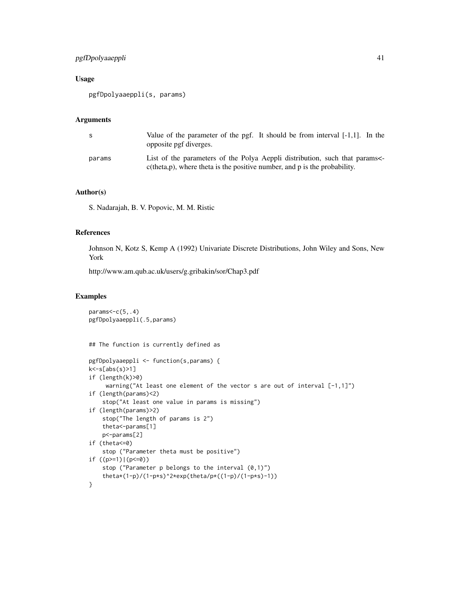# pgfDpolyaaeppli 41

# Usage

```
pgfDpolyaaeppli(s, params)
```
### Arguments

| S      | Value of the parameter of the pgf. It should be from interval $[-1,1]$ . In the<br>opposite pgf diverges.                                                  |
|--------|------------------------------------------------------------------------------------------------------------------------------------------------------------|
| params | List of the parameters of the Polya Aeppli distribution, such that params<br>$c$ (theta, p), where theta is the positive number, and p is the probability. |

### Author(s)

S. Nadarajah, B. V. Popovic, M. M. Ristic

## References

Johnson N, Kotz S, Kemp A (1992) Univariate Discrete Distributions, John Wiley and Sons, New York

http://www.am.qub.ac.uk/users/g.gribakin/sor/Chap3.pdf

```
params<-c(5,.4)
pgfDpolyaaeppli(.5,params)
## The function is currently defined as
pgfDpolyaaeppli <- function(s,params) {
k<-s[abs(s)>1]
if (length(k)>0)
     warning("At least one element of the vector s are out of interval [-1,1]")
if (length(params)<2)
    stop("At least one value in params is missing")
if (length(params)>2)
   stop("The length of params is 2")
   theta<-params[1]
   p<-params[2]
if (theta<=0)
    stop ("Parameter theta must be positive")
if ((p>=1)|(p<=0))stop ("Parameter p belongs to the interval (0,1)")
    theta*(1-p)/(1-p*s)^2*exp(theta/p*((1-p)/(1-p*s)-1))
}
```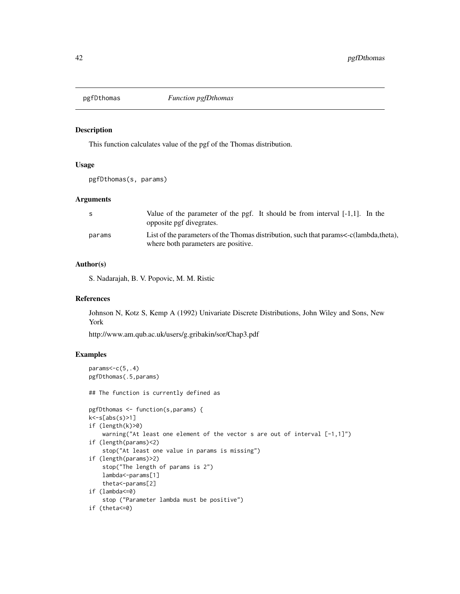### Description

This function calculates value of the pgf of the Thomas distribution.

# Usage

```
pgfDthomas(s, params)
```
#### Arguments

| -S     | Value of the parameter of the pgf. It should be from interval $[-1,1]$ . In the<br>opposite pgf divegrates.                  |
|--------|------------------------------------------------------------------------------------------------------------------------------|
| params | List of the parameters of the Thomas distribution, such that params<-c(lambda,theta),<br>where both parameters are positive. |

# Author(s)

S. Nadarajah, B. V. Popovic, M. M. Ristic

#### References

Johnson N, Kotz S, Kemp A (1992) Univariate Discrete Distributions, John Wiley and Sons, New York

http://www.am.qub.ac.uk/users/g.gribakin/sor/Chap3.pdf

```
params < -c(5, .4)pgfDthomas(.5,params)
## The function is currently defined as
pgfDthomas <- function(s,params) {
k<-s[abs(s)>1]
if (length(k)>0)
    warning("At least one element of the vector s are out of interval [-1,1]")
if (length(params)<2)
    stop("At least one value in params is missing")
if (length(params)>2)
    stop("The length of params is 2")
   lambda<-params[1]
    theta<-params[2]
if (lambda<=0)
   stop ("Parameter lambda must be positive")
if (theta<=0)
```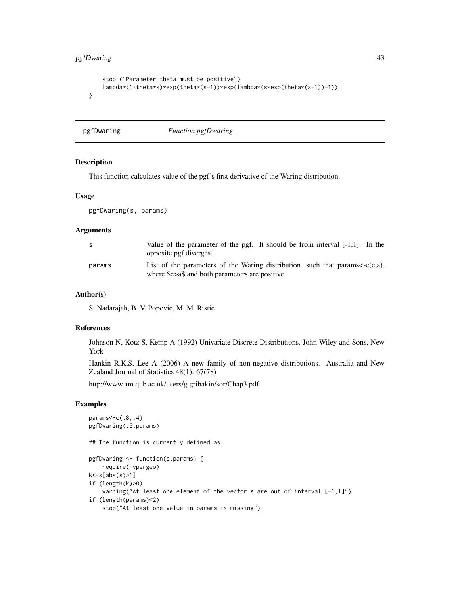```
stop ("Parameter theta must be positive")
   lambda*(1+theta*s)*exp(theta*(s-1))*exp(lambda*(s*exp(theta*(s-1))-1))
}
```
pgfDwaring *Function pgfDwaring*

#### Description

This function calculates value of the pgf's first derivative of the Waring distribution.

### Usage

pgfDwaring(s, params)

# Arguments

| -S     | Value of the parameter of the pgf. It should be from interval $[-1,1]$ . In the<br>opposite pgf diverges.                                        |
|--------|--------------------------------------------------------------------------------------------------------------------------------------------------|
| params | List of the parameters of the Waring distribution, such that params $\langle -c(c,a),\rangle$<br>where \$c>a\$ and both parameters are positive. |

# Author(s)

S. Nadarajah, B. V. Popovic, M. M. Ristic

#### References

Johnson N, Kotz S, Kemp A (1992) Univariate Discrete Distributions, John Wiley and Sons, New York

Hankin R.K.S, Lee A (2006) A new family of non-negative distributions. Australia and New Zealand Journal of Statistics 48(1): 67(78)

http://www.am.qub.ac.uk/users/g.gribakin/sor/Chap3.pdf

```
params<-c(.8,.4)
pgfDwaring(.5,params)
## The function is currently defined as
pgfDwaring <- function(s,params) {
    require(hypergeo)
k<-s[abs(s)>1]
if (length(k)>0)
   warning("At least one element of the vector s are out of interval [-1,1]")
if (length(params)<2)
    stop("At least one value in params is missing")
```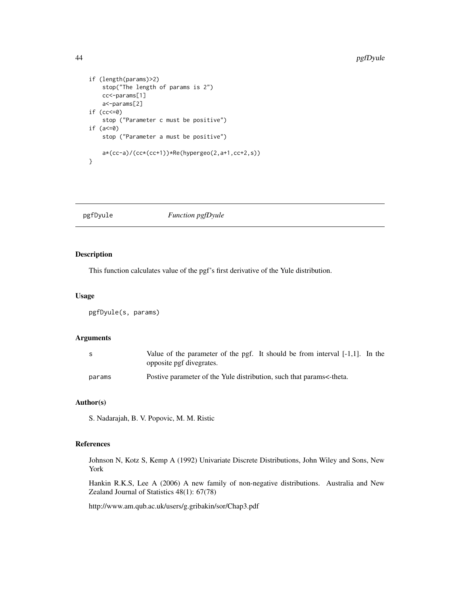```
if (length(params)>2)
   stop("The length of params is 2")
   cc<-params[1]
   a<-params[2]
if (cc<=0)
   stop ("Parameter c must be positive")
if (a<=0)
   stop ("Parameter a must be positive")
   a*(cc-a)/(cc*(cc+1))*Re(hypergeo(2,a+1,cc+2,s))
}
```
pgfDyule *Function pgfDyule*

### Description

This function calculates value of the pgf's first derivative of the Yule distribution.

## Usage

pgfDyule(s, params)

# Arguments

| -S     | Value of the parameter of the pgf. It should be from interval [-1,1]. In the<br>opposite pgf divegrates. |
|--------|----------------------------------------------------------------------------------------------------------|
| params | Postive parameter of the Yule distribution, such that params<-theta.                                     |

# Author(s)

S. Nadarajah, B. V. Popovic, M. M. Ristic

# References

Johnson N, Kotz S, Kemp A (1992) Univariate Discrete Distributions, John Wiley and Sons, New York

Hankin R.K.S, Lee A (2006) A new family of non-negative distributions. Australia and New Zealand Journal of Statistics 48(1): 67(78)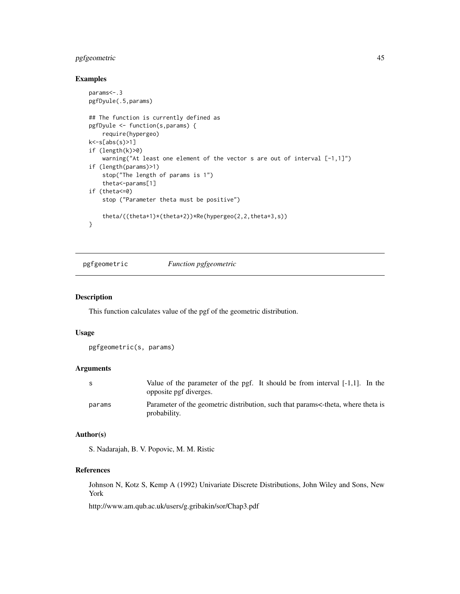# pgfgeometric 45

## Examples

```
params<-.3
pgfDyule(.5,params)
## The function is currently defined as
pgfDyule <- function(s,params) {
    require(hypergeo)
k<-s[abs(s)>1]
if (length(k)>0)
    warning("At least one element of the vector s are out of interval [-1,1]")
if (length(params)>1)
   stop("The length of params is 1")
    theta<-params[1]
if (theta<=0)
   stop ("Parameter theta must be positive")
    theta/((theta+1)*(theta+2))*Re(hypergeo(2,2,theta+3,s))
}
```
pgfgeometric *Function pgfgeometric*

### Description

This function calculates value of the pgf of the geometric distribution.

### Usage

pgfgeometric(s, params)

#### Arguments

| S      | Value of the parameter of the pgf. It should be from interval $[-1,1]$ . In the<br>opposite pgf diverges. |
|--------|-----------------------------------------------------------------------------------------------------------|
| params | Parameter of the geometric distribution, such that params<-theta, where theta is<br>probability.          |

# Author(s)

S. Nadarajah, B. V. Popovic, M. M. Ristic

# References

Johnson N, Kotz S, Kemp A (1992) Univariate Discrete Distributions, John Wiley and Sons, New York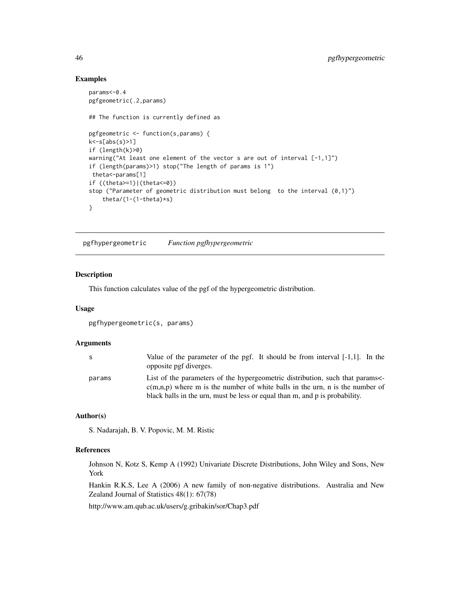### Examples

```
params<-0.4
pgfgeometric(.2,params)
## The function is currently defined as
pgfgeometric <- function(s,params) {
k<-s[abs(s)>1]
if (length(k)>0)
warning("At least one element of the vector s are out of interval [-1,1]")
if (length(params)>1) stop("The length of params is 1")
theta<-params[1]
if ((theta>=1)|(theta<=0))
stop ("Parameter of geometric distribution must belong to the interval (0,1)")
    theta/(1-(1-theta)*s)
}
```
pgfhypergeometric *Function pgfhypergeometric*

#### Description

This function calculates value of the pgf of the hypergeometric distribution.

### Usage

pgfhypergeometric(s, params)

### **Arguments**

| S      | Value of the parameter of the pgf. It should be from interval $[-1,1]$ . In the<br>opposite pgf diverges.                                                     |
|--------|---------------------------------------------------------------------------------------------------------------------------------------------------------------|
| params | List of the parameters of the hypergeometric distribution, such that params<br>$c(m,n,p)$ where m is the number of white balls in the urn, n is the number of |
|        | black balls in the urn, must be less or equal than m, and p is probability.                                                                                   |

## Author(s)

S. Nadarajah, B. V. Popovic, M. M. Ristic

## References

Johnson N, Kotz S, Kemp A (1992) Univariate Discrete Distributions, John Wiley and Sons, New York

Hankin R.K.S, Lee A (2006) A new family of non-negative distributions. Australia and New Zealand Journal of Statistics 48(1): 67(78)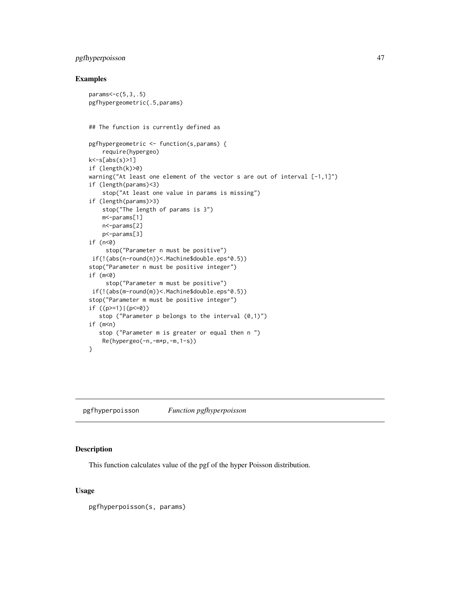# pgfhyperpoisson 47

### Examples

```
params<-c(5,3,.5)
pgfhypergeometric(.5,params)
## The function is currently defined as
pgfhypergeometric <- function(s,params) {
    require(hypergeo)
k<-s[abs(s)>1]
if (length(k)>0)
warning("At least one element of the vector s are out of interval [-1,1]")
if (length(params)<3)
    stop("At least one value in params is missing")
if (length(params)>3)
    stop("The length of params is 3")
   m<-params[1]
   n<-params[2]
    p<-params[3]
if (n<0)
     stop("Parameter n must be positive")
if(!(abs(n-round(n))<.Machine$double.eps^0.5))
stop("Parameter n must be positive integer")
if (m<0)
     stop("Parameter m must be positive")
if(!(abs(m-round(m))<.Machine$double.eps^0.5))
stop("Parameter m must be positive integer")
if ((p>=1)|(p<=0))stop ("Parameter p belongs to the interval (0,1)")
if (m < n)stop ("Parameter m is greater or equal then n ")
   Re(hypergeo(-n,-m*p,-m,1-s))
}
```
pgfhyperpoisson *Function pgfhyperpoisson*

# Description

This function calculates value of the pgf of the hyper Poisson distribution.

#### Usage

pgfhyperpoisson(s, params)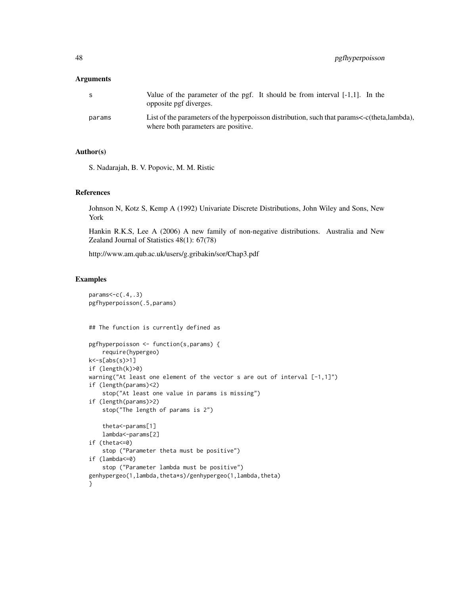### **Arguments**

| S.     | Value of the parameter of the pgf. It should be from interval $[-1,1]$ . In the<br>opposite pgf diverges.                          |
|--------|------------------------------------------------------------------------------------------------------------------------------------|
| params | List of the parameters of the hyperpoisson distribution, such that params<-c(theta,lambda),<br>where both parameters are positive. |

#### Author(s)

S. Nadarajah, B. V. Popovic, M. M. Ristic

#### References

Johnson N, Kotz S, Kemp A (1992) Univariate Discrete Distributions, John Wiley and Sons, New York

Hankin R.K.S, Lee A (2006) A new family of non-negative distributions. Australia and New Zealand Journal of Statistics 48(1): 67(78)

http://www.am.qub.ac.uk/users/g.gribakin/sor/Chap3.pdf

```
params < -c(.4,.3)pgfhyperpoisson(.5,params)
## The function is currently defined as
pgfhyperpoisson <- function(s,params) {
    require(hypergeo)
k<-s[abs(s)>1]
if (length(k)>0)
warning("At least one element of the vector s are out of interval [-1,1]")
if (length(params)<2)
    stop("At least one value in params is missing")
if (length(params)>2)
    stop("The length of params is 2")
    theta<-params[1]
   lambda<-params[2]
if (theta<=0)
    stop ("Parameter theta must be positive")
if (lambda<=0)
    stop ("Parameter lambda must be positive")
genhypergeo(1,lambda,theta*s)/genhypergeo(1,lambda,theta)
}
```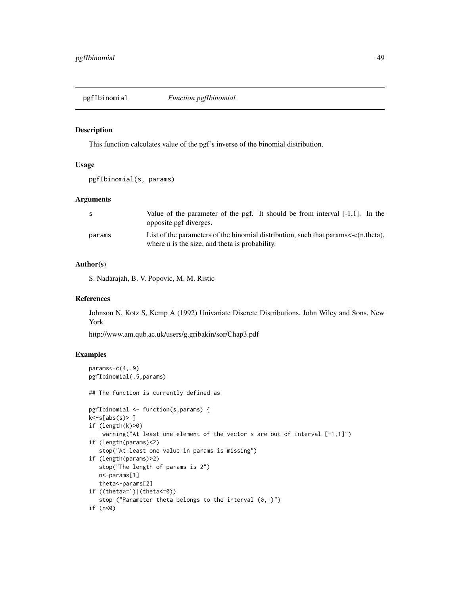pgfIbinomial *Function pgfIbinomial*

### Description

This function calculates value of the pgf's inverse of the binomial distribution.

# Usage

```
pgfIbinomial(s, params)
```
#### Arguments

| -S     | Value of the parameter of the pgf. It should be from interval $[-1,1]$ . In the<br>opposite pgf diverges.                                  |
|--------|--------------------------------------------------------------------------------------------------------------------------------------------|
| params | List of the parameters of the binomial distribution, such that params $\lt$ -c(n,theta),<br>where n is the size, and theta is probability. |

# Author(s)

S. Nadarajah, B. V. Popovic, M. M. Ristic

#### References

Johnson N, Kotz S, Kemp A (1992) Univariate Discrete Distributions, John Wiley and Sons, New York

http://www.am.qub.ac.uk/users/g.gribakin/sor/Chap3.pdf

```
params < -c(4, .9)pgfIbinomial(.5,params)
## The function is currently defined as
pgfIbinomial <- function(s,params) {
k<-s[abs(s)>1]
if (length(k)>0)
    warning("At least one element of the vector s are out of interval [-1,1]")
if (length(params)<2)
   stop("At least one value in params is missing")
if (length(params)>2)
   stop("The length of params is 2")
  n<-params[1]
   theta<-params[2]
if ((theta>=1)|(theta<=0))
   stop ("Parameter theta belongs to the interval (0,1)")
if (n<0)
```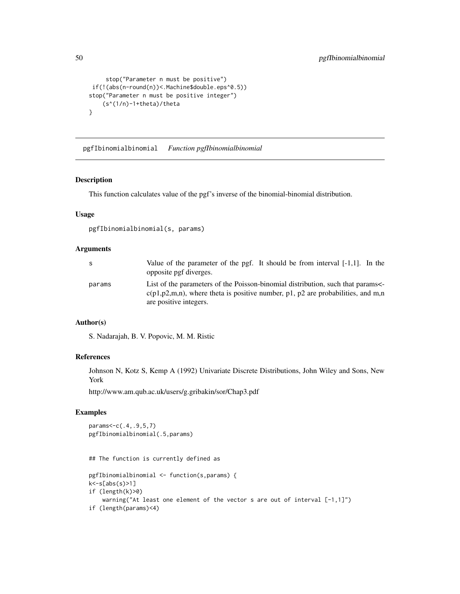```
stop("Parameter n must be positive")
if(!(abs(n-round(n))<.Machine$double.eps^0.5))
stop("Parameter n must be positive integer")
    (s^(1/n)-1+theta)/theta
}
```
pgfIbinomialbinomial *Function pgfIbinomialbinomial*

### Description

This function calculates value of the pgf's inverse of the binomial-binomial distribution.

## Usage

```
pgfIbinomialbinomial(s, params)
```
#### Arguments

| S.     | Value of the parameter of the pgf. It should be from interval $[-1,1]$ . In the<br>opposite pgf diverges.                                                                                          |
|--------|----------------------------------------------------------------------------------------------------------------------------------------------------------------------------------------------------|
| params | List of the parameters of the Poisson-binomial distribution, such that params<br>$c(p_1, p_2, m, n)$ , where theta is positive number, p1, p2 are probabilities, and m,n<br>are positive integers. |

# Author(s)

S. Nadarajah, B. V. Popovic, M. M. Ristic

# References

Johnson N, Kotz S, Kemp A (1992) Univariate Discrete Distributions, John Wiley and Sons, New York

http://www.am.qub.ac.uk/users/g.gribakin/sor/Chap3.pdf

# Examples

```
params<-c(.4,.9,5,7)
pgfIbinomialbinomial(.5,params)
```
## The function is currently defined as

```
pgfIbinomialbinomial <- function(s,params) {
k<-s[abs(s)>1]
if (length(k)>0)
   warning("At least one element of the vector s are out of interval [-1,1]")
if (length(params)<4)
```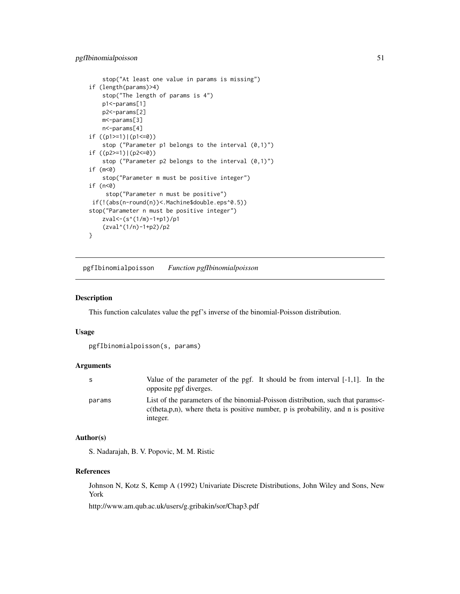# pgfIbinomialpoisson 51

```
stop("At least one value in params is missing")
if (length(params)>4)
   stop("The length of params is 4")
   p1<-params[1]
   p2<-params[2]
   m<-params[3]
   n<-params[4]
if ((p1>=1)|(p1<=0))
   stop ("Parameter p1 belongs to the interval (0,1)")
if ((p2>=1)|(p2<=0))
    stop ("Parameter p2 belongs to the interval (0,1)")
if (m<0)
    stop("Parameter m must be positive integer")
if (n<0)
     stop("Parameter n must be positive")
if(!(abs(n-round(n))<.Machine$double.eps^0.5))
stop("Parameter n must be positive integer")
   zval<-(s^(1/m)-1+p1)/p1
    (zval^(1/n)-1+p2)/p2
}
```
pgfIbinomialpoisson *Function pgfIbinomialpoisson*

### Description

This function calculates value the pgf's inverse of the binomial-Poisson distribution.

#### Usage

```
pgfIbinomialpoisson(s, params)
```
### Arguments

| S.     | Value of the parameter of the pgf. It should be from interval $[-1,1]$ . In the<br>opposite pgf diverges.                                                                           |
|--------|-------------------------------------------------------------------------------------------------------------------------------------------------------------------------------------|
| params | List of the parameters of the binomial-Poisson distribution, such that params<br>$c$ (theta, p, n), where theta is positive number, p is probability, and n is positive<br>integer. |

### Author(s)

S. Nadarajah, B. V. Popovic, M. M. Ristic

#### References

Johnson N, Kotz S, Kemp A (1992) Univariate Discrete Distributions, John Wiley and Sons, New York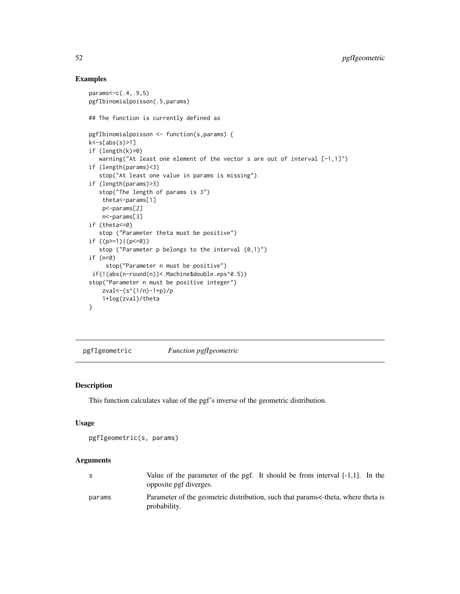### Examples

```
params<-c(.4,.9,5)
pgfIbinomialpoisson(.5,params)
## The function is currently defined as
pgfIbinomialpoisson <- function(s,params) {
k<-s[abs(s)>1]
if (length(k)>0)
   warning("At least one element of the vector s are out of interval [-1,1]")
if (length(params)<3)
   stop("At least one value in params is missing")
if (length(params)>3)
   stop("The length of params is 3")
   theta<-params[1]
   p<-params[2]
   n<-params[3]
if (theta<=0)
   stop ("Parameter theta must be positive")
if ((p>=1)|(p<=0))stop ("Parameter p belongs to the interval (0,1)")
if (n<0)
     stop("Parameter n must be positive")
if(!(abs(n-round(n))<.Machine$double.eps^0.5))
stop("Parameter n must be positive integer")
   zval<-(s^(1/n)-1+p)/p
    1+log(zval)/theta
}
```
pgfIgeometric *Function pgfIgeometric*

### Description

This function calculates value of the pgf's inverse of the geometric distribution.

#### Usage

```
pgfIgeometric(s, params)
```
#### Arguments

| S      | Value of the parameter of the pgf. It should be from interval $[-1,1]$ . In the<br>opposite pgf diverges. |
|--------|-----------------------------------------------------------------------------------------------------------|
| params | Parameter of the geometric distribution, such that params<-theta, where theta is<br>probability.          |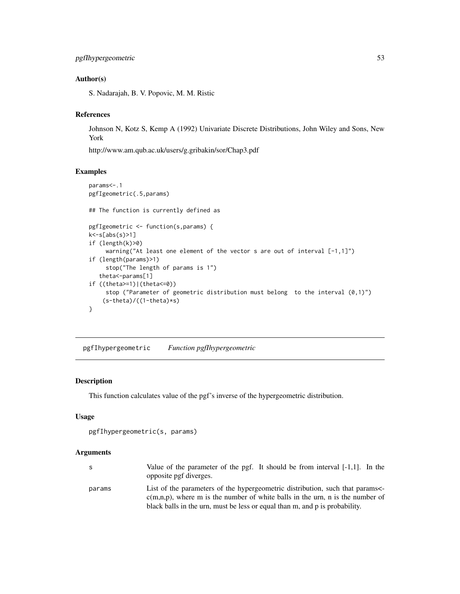# Author(s)

S. Nadarajah, B. V. Popovic, M. M. Ristic

# References

Johnson N, Kotz S, Kemp A (1992) Univariate Discrete Distributions, John Wiley and Sons, New York

http://www.am.qub.ac.uk/users/g.gribakin/sor/Chap3.pdf

### Examples

```
params<-.1
pgfIgeometric(.5,params)
## The function is currently defined as
pgfIgeometric <- function(s,params) {
k<-s[abs(s)>1]
if (length(k)>0)
     warning("At least one element of the vector s are out of interval [-1,1]")
if (length(params)>1)
     stop("The length of params is 1")
   theta<-params[1]
if ((theta>=1)|(theta<=0))
     stop ("Parameter of geometric distribution must belong to the interval (0,1)")
    (s-theta)/((1-theta)*s)
}
```
pgfIhypergeometric *Function pgfIhypergeometric*

## Description

This function calculates value of the pgf's inverse of the hypergeometric distribution.

## Usage

```
pgfIhypergeometric(s, params)
```
#### Arguments

| -S     | Value of the parameter of the pgf. It should be from interval $[-1,1]$ . In the<br>opposite pgf diverges.                                                                                                                                      |
|--------|------------------------------------------------------------------------------------------------------------------------------------------------------------------------------------------------------------------------------------------------|
| params | List of the parameters of the hypergeometric distribution, such that params<br>$c(m,n,p)$ , where m is the number of white balls in the urn, n is the number of<br>black balls in the urn, must be less or equal than m, and p is probability. |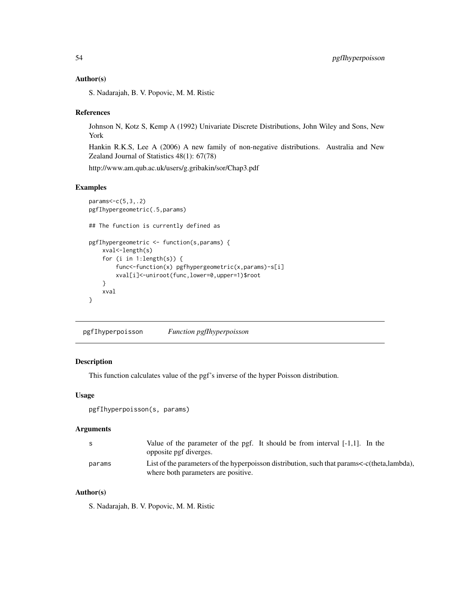#### Author(s)

S. Nadarajah, B. V. Popovic, M. M. Ristic

### References

Johnson N, Kotz S, Kemp A (1992) Univariate Discrete Distributions, John Wiley and Sons, New York

Hankin R.K.S, Lee A (2006) A new family of non-negative distributions. Australia and New Zealand Journal of Statistics 48(1): 67(78)

http://www.am.qub.ac.uk/users/g.gribakin/sor/Chap3.pdf

### Examples

```
params<-c(5,3,.2)
pgfIhypergeometric(.5,params)
## The function is currently defined as
pgfIhypergeometric <- function(s,params) {
   xval<-length(s)
   for (i in 1:length(s)) {
        func<-function(x) pgfhypergeometric(x,params)-s[i]
        xval[i]<-uniroot(func,lower=0,upper=1)$root
    }
   xval
}
```
pgfIhyperpoisson *Function pgfIhyperpoisson*

### Description

This function calculates value of the pgf's inverse of the hyper Poisson distribution.

## Usage

```
pgfIhyperpoisson(s, params)
```
### Arguments

|        | Value of the parameter of the pgf. It should be from interval $[-1,1]$ . In the             |
|--------|---------------------------------------------------------------------------------------------|
|        | opposite pgf diverges.                                                                      |
| params | List of the parameters of the hyperpoisson distribution, such that params<-c(theta,lambda), |
|        | where both parameters are positive.                                                         |

# Author(s)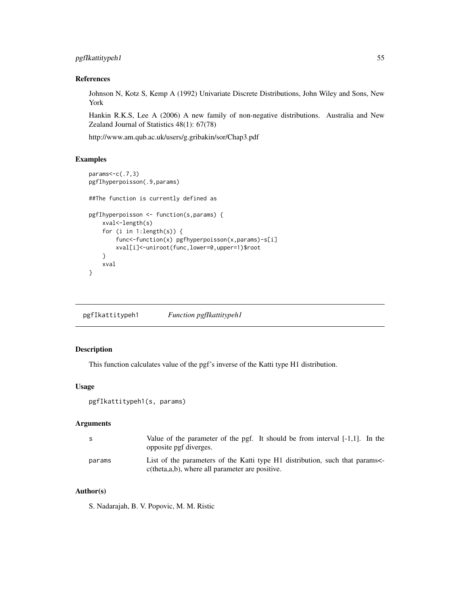# pgfIkattitypeh1 55

## References

Johnson N, Kotz S, Kemp A (1992) Univariate Discrete Distributions, John Wiley and Sons, New York

Hankin R.K.S, Lee A (2006) A new family of non-negative distributions. Australia and New Zealand Journal of Statistics 48(1): 67(78)

http://www.am.qub.ac.uk/users/g.gribakin/sor/Chap3.pdf

### Examples

```
params<-c(.7,3)
pgfIhyperpoisson(.9,params)
##The function is currently defined as
pgfIhyperpoisson <- function(s,params) {
   xval<-length(s)
   for (i in 1:length(s)) {
       func<-function(x) pgfhyperpoisson(x,params)-s[i]
       xval[i]<-uniroot(func,lower=0,upper=1)$root
    }
   xval
}
```
pgfIkattitypeh1 *Function pgfIkattitypeh1*

## Description

This function calculates value of the pgf's inverse of the Katti type H1 distribution.

#### Usage

```
pgfIkattitypeh1(s, params)
```
#### **Arguments**

| - S    | Value of the parameter of the pgf. It should be from interval $[-1,1]$ . In the<br>opposite pgf diverges.                        |
|--------|----------------------------------------------------------------------------------------------------------------------------------|
| params | List of the parameters of the Katti type H1 distribution, such that params<br>$c$ (theta,a,b), where all parameter are positive. |

# Author(s)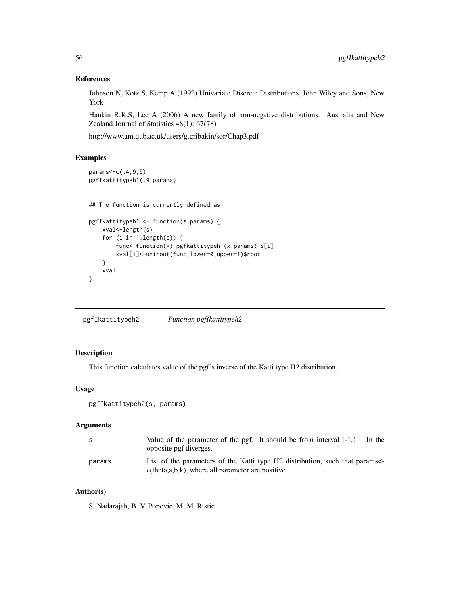### References

Johnson N, Kotz S, Kemp A (1992) Univariate Discrete Distributions, John Wiley and Sons, New York

Hankin R.K.S, Lee A (2006) A new family of non-negative distributions. Australia and New Zealand Journal of Statistics 48(1): 67(78)

http://www.am.qub.ac.uk/users/g.gribakin/sor/Chap3.pdf

### Examples

```
params<-c(.4,9,5)
pgfIkattitypeh1(.9,params)
## The function is currently defined as
pgfIkattitypeh1 <- function(s,params) {
    xval<-length(s)
    for (i in 1:length(s)) {
       func<-function(x) pgfkattitypeh1(x,params)-s[i]
       xval[i]<-uniroot(func,lower=0,upper=1)$root
    }
    xval
}
```
pgfIkattitypeh2 *Function pgfIkattitypeh2*

# Description

This function calculates value of the pgf's inverse of the Katti type H2 distribution.

## Usage

```
pgfIkattitypeh2(s, params)
```
### Arguments

| - S    | Value of the parameter of the pgf. It should be from interval $[-1,1]$ . In the<br>opposite pgf diverges.                             |
|--------|---------------------------------------------------------------------------------------------------------------------------------------|
| params | List of the parameters of the Katti type H2 distribution, such that params<br>$c$ (theta, a, b, k), where all parameter are positive. |

# Author(s)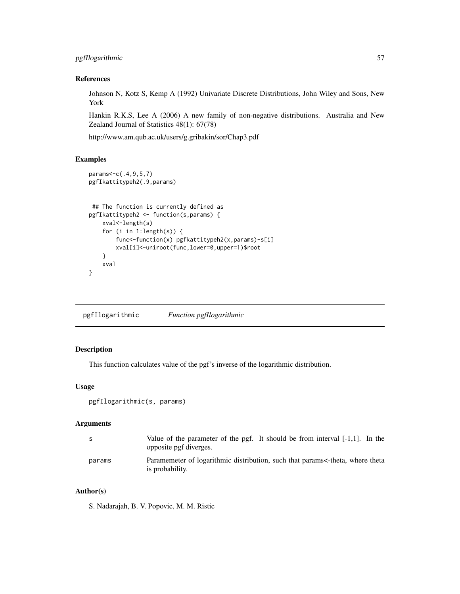# pgfIlogarithmic 57

## References

Johnson N, Kotz S, Kemp A (1992) Univariate Discrete Distributions, John Wiley and Sons, New York

Hankin R.K.S, Lee A (2006) A new family of non-negative distributions. Australia and New Zealand Journal of Statistics 48(1): 67(78)

http://www.am.qub.ac.uk/users/g.gribakin/sor/Chap3.pdf

### Examples

```
params<-c(.4,9,5,7)
pgfIkattitypeh2(.9,params)
## The function is currently defined as
pgfIkattitypeh2 <- function(s,params) {
   xval<-length(s)
   for (i in 1:length(s)) {
       func<-function(x) pgfkattitypeh2(x,params)-s[i]
       xval[i]<-uniroot(func,lower=0,upper=1)$root
    }
   xval
}
```
pgfIlogarithmic *Function pgfIlogarithmic*

### Description

This function calculates value of the pgf's inverse of the logarithmic distribution.

# Usage

```
pgfIlogarithmic(s, params)
```
#### **Arguments**

| -S     | Value of the parameter of the pgf. It should be from interval $[-1,1]$ . In the<br>opposite pgf diverges. |
|--------|-----------------------------------------------------------------------------------------------------------|
| params | Paramemeter of logarithmic distribution, such that params<-theta, where theta<br>is probability.          |

# Author(s)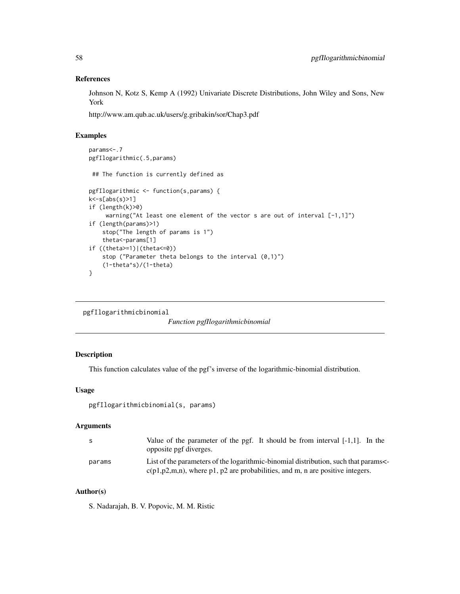### References

Johnson N, Kotz S, Kemp A (1992) Univariate Discrete Distributions, John Wiley and Sons, New York

http://www.am.qub.ac.uk/users/g.gribakin/sor/Chap3.pdf

# Examples

```
params<-.7
pgfIlogarithmic(.5,params)
## The function is currently defined as
pgfIlogarithmic <- function(s,params) {
k<-s[abs(s)>1]
if (length(k)>0)
    warning("At least one element of the vector s are out of interval [-1,1]")
if (length(params)>1)
   stop("The length of params is 1")
   theta<-params[1]
if ((theta>=1)|(theta<=0))
    stop ("Parameter theta belongs to the interval (0,1)")
    (1-theta^s)/(1-theta)
}
```
pgfIlogarithmicbinomial

*Function pgfIlogarithmicbinomial*

# Description

This function calculates value of the pgf's inverse of the logarithmic-binomial distribution.

### Usage

```
pgfIlogarithmicbinomial(s, params)
```
#### **Arguments**

| - S    | Value of the parameter of the pgf. It should be from interval $[-1,1]$ . In the<br>opposite pgf diverges.                                                             |
|--------|-----------------------------------------------------------------------------------------------------------------------------------------------------------------------|
| params | List of the parameters of the logarithmic-binomial distribution, such that params<br>$c(p1,p2,m,n)$ , where p1, p2 are probabilities, and m, n are positive integers. |

# Author(s)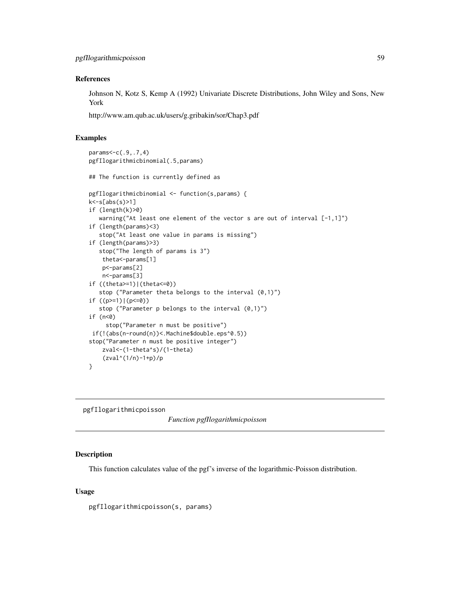#### References

Johnson N, Kotz S, Kemp A (1992) Univariate Discrete Distributions, John Wiley and Sons, New York

http://www.am.qub.ac.uk/users/g.gribakin/sor/Chap3.pdf

### Examples

```
params<-c(.9,.7,4)
pgfIlogarithmicbinomial(.5,params)
## The function is currently defined as
pgfIlogarithmicbinomial <- function(s,params) {
k<-s[abs(s)>1]
if (length(k)>0)
   warning("At least one element of the vector s are out of interval [-1,1]")
if (length(params)<3)
   stop("At least one value in params is missing")
if (length(params)>3)
   stop("The length of params is 3")
   theta<-params[1]
   p<-params[2]
   n<-params[3]
if ((theta>=1)|(theta<=0))
   stop ("Parameter theta belongs to the interval (0,1)")
if ((p>=1)|(p<=0))
   stop ("Parameter p belongs to the interval (0,1)")
if (n<0)
     stop("Parameter n must be positive")
if(!(abs(n-round(n))<.Machine$double.eps^0.5))
stop("Parameter n must be positive integer")
   zval<-(1-theta^s)/(1-theta)
    (zval^(1/n)-1+p)/p}
```
pgfIlogarithmicpoisson

*Function pgfIlogarithmicpoisson*

#### Description

This function calculates value of the pgf's inverse of the logarithmic-Poisson distribution.

#### Usage

pgfIlogarithmicpoisson(s, params)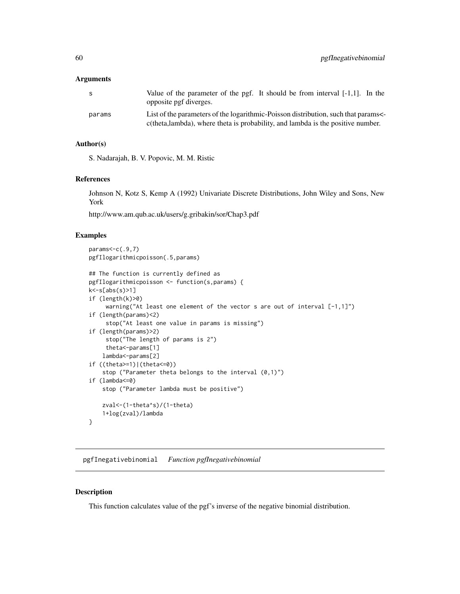#### **Arguments**

| -S     | Value of the parameter of the pgf. It should be from interval $[-1,1]$ . In the<br>opposite pgf diverges.                                                           |
|--------|---------------------------------------------------------------------------------------------------------------------------------------------------------------------|
| params | List of the parameters of the logarithmic-Poisson distribution, such that params<br>c(theta,lambda), where theta is probability, and lambda is the positive number. |

## Author(s)

S. Nadarajah, B. V. Popovic, M. M. Ristic

### References

Johnson N, Kotz S, Kemp A (1992) Univariate Discrete Distributions, John Wiley and Sons, New York

http://www.am.qub.ac.uk/users/g.gribakin/sor/Chap3.pdf

### Examples

```
params < -c(.9, 7)pgfIlogarithmicpoisson(.5,params)
## The function is currently defined as
pgfIlogarithmicpoisson <- function(s,params) {
k<-s[abs(s)>1]
if (length(k)>0)
     warning("At least one element of the vector s are out of interval [-1,1]")
if (length(params)<2)
     stop("At least one value in params is missing")
if (length(params)>2)
     stop("The length of params is 2")
     theta<-params[1]
    lambda<-params[2]
if ((theta>=1)|(theta<=0))
    stop ("Parameter theta belongs to the interval (0,1)")
if (lambda<=0)
   stop ("Parameter lambda must be positive")
    zval<-(1-theta^s)/(1-theta)
    1+log(zval)/lambda
}
```
pgfInegativebinomial *Function pgfInegativebinomial*

## Description

This function calculates value of the pgf's inverse of the negative binomial distribution.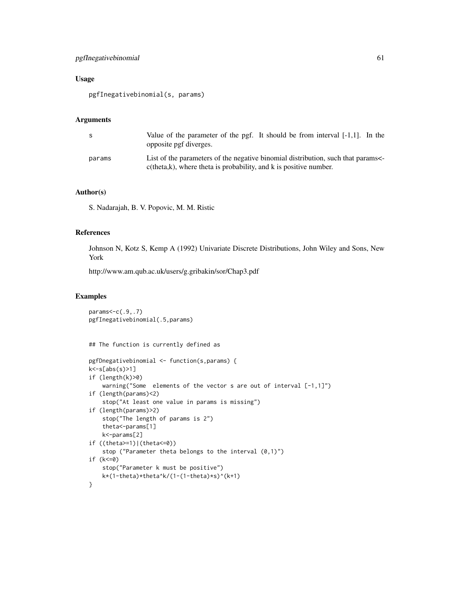# pgfInegativebinomial 61

## Usage

pgfInegativebinomial(s, params)

### Arguments

| S      | Value of the parameter of the pgf. It should be from interval $[-1,1]$ . In the<br>opposite pgf diverges.                                              |
|--------|--------------------------------------------------------------------------------------------------------------------------------------------------------|
| params | List of the parameters of the negative binomial distribution, such that params<br>$c$ (theta,k), where theta is probability, and k is positive number. |

### Author(s)

S. Nadarajah, B. V. Popovic, M. M. Ristic

### References

Johnson N, Kotz S, Kemp A (1992) Univariate Discrete Distributions, John Wiley and Sons, New York

http://www.am.qub.ac.uk/users/g.gribakin/sor/Chap3.pdf

```
params<-c(.9,.7)
pgfInegativebinomial(.5,params)
## The function is currently defined as
pgfDnegativebinomial <- function(s,params) {
k<-s[abs(s)>1]
if (length(k)>0)
    warning("Some elements of the vector s are out of interval [-1,1]")
if (length(params)<2)
    stop("At least one value in params is missing")
if (length(params)>2)
   stop("The length of params is 2")
   theta<-params[1]
   k<-params[2]
if ((theta>=1)|(theta<=0))
    stop ("Parameter theta belongs to the interval (0,1)")
if (k<=0)
   stop("Parameter k must be positive")
   k*(1-theta)*theta^k/(1-(1-theta)*s)^(k+1)
}
```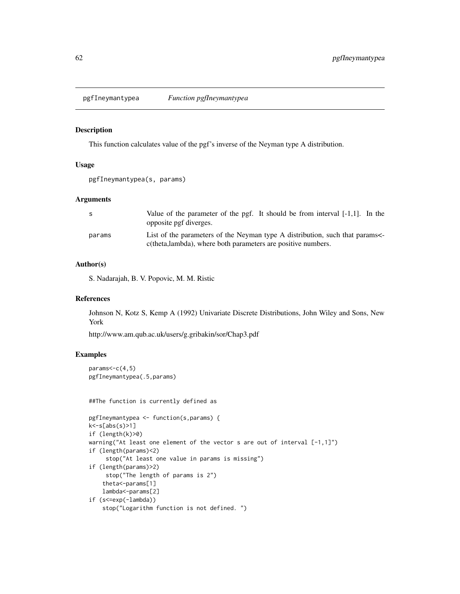pgfIneymantypea *Function pgfIneymantypea*

#### Description

This function calculates value of the pgf's inverse of the Neyman type A distribution.

# Usage

```
pgfIneymantypea(s, params)
```
#### Arguments

| -S     | Value of the parameter of the pgf. It should be from interval $[-1,1]$ . In the<br>opposite pgf diverges.                                  |
|--------|--------------------------------------------------------------------------------------------------------------------------------------------|
| params | List of the parameters of the Neyman type A distribution, such that params<br>c(theta,lambda), where both parameters are positive numbers. |

# Author(s)

S. Nadarajah, B. V. Popovic, M. M. Ristic

### References

Johnson N, Kotz S, Kemp A (1992) Univariate Discrete Distributions, John Wiley and Sons, New York

http://www.am.qub.ac.uk/users/g.gribakin/sor/Chap3.pdf

```
params < -c(4,5)pgfIneymantypea(.5,params)
```

```
##The function is currently defined as
```

```
pgfIneymantypea <- function(s,params) {
k<-s[abs(s)>1]
if (length(k)>0)
warning("At least one element of the vector s are out of interval [-1,1]")
if (length(params)<2)
     stop("At least one value in params is missing")
if (length(params)>2)
     stop("The length of params is 2")
    theta<-params[1]
   lambda<-params[2]
if (s<=exp(-lambda))
   stop("Logarithm function is not defined. ")
```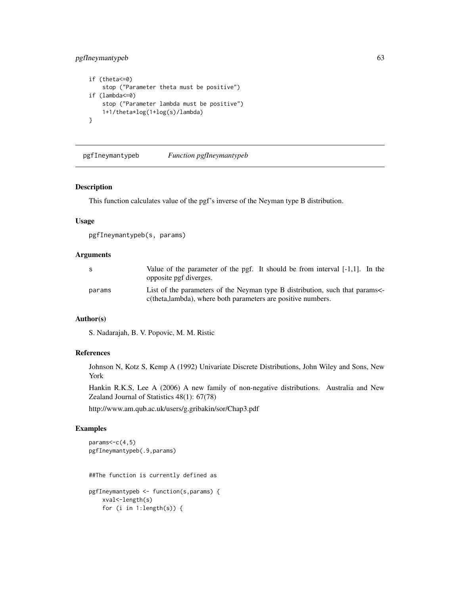# pgfIneymantypeb 63

```
if (theta<=0)
    stop ("Parameter theta must be positive")
if (lambda<=0)
   stop ("Parameter lambda must be positive")
   1+1/theta*log(1+log(s)/lambda)
}
```
pgfIneymantypeb *Function pgfIneymantypeb*

### Description

This function calculates value of the pgf's inverse of the Neyman type B distribution.

#### Usage

pgfIneymantypeb(s, params)

## Arguments

| -S     | Value of the parameter of the pgf. It should be from interval $[-1,1]$ . In the<br>opposite pgf diverges.                                  |
|--------|--------------------------------------------------------------------------------------------------------------------------------------------|
| params | List of the parameters of the Neyman type B distribution, such that params<br>c(theta,lambda), where both parameters are positive numbers. |

### Author(s)

S. Nadarajah, B. V. Popovic, M. M. Ristic

# References

Johnson N, Kotz S, Kemp A (1992) Univariate Discrete Distributions, John Wiley and Sons, New York

Hankin R.K.S, Lee A (2006) A new family of non-negative distributions. Australia and New Zealand Journal of Statistics 48(1): 67(78)

http://www.am.qub.ac.uk/users/g.gribakin/sor/Chap3.pdf

```
params<-c(4,5)
pgfIneymantypeb(.9,params)
##The function is currently defined as
pgfIneymantypeb <- function(s,params) {
   xval<-length(s)
   for (i in 1:length(s)) {
```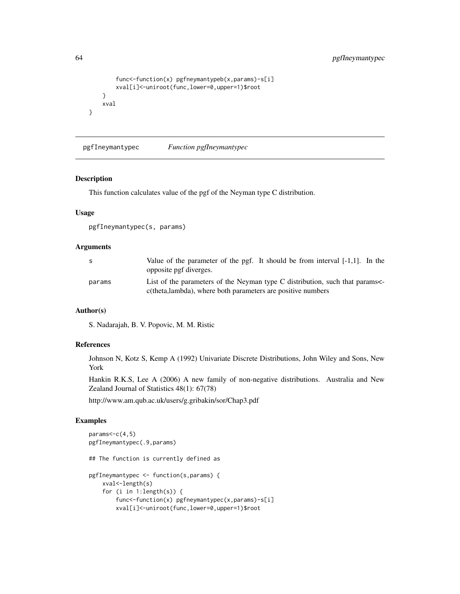```
func<-function(x) pgfneymantypeb(x,params)-s[i]
        xval[i]<-uniroot(func,lower=0,upper=1)$root
    }
   xval
}
```
pgfIneymantypec *Function pgfIneymantypec*

## Description

This function calculates value of the pgf of the Neyman type C distribution.

## Usage

pgfIneymantypec(s, params)

## Arguments

| -S     | Value of the parameter of the pgf. It should be from interval $[-1,1]$ . In the<br>opposite pgf diverges.                                 |
|--------|-------------------------------------------------------------------------------------------------------------------------------------------|
| params | List of the parameters of the Neyman type C distribution, such that params<br>c(theta,lambda), where both parameters are positive numbers |

#### Author(s)

S. Nadarajah, B. V. Popovic, M. M. Ristic

### References

Johnson N, Kotz S, Kemp A (1992) Univariate Discrete Distributions, John Wiley and Sons, New York

Hankin R.K.S, Lee A (2006) A new family of non-negative distributions. Australia and New Zealand Journal of Statistics 48(1): 67(78)

http://www.am.qub.ac.uk/users/g.gribakin/sor/Chap3.pdf

```
params <- c(4,5)
pgfIneymantypec(.9,params)
## The function is currently defined as
pgfIneymantypec <- function(s,params) {
    xval<-length(s)
    for (i in 1:length(s)) {
        func<-function(x) pgfneymantypec(x,params)-s[i]
        xval[i]<-uniroot(func,lower=0,upper=1)$root
```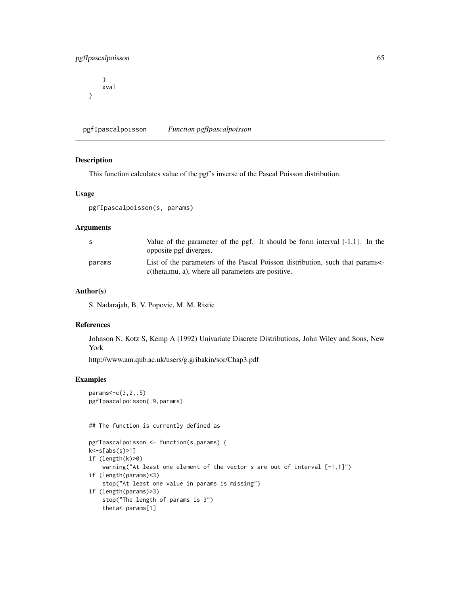# pgfIpascalpoisson 65

} xval }

pgfIpascalpoisson *Function pgfIpascalpoisson*

## Description

This function calculates value of the pgf's inverse of the Pascal Poisson distribution.

### Usage

```
pgfIpascalpoisson(s, params)
```
### Arguments

| - S    | Value of the parameter of the pgf. It should be form interval $[-1,1]$ . In the<br>opposite pgf diverges.                          |
|--------|------------------------------------------------------------------------------------------------------------------------------------|
| params | List of the parameters of the Pascal Poisson distribution, such that params<br>c(theta, mu, a), where all parameters are positive. |

#### Author(s)

S. Nadarajah, B. V. Popovic, M. M. Ristic

#### References

Johnson N, Kotz S, Kemp A (1992) Univariate Discrete Distributions, John Wiley and Sons, New York

http://www.am.qub.ac.uk/users/g.gribakin/sor/Chap3.pdf

# Examples

params<-c(3,2,.5) pgfIpascalpoisson(.9,params)

## The function is currently defined as

```
pgfIpascalpoisson <- function(s,params) {
k<-s[abs(s)>1]
if (length(k)>0)
    warning("At least one element of the vector s are out of interval [-1,1]")
if (length(params)<3)
    stop("At least one value in params is missing")
if (length(params)>3)
   stop("The length of params is 3")
   theta<-params[1]
```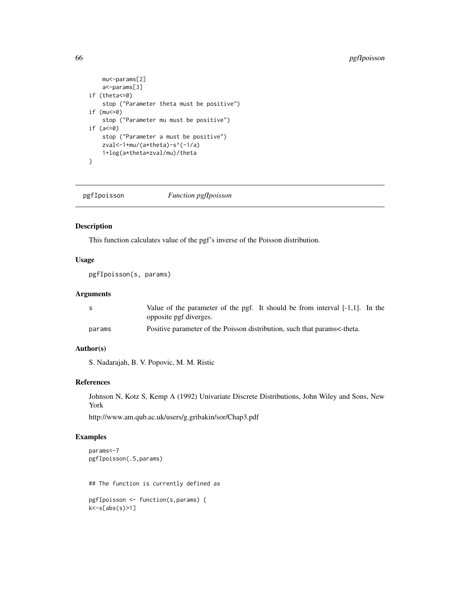```
mu<-params[2]
   a<-params[3]
if (theta<=0)
   stop ("Parameter theta must be positive")
if (mu<=0)
   stop ("Parameter mu must be positive")
if (a<=0)
   stop ("Parameter a must be positive")
   zval<-1+mu/(a*theta)-s^(-1/a)
   1+log(a*theta*zval/mu)/theta
}
```
pgfIpoisson *Function pgfIpoisson*

# Description

This function calculates value of the pgf's inverse of the Poisson distribution.

## Usage

pgfIpoisson(s, params)

## Arguments

| S.     | Value of the parameter of the pgf. It should be from interval $[-1,1]$ . In the |
|--------|---------------------------------------------------------------------------------|
|        | opposite pgf diverges.                                                          |
| params | Positive parameter of the Poisson distribution, such that params<-theta.        |

### Author(s)

S. Nadarajah, B. V. Popovic, M. M. Ristic

### References

Johnson N, Kotz S, Kemp A (1992) Univariate Discrete Distributions, John Wiley and Sons, New York

http://www.am.qub.ac.uk/users/g.gribakin/sor/Chap3.pdf

```
params<-7
pgfIpoisson(.5,params)
## The function is currently defined as
pgfIpoisson <- function(s,params) {
k<-s[abs(s)>1]
```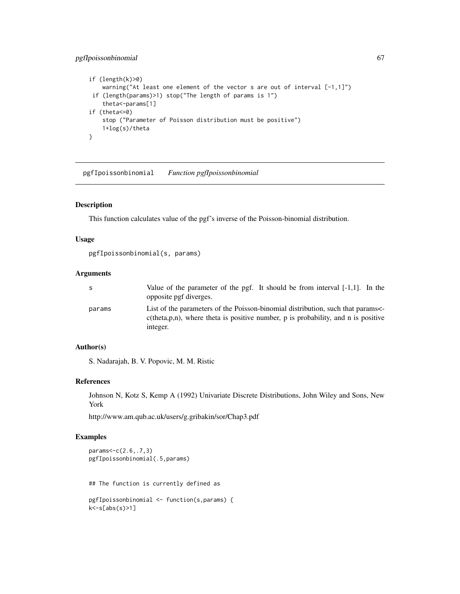# pgfIpoissonbinomial 67

```
if (length(k)>0)
   warning("At least one element of the vector s are out of interval [-1,1]")
if (length(params)>1) stop("The length of params is 1")
    theta<-params[1]
if (theta<=0)
   stop ("Parameter of Poisson distribution must be positive")
   1+log(s)/theta
}
```
pgfIpoissonbinomial *Function pgfIpoissonbinomial*

### Description

This function calculates value of the pgf's inverse of the Poisson-binomial distribution.

### Usage

```
pgfIpoissonbinomial(s, params)
```
## Arguments

| S      | Value of the parameter of the pgf. It should be from interval $[-1,1]$ . In the<br>opposite pgf diverges.                                                                           |
|--------|-------------------------------------------------------------------------------------------------------------------------------------------------------------------------------------|
| params | List of the parameters of the Poisson-binomial distribution, such that params<br>$c$ (theta, p, n), where theta is positive number, p is probability, and n is positive<br>integer. |

# Author(s)

S. Nadarajah, B. V. Popovic, M. M. Ristic

### References

Johnson N, Kotz S, Kemp A (1992) Univariate Discrete Distributions, John Wiley and Sons, New York

http://www.am.qub.ac.uk/users/g.gribakin/sor/Chap3.pdf

```
params<-c(2.6,.7,3)
pgfIpoissonbinomial(.5,params)
## The function is currently defined as
pgfIpoissonbinomial <- function(s,params) {
k<-s[abs(s)>1]
```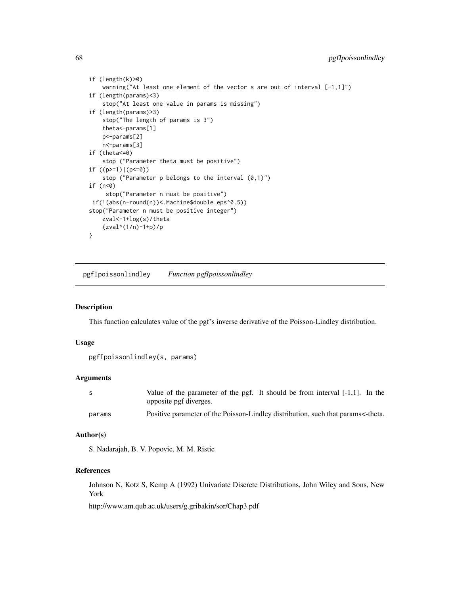```
if (length(k)>0)
    warning("At least one element of the vector s are out of interval [-1,1]")
if (length(params)<3)
   stop("At least one value in params is missing")
if (length(params)>3)
   stop("The length of params is 3")
   theta<-params[1]
   p<-params[2]
   n<-params[3]
if (theta<=0)
    stop ("Parameter theta must be positive")
if ((p>=1)|(p<=0))
    stop ("Parameter p belongs to the interval (0,1)")
if (n<0)
     stop("Parameter n must be positive")
if(!(abs(n-round(n))<.Machine$double.eps^0.5))
stop("Parameter n must be positive integer")
   zval<-1+log(s)/theta
    (zval^(1/n)-1+p)/p
}
```
pgfIpoissonlindley *Function pgfIpoissonlindley*

### Description

This function calculates value of the pgf's inverse derivative of the Poisson-Lindley distribution.

#### Usage

```
pgfIpoissonlindley(s, params)
```
### Arguments

| - S    | Value of the parameter of the pgf. It should be from interval [-1,1]. In the<br>opposite pgf diverges. |
|--------|--------------------------------------------------------------------------------------------------------|
| params | Positive parameter of the Poisson-Lindley distribution, such that params<-theta.                       |

### Author(s)

S. Nadarajah, B. V. Popovic, M. M. Ristic

#### References

Johnson N, Kotz S, Kemp A (1992) Univariate Discrete Distributions, John Wiley and Sons, New York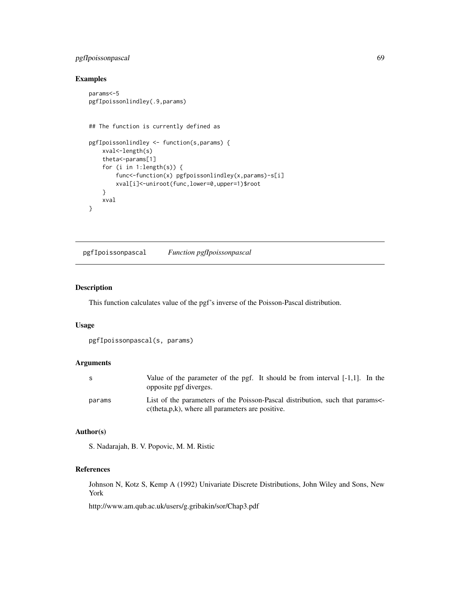# pgfIpoissonpascal 69

# Examples

```
params<-5
pgfIpoissonlindley(.9,params)
## The function is currently defined as
pgfIpoissonlindley <- function(s,params) {
    xval<-length(s)
    theta<-params[1]
   for (i in 1:length(s)) {
       func<-function(x) pgfpoissonlindley(x,params)-s[i]
       xval[i]<-uniroot(func,lower=0,upper=1)$root
    }
   xval
}
```
pgfIpoissonpascal *Function pgfIpoissonpascal*

### Description

This function calculates value of the pgf's inverse of the Poisson-Pascal distribution.

## Usage

```
pgfIpoissonpascal(s, params)
```
# Arguments

| -S     | Value of the parameter of the pgf. It should be from interval $[-1,1]$ . In the<br>opposite pgf diverges.                               |
|--------|-----------------------------------------------------------------------------------------------------------------------------------------|
| params | List of the parameters of the Poisson-Pascal distribution, such that params<br>$c$ (theta, $p, k$ ), where all parameters are positive. |

#### Author(s)

S. Nadarajah, B. V. Popovic, M. M. Ristic

# References

Johnson N, Kotz S, Kemp A (1992) Univariate Discrete Distributions, John Wiley and Sons, New York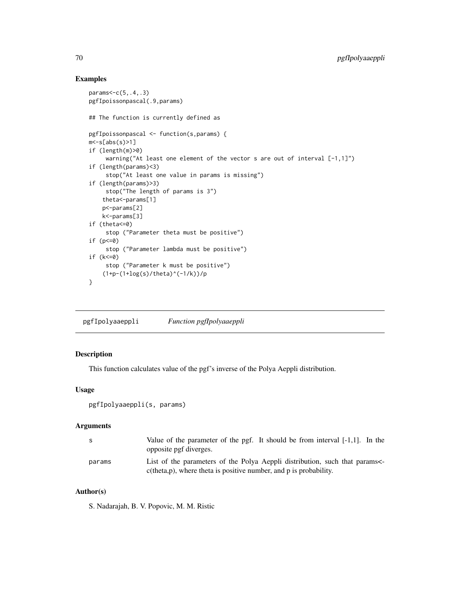# Examples

```
params<-c(5,.4,.3)
pgfIpoissonpascal(.9,params)
## The function is currently defined as
pgfIpoissonpascal <- function(s,params) {
m < -s[abs(s)>1]if (length(m)>0)
     warning("At least one element of the vector s are out of interval [-1,1]")
if (length(params)<3)
     stop("At least one value in params is missing")
if (length(params)>3)
     stop("The length of params is 3")
    theta<-params[1]
   p<-params[2]
   k<-params[3]
if (theta<=0)
     stop ("Parameter theta must be positive")
if (p<=0)
     stop ("Parameter lambda must be positive")
if (k<=0)
     stop ("Parameter k must be positive")
    (1+p-(1+log(s)/theta)<sup>^</sup>(-1/k))/p
}
```
pgfIpolyaaeppli *Function pgfIpolyaaeppli*

## Description

This function calculates value of the pgf's inverse of the Polya Aeppli distribution.

### Usage

```
pgfIpolyaaeppli(s, params)
```
#### Arguments

| S.     | Value of the parameter of the pgf. It should be from interval $[-1,1]$ . In the<br>opposite pgf diverges.                                          |
|--------|----------------------------------------------------------------------------------------------------------------------------------------------------|
| params | List of the parameters of the Polya Aeppli distribution, such that params<br>$c$ (theta, p), where theta is positive number, and p is probability. |

# Author(s)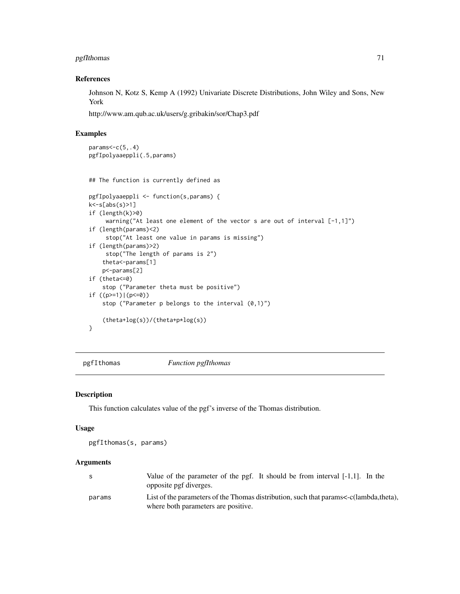# pgfIthomas 71

## References

Johnson N, Kotz S, Kemp A (1992) Univariate Discrete Distributions, John Wiley and Sons, New York

http://www.am.qub.ac.uk/users/g.gribakin/sor/Chap3.pdf

### Examples

```
params < -c(5, .4)pgfIpolyaaeppli(.5,params)
## The function is currently defined as
pgfIpolyaaeppli <- function(s,params) {
k<-s[abs(s)>1]
if (length(k)>0)
     warning("At least one element of the vector s are out of interval [-1,1]")
if (length(params)<2)
     stop("At least one value in params is missing")
if (length(params)>2)
     stop("The length of params is 2")
    theta<-params[1]
    p<-params[2]
if (theta<=0)
    stop ("Parameter theta must be positive")
if ((p>=1)|(p<=0))stop ("Parameter p belongs to the interval (0,1)")
    (theta+log(s))/(theta+p*log(s))
}
```
pgfIthomas *Function pgfIthomas*

### Description

This function calculates value of the pgf's inverse of the Thomas distribution.

### Usage

pgfIthomas(s, params)

## Arguments

|        | Value of the parameter of the pgf. It should be from interval $[-1,1]$ . In the<br>opposite pgf diverges.                    |
|--------|------------------------------------------------------------------------------------------------------------------------------|
| params | List of the parameters of the Thomas distribution, such that params<-c(lambda,theta),<br>where both parameters are positive. |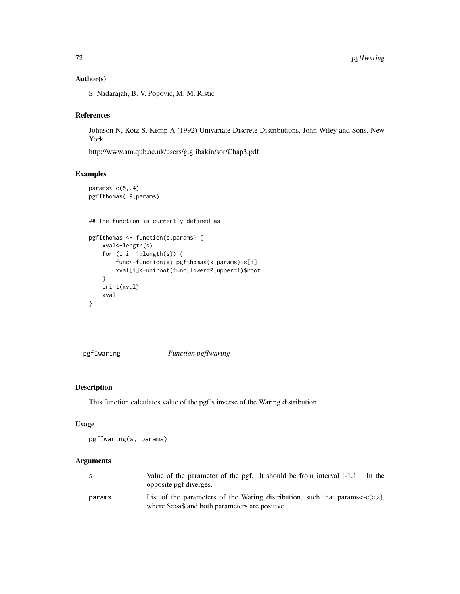# Author(s)

S. Nadarajah, B. V. Popovic, M. M. Ristic

# References

Johnson N, Kotz S, Kemp A (1992) Univariate Discrete Distributions, John Wiley and Sons, New York

http://www.am.qub.ac.uk/users/g.gribakin/sor/Chap3.pdf

## Examples

```
params<-c(5, .4)pgfIthomas(.9,params)
## The function is currently defined as
pgfIthomas <- function(s,params) {
   xval<-length(s)
   for (i in 1:length(s)) {
       func<-function(x) pgfthomas(x,params)-s[i]
       xval[i]<-uniroot(func,lower=0,upper=1)$root
    }
   print(xval)
    xval
}
```
pgfIwaring *Function pgfIwaring*

# Description

This function calculates value of the pgf's inverse of the Waring distribution.

#### Usage

```
pgfIwaring(s, params)
```
#### Arguments

| S      | Value of the parameter of the pgf. It should be from interval $[-1,1]$ . In the<br>opposite pgf diverges.                                        |
|--------|--------------------------------------------------------------------------------------------------------------------------------------------------|
| params | List of the parameters of the Waring distribution, such that params $\langle -c(c,a),\rangle$<br>where \$c>a\$ and both parameters are positive. |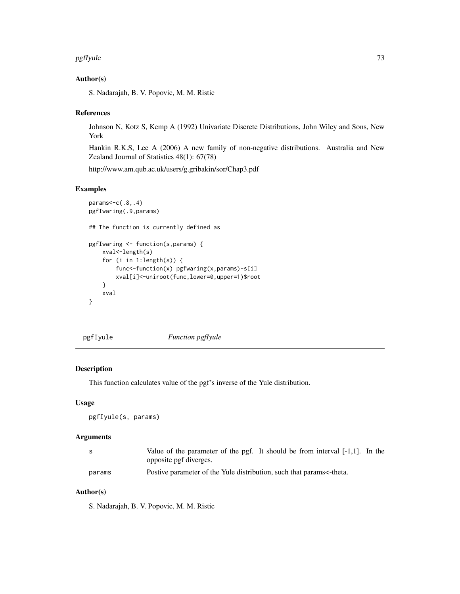#### <span id="page-72-0"></span>pgfIyule 73

## Author(s)

S. Nadarajah, B. V. Popovic, M. M. Ristic

## References

Johnson N, Kotz S, Kemp A (1992) Univariate Discrete Distributions, John Wiley and Sons, New York

Hankin R.K.S, Lee A (2006) A new family of non-negative distributions. Australia and New Zealand Journal of Statistics 48(1): 67(78)

http://www.am.qub.ac.uk/users/g.gribakin/sor/Chap3.pdf

## Examples

```
params<-c(.8,.4)
pgfIwaring(.9,params)
## The function is currently defined as
pgfIwaring <- function(s,params) {
   xval<-length(s)
   for (i in 1:length(s)) {
        func<-function(x) pgfwaring(x,params)-s[i]
        xval[i]<-uniroot(func,lower=0,upper=1)$root
    }
    xval
}
```
pgfIyule *Function pgfIyule*

# Description

This function calculates value of the pgf's inverse of the Yule distribution.

# Usage

pgfIyule(s, params)

# Arguments

| - S    | Value of the parameter of the pgf. It should be from interval $[-1,1]$ . In the |
|--------|---------------------------------------------------------------------------------|
|        | opposite pgf diverges.                                                          |
| params | Postive parameter of the Yule distribution, such that params<-theta.            |

# Author(s)

S. Nadarajah, B. V. Popovic, M. M. Ristic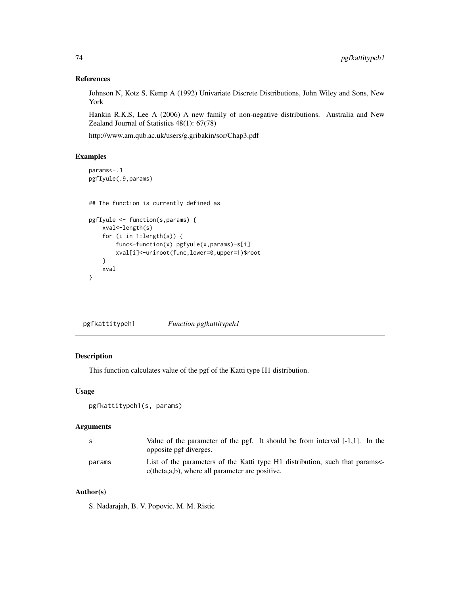## References

Johnson N, Kotz S, Kemp A (1992) Univariate Discrete Distributions, John Wiley and Sons, New York

Hankin R.K.S, Lee A (2006) A new family of non-negative distributions. Australia and New Zealand Journal of Statistics 48(1): 67(78)

http://www.am.qub.ac.uk/users/g.gribakin/sor/Chap3.pdf

# Examples

```
params<-.3
pgfIyule(.9,params)
## The function is currently defined as
pgfIyule <- function(s,params) {
   xval<-length(s)
    for (i in 1:length(s)) {
        func<-function(x) pgfyule(x,params)-s[i]
        xval[i]<-uniroot(func,lower=0,upper=1)$root
    }
    xval
}
```

| pgfkattitypeh1 | Function pgfkattitypeh1 |
|----------------|-------------------------|
|                |                         |

# Description

This function calculates value of the pgf of the Katti type H1 distribution.

## Usage

```
pgfkattitypeh1(s, params)
```
## Arguments

| -S     | Value of the parameter of the pgf. It should be from interval $[-1,1]$ . In the<br>opposite pgf diverges.                        |
|--------|----------------------------------------------------------------------------------------------------------------------------------|
| params | List of the parameters of the Katti type H1 distribution, such that params<br>$c$ (theta,a,b), where all parameter are positive. |

# Author(s)

S. Nadarajah, B. V. Popovic, M. M. Ristic

<span id="page-73-0"></span>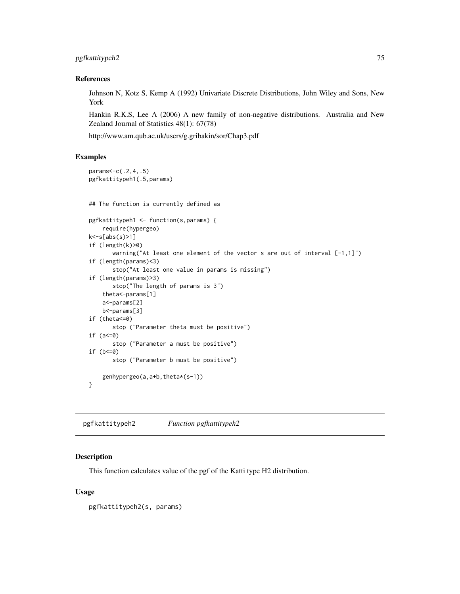# <span id="page-74-0"></span>pgfkattitypeh2 75

#### References

Johnson N, Kotz S, Kemp A (1992) Univariate Discrete Distributions, John Wiley and Sons, New York

Hankin R.K.S, Lee A (2006) A new family of non-negative distributions. Australia and New Zealand Journal of Statistics 48(1): 67(78)

http://www.am.qub.ac.uk/users/g.gribakin/sor/Chap3.pdf

# Examples

```
params<-c(.2,4,.5)
pgfkattitypeh1(.5,params)
## The function is currently defined as
pgfkattitypeh1 <- function(s,params) {
    require(hypergeo)
k<-s[abs(s)>1]
if (length(k)>0)
       warning("At least one element of the vector s are out of interval [-1,1]")
if (length(params)<3)
       stop("At least one value in params is missing")
if (length(params)>3)
       stop("The length of params is 3")
    theta<-params[1]
    a<-params[2]
   b<-params[3]
if (theta<=0)
       stop ("Parameter theta must be positive")
if (a<=0)
       stop ("Parameter a must be positive")
if (b < = 0)stop ("Parameter b must be positive")
    genhypergeo(a,a+b,theta*(s-1))
}
```
pgfkattitypeh2 *Function pgfkattitypeh2*

## Description

This function calculates value of the pgf of the Katti type H2 distribution.

#### Usage

pgfkattitypeh2(s, params)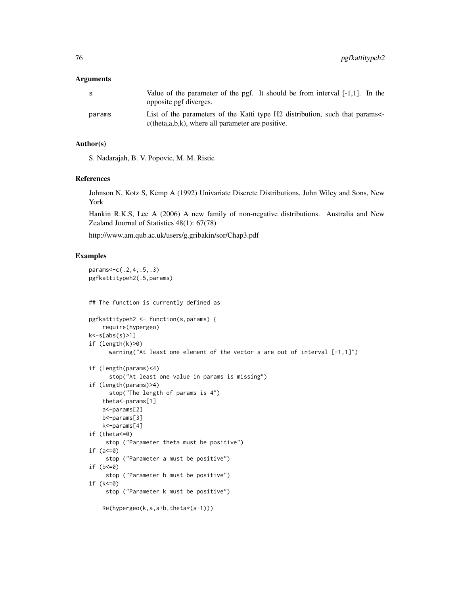## Arguments

| S.     | Value of the parameter of the pgf. It should be from interval $[-1,1]$ . In the<br>opposite pgf diverges.                          |
|--------|------------------------------------------------------------------------------------------------------------------------------------|
| params | List of the parameters of the Katti type H2 distribution, such that params<br>$c$ (theta,a,b,k), where all parameter are positive. |

# Author(s)

S. Nadarajah, B. V. Popovic, M. M. Ristic

## References

Johnson N, Kotz S, Kemp A (1992) Univariate Discrete Distributions, John Wiley and Sons, New York

Hankin R.K.S, Lee A (2006) A new family of non-negative distributions. Australia and New Zealand Journal of Statistics 48(1): 67(78)

http://www.am.qub.ac.uk/users/g.gribakin/sor/Chap3.pdf

```
params<-c(.2,4,.5,.3)
pgfkattitypeh2(.5,params)
## The function is currently defined as
pgfkattitypeh2 <- function(s,params) {
    require(hypergeo)
k<-s[abs(s)>1]
if (length(k)>0)
     warning("At least one element of the vector s are out of interval [-1,1]")
if (length(params)<4)
     stop("At least one value in params is missing")
if (length(params)>4)
     stop("The length of params is 4")
   theta<-params[1]
   a<-params[2]
   b<-params[3]
   k<-params[4]
if (theta<=0)
     stop ("Parameter theta must be positive")
if (a<=0)
     stop ("Parameter a must be positive")
if (b<=0)
     stop ("Parameter b must be positive")
if (k<=0)
     stop ("Parameter k must be positive")
    Re(hypergeo(k,a,a+b,theta*(s-1)))
```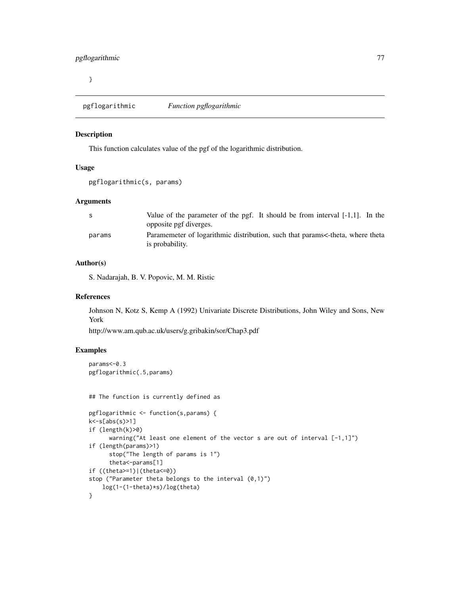<span id="page-76-0"></span>}

pgflogarithmic *Function pgflogarithmic*

#### Description

This function calculates value of the pgf of the logarithmic distribution.

## Usage

pgflogarithmic(s, params)

## Arguments

| S      | Value of the parameter of the pgf. It should be from interval $[-1,1]$ . In the |
|--------|---------------------------------------------------------------------------------|
|        | opposite pgf diverges.                                                          |
| params | Paramemeter of logarithmic distribution, such that params<-theta, where theta   |
|        | is probability.                                                                 |

## Author(s)

S. Nadarajah, B. V. Popovic, M. M. Ristic

#### References

Johnson N, Kotz S, Kemp A (1992) Univariate Discrete Distributions, John Wiley and Sons, New York

http://www.am.qub.ac.uk/users/g.gribakin/sor/Chap3.pdf

```
params<-0.3
pgflogarithmic(.5,params)
## The function is currently defined as
pgflogarithmic <- function(s,params) {
k<-s[abs(s)>1]
if (length(k)>0)
      warning("At least one element of the vector s are out of interval [-1,1]")
if (length(params)>1)
      stop("The length of params is 1")
      theta<-params[1]
if ((theta>=1)|(theta<=0))
stop ("Parameter theta belongs to the interval (0,1)")
    log(1-(1-theta)*s)/log(theta)
}
```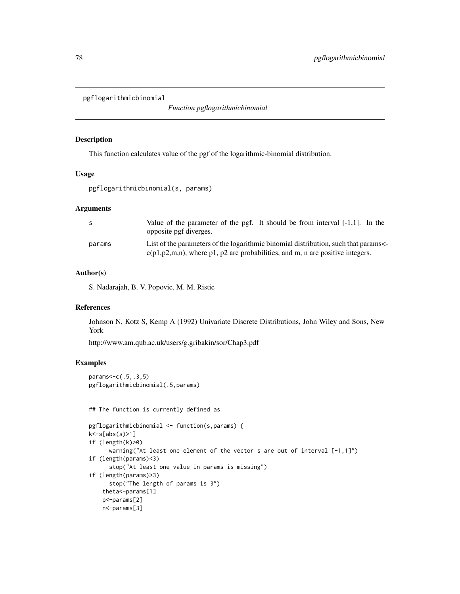```
pgflogarithmicbinomial
```
*Function pgflogarithmicbinomial*

#### Description

This function calculates value of the pgf of the logarithmic-binomial distribution.

#### Usage

pgflogarithmicbinomial(s, params)

# Arguments

| -S     | Value of the parameter of the pgf. It should be from interval $[-1,1]$ . In the<br>opposite pgf diverges.                                                             |
|--------|-----------------------------------------------------------------------------------------------------------------------------------------------------------------------|
| params | List of the parameters of the logarithmic binomial distribution, such that params<br>$c(p1,p2,m,n)$ , where p1, p2 are probabilities, and m, n are positive integers. |

## Author(s)

S. Nadarajah, B. V. Popovic, M. M. Ristic

# References

Johnson N, Kotz S, Kemp A (1992) Univariate Discrete Distributions, John Wiley and Sons, New York

http://www.am.qub.ac.uk/users/g.gribakin/sor/Chap3.pdf

# Examples

params<-c(.5,.3,5) pgflogarithmicbinomial(.5,params)

## The function is currently defined as

```
pgflogarithmicbinomial <- function(s,params) {
k<-s[abs(s)>1]
if (length(k)>0)
      warning("At least one element of the vector s are out of interval [-1,1]")
if (length(params)<3)
      stop("At least one value in params is missing")
if (length(params)>3)
      stop("The length of params is 3")
    theta<-params[1]
   p<-params[2]
    n<-params[3]
```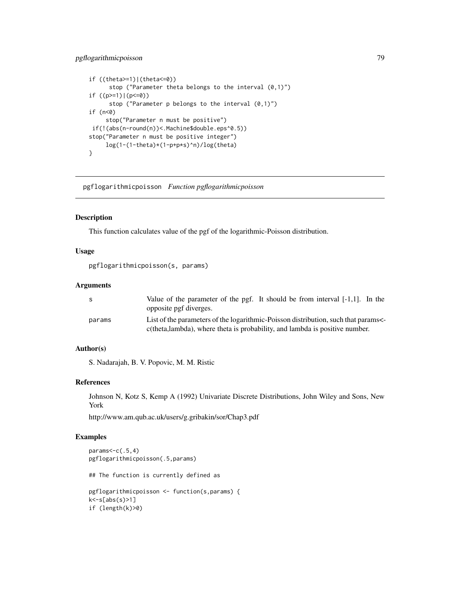# <span id="page-78-0"></span>pgflogarithmicpoisson 79

```
if ((theta>=1)|(theta<=0))
     stop ("Parameter theta belongs to the interval (0,1)")
if ((p>=1)|(p<=0))
     stop ("Parameter p belongs to the interval (0,1)")
if (n<0)
     stop("Parameter n must be positive")
if(!(abs(n-round(n))<.Machine$double.eps^0.5))
stop("Parameter n must be positive integer")
     log(1-(1-theta)*(1-p+p*s)^n)/log(theta)
}
```
pgflogarithmicpoisson *Function pgflogarithmicpoisson*

#### Description

This function calculates value of the pgf of the logarithmic-Poisson distribution.

## Usage

pgflogarithmicpoisson(s, params)

## Arguments

| S.     | Value of the parameter of the pgf. It should be from interval $[-1,1]$ . In the<br>opposite pgf diverges.                                                       |
|--------|-----------------------------------------------------------------------------------------------------------------------------------------------------------------|
| params | List of the parameters of the logarithmic-Poisson distribution, such that params<br>c(theta,lambda), where theta is probability, and lambda is positive number. |

# Author(s)

S. Nadarajah, B. V. Popovic, M. M. Ristic

## References

Johnson N, Kotz S, Kemp A (1992) Univariate Discrete Distributions, John Wiley and Sons, New York

http://www.am.qub.ac.uk/users/g.gribakin/sor/Chap3.pdf

```
params<-c(.5,4)
pgflogarithmicpoisson(.5,params)
## The function is currently defined as
pgflogarithmicpoisson <- function(s,params) {
k<-s[abs(s)>1]
if (length(k)>0)
```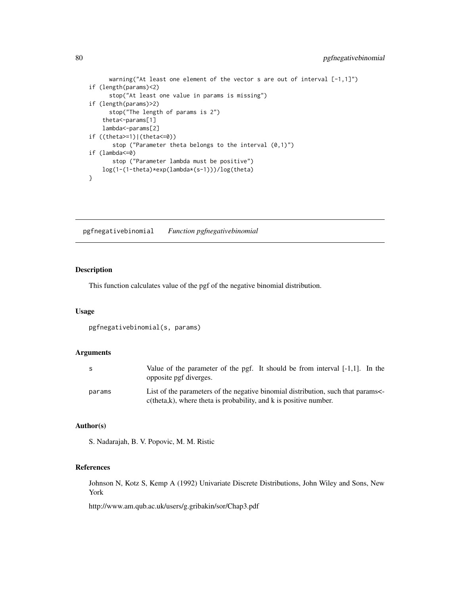```
warning("At least one element of the vector s are out of interval [-1,1]")
if (length(params)<2)
     stop("At least one value in params is missing")
if (length(params)>2)
     stop("The length of params is 2")
    theta<-params[1]
    lambda<-params[2]
if ((theta>=1)|(theta<=0))
      stop ("Parameter theta belongs to the interval (0,1)")
if (lambda<=0)
      stop ("Parameter lambda must be positive")
   log(1-(1-theta)*exp(lambda*(s-1)))/log(theta)
}
```
pgfnegativebinomial *Function pgfnegativebinomial*

# Description

This function calculates value of the pgf of the negative binomial distribution.

#### Usage

```
pgfnegativebinomial(s, params)
```
## Arguments

| S.     | Value of the parameter of the pgf. It should be from interval $[-1,1]$ . In the<br>opposite pgf diverges.                                                    |
|--------|--------------------------------------------------------------------------------------------------------------------------------------------------------------|
| params | List of the parameters of the negative binomial distribution, such that params<br>$c$ (theta, $k$ ), where theta is probability, and $k$ is positive number. |

## Author(s)

S. Nadarajah, B. V. Popovic, M. M. Ristic

## References

Johnson N, Kotz S, Kemp A (1992) Univariate Discrete Distributions, John Wiley and Sons, New York

http://www.am.qub.ac.uk/users/g.gribakin/sor/Chap3.pdf

<span id="page-79-0"></span>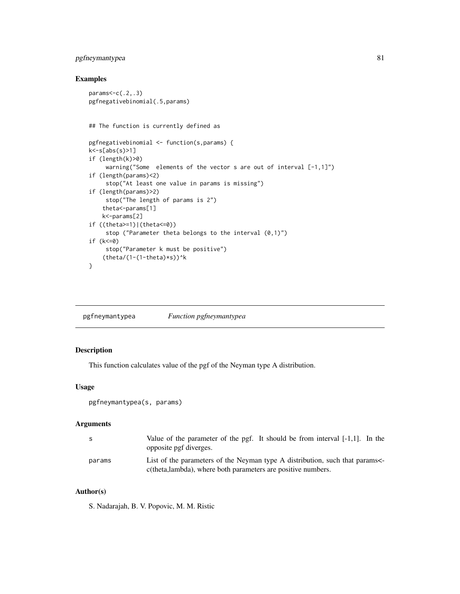# <span id="page-80-0"></span>pgfneymantypea 81

# Examples

```
params < -c(.2,.3)pgfnegativebinomial(.5,params)
## The function is currently defined as
pgfnegativebinomial <- function(s,params) {
k<-s[abs(s)>1]
if (length(k)>0)
     warning("Some elements of the vector s are out of interval [-1,1]")
if (length(params)<2)
     stop("At least one value in params is missing")
if (length(params)>2)
    stop("The length of params is 2")
   theta<-params[1]
   k<-params[2]
if ((theta>=1)|(theta<=0))
     stop ("Parameter theta belongs to the interval (0,1)")
if (k<=0)
     stop("Parameter k must be positive")
    (theta/(1-(1-theta)*s))^k}
```
pgfneymantypea *Function pgfneymantypea*

# Description

This function calculates value of the pgf of the Neyman type A distribution.

# Usage

```
pgfneymantypea(s, params)
```
#### Arguments

| - S    | Value of the parameter of the pgf. It should be from interval $[-1,1]$ . In the<br>opposite pgf diverges.                                  |
|--------|--------------------------------------------------------------------------------------------------------------------------------------------|
| params | List of the parameters of the Neyman type A distribution, such that params<br>c(theta,lambda), where both parameters are positive numbers. |

# Author(s)

S. Nadarajah, B. V. Popovic, M. M. Ristic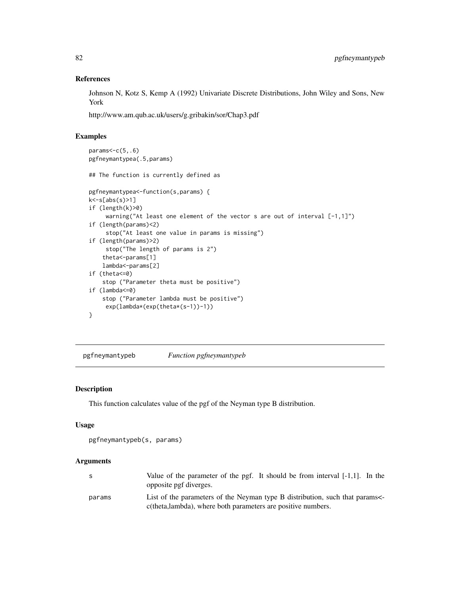## References

Johnson N, Kotz S, Kemp A (1992) Univariate Discrete Distributions, John Wiley and Sons, New York

http://www.am.qub.ac.uk/users/g.gribakin/sor/Chap3.pdf

# Examples

```
params < -c(5, .6)pgfneymantypea(.5,params)
## The function is currently defined as
pgfneymantypea<-function(s,params) {
k<-s[abs(s)>1]
if (length(k)>0)
     warning("At least one element of the vector s are out of interval [-1,1]")
if (length(params)<2)
     stop("At least one value in params is missing")
if (length(params)>2)
     stop("The length of params is 2")
    theta<-params[1]
    lambda<-params[2]
if (theta<=0)
    stop ("Parameter theta must be positive")
if (lambda<=0)
   stop ("Parameter lambda must be positive")
    exp(lambda*(exp(theta*(s-1))-1))
}
```
pgfneymantypeb *Function pgfneymantypeb*

# Description

This function calculates value of the pgf of the Neyman type B distribution.

#### Usage

```
pgfneymantypeb(s, params)
```
## Arguments

|        | Value of the parameter of the pgf. It should be from interval $[-1,1]$ . In the<br>opposite pgf diverges.                                  |
|--------|--------------------------------------------------------------------------------------------------------------------------------------------|
| params | List of the parameters of the Neyman type B distribution, such that params<br>c(theta,lambda), where both parameters are positive numbers. |

<span id="page-81-0"></span>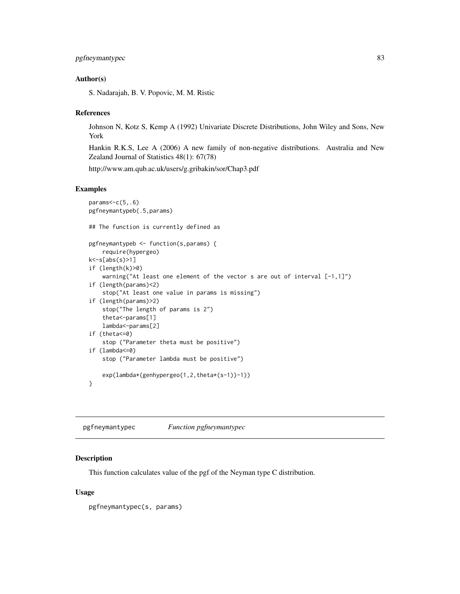# <span id="page-82-0"></span>pgfneymantypec 83

#### Author(s)

S. Nadarajah, B. V. Popovic, M. M. Ristic

#### References

Johnson N, Kotz S, Kemp A (1992) Univariate Discrete Distributions, John Wiley and Sons, New York

Hankin R.K.S, Lee A (2006) A new family of non-negative distributions. Australia and New Zealand Journal of Statistics 48(1): 67(78)

http://www.am.qub.ac.uk/users/g.gribakin/sor/Chap3.pdf

## Examples

```
params<-c(5,.6)
pgfneymantypeb(.5,params)
## The function is currently defined as
pgfneymantypeb <- function(s,params) {
    require(hypergeo)
k<-s[abs(s)>1]
if (length(k)>0)
    warning("At least one element of the vector s are out of interval [-1,1]")
if (length(params)<2)
    stop("At least one value in params is missing")
if (length(params)>2)
   stop("The length of params is 2")
    theta<-params[1]
   lambda<-params[2]
if (theta<=0)
    stop ("Parameter theta must be positive")
if (lambda<=0)
    stop ("Parameter lambda must be positive")
    exp(lambda*(genhypergeo(1,2,theta*(s-1))-1))
}
```
pgfneymantypec *Function pgfneymantypec*

## Description

This function calculates value of the pgf of the Neyman type C distribution.

### Usage

pgfneymantypec(s, params)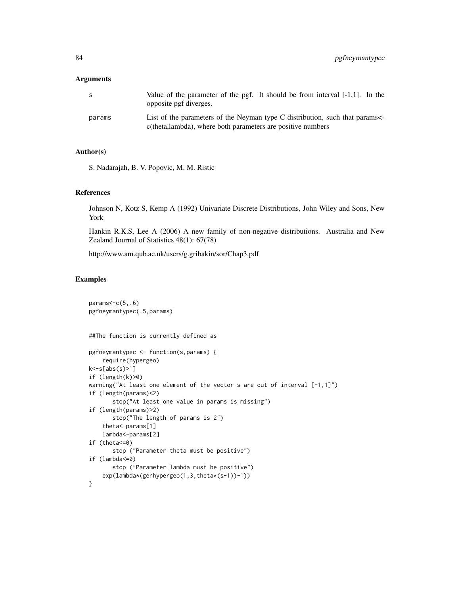#### Arguments

| S      | Value of the parameter of the pgf. It should be from interval $[-1,1]$ . In the<br>opposite pgf diverges.                                 |
|--------|-------------------------------------------------------------------------------------------------------------------------------------------|
| params | List of the parameters of the Neyman type C distribution, such that params<br>c(theta,lambda), where both parameters are positive numbers |

# Author(s)

S. Nadarajah, B. V. Popovic, M. M. Ristic

#### References

Johnson N, Kotz S, Kemp A (1992) Univariate Discrete Distributions, John Wiley and Sons, New York

Hankin R.K.S, Lee A (2006) A new family of non-negative distributions. Australia and New Zealand Journal of Statistics 48(1): 67(78)

http://www.am.qub.ac.uk/users/g.gribakin/sor/Chap3.pdf

```
params < -c(5, .6)pgfneymantypec(.5,params)
##The function is currently defined as
pgfneymantypec <- function(s,params) {
    require(hypergeo)
k<-s[abs(s)>1]
if (length(k)>0)
warning("At least one element of the vector s are out of interval [-1,1]")
if (length(params)<2)
       stop("At least one value in params is missing")
if (length(params)>2)
       stop("The length of params is 2")
    theta<-params[1]
   lambda<-params[2]
if (theta<=0)
       stop ("Parameter theta must be positive")
if (lambda<=0)
       stop ("Parameter lambda must be positive")
    exp(lambda*(genhypergeo(1,3,theta*(s-1))-1))
}
```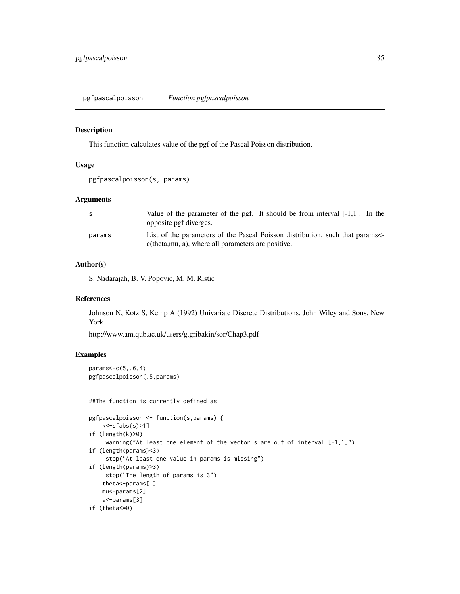<span id="page-84-0"></span>pgfpascalpoisson *Function pgfpascalpoisson*

#### Description

This function calculates value of the pgf of the Pascal Poisson distribution.

# Usage

```
pgfpascalpoisson(s, params)
```
#### Arguments

| -S     | Value of the parameter of the pgf. It should be from interval $[-1,1]$ . In the<br>opposite pgf diverges.                          |
|--------|------------------------------------------------------------------------------------------------------------------------------------|
| params | List of the parameters of the Pascal Poisson distribution, such that params<br>c(theta, mu, a), where all parameters are positive. |

# Author(s)

S. Nadarajah, B. V. Popovic, M. M. Ristic

#### References

Johnson N, Kotz S, Kemp A (1992) Univariate Discrete Distributions, John Wiley and Sons, New York

http://www.am.qub.ac.uk/users/g.gribakin/sor/Chap3.pdf

```
params<-c(5,.6,4)
pgfpascalpoisson(.5,params)
```

```
##The function is currently defined as
pgfpascalpoisson <- function(s,params) {
   k < -s[abs(s)>1]if (length(k)>0)
    warning("At least one element of the vector s are out of interval [-1,1]")
if (length(params)<3)
     stop("At least one value in params is missing")
if (length(params)>3)
    stop("The length of params is 3")
    theta<-params[1]
   mu<-params[2]
   a<-params[3]
if (theta<=0)
```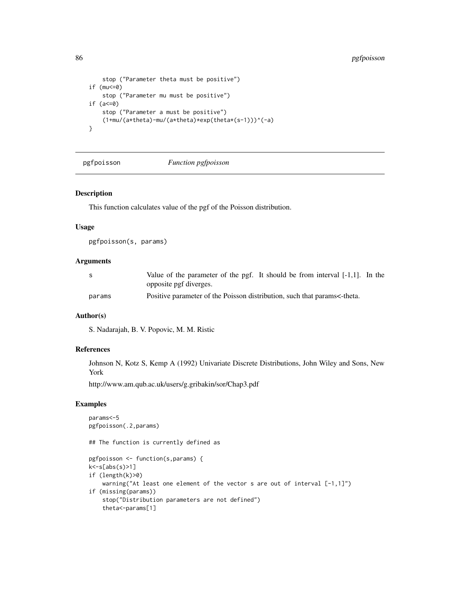```
stop ("Parameter theta must be positive")
if (mu<=0)
   stop ("Parameter mu must be positive")
if (a<=0)
   stop ("Parameter a must be positive")
    (1+mu/(a*theta)-mu/(a*theta)*exp(theta*(s-1)))^(-a)
}
```
pgfpoisson *Function pgfpoisson*

## Description

This function calculates value of the pgf of the Poisson distribution.

## Usage

pgfpoisson(s, params)

## **Arguments**

|        | Value of the parameter of the pgf. It should be from interval $[-1,1]$ . In the |
|--------|---------------------------------------------------------------------------------|
|        | opposite pgf diverges.                                                          |
| params | Positive parameter of the Poisson distribution, such that params<-theta.        |

# Author(s)

S. Nadarajah, B. V. Popovic, M. M. Ristic

## References

Johnson N, Kotz S, Kemp A (1992) Univariate Discrete Distributions, John Wiley and Sons, New York

http://www.am.qub.ac.uk/users/g.gribakin/sor/Chap3.pdf

```
params<-5
pgfpoisson(.2,params)
## The function is currently defined as
pgfpoisson <- function(s,params) {
k<-s[abs(s)>1]
if (length(k)>0)
    warning("At least one element of the vector s are out of interval [-1,1]")
if (missing(params))
   stop("Distribution parameters are not defined")
    theta<-params[1]
```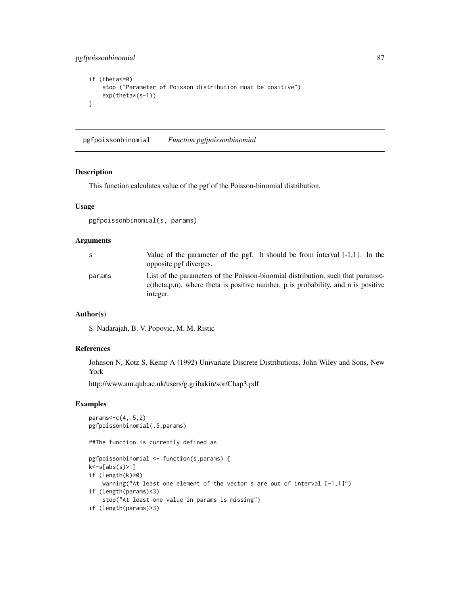<span id="page-86-0"></span>pgfpoissonbinomial 87

```
if (theta<=0)
    stop ("Parameter of Poisson distribution must be positive")
   exp(theta*(s-1))
}
```
pgfpoissonbinomial *Function pgfpoissonbinomial*

#### Description

This function calculates value of the pgf of the Poisson-binomial distribution.

# Usage

```
pgfpoissonbinomial(s, params)
```
#### Arguments

| S.     | Value of the parameter of the pgf. It should be from interval $[-1,1]$ . In the<br>opposite pgf diverges.                                                                           |
|--------|-------------------------------------------------------------------------------------------------------------------------------------------------------------------------------------|
| params | List of the parameters of the Poisson-binomial distribution, such that params<br>$c$ (theta, p, n), where theta is positive number, p is probability, and n is positive<br>integer. |

## Author(s)

S. Nadarajah, B. V. Popovic, M. M. Ristic

#### References

Johnson N, Kotz S, Kemp A (1992) Univariate Discrete Distributions, John Wiley and Sons, New York

http://www.am.qub.ac.uk/users/g.gribakin/sor/Chap3.pdf

```
params < -c(4, .5, 2)pgfpoissonbinomial(.5,params)
##The function is currently defined as
pgfpoissonbinomial <- function(s,params) {
k<-s[abs(s)>1]
if (length(k)>0)
    warning("At least one element of the vector s are out of interval [-1,1]")
if (length(params)<3)
    stop("At least one value in params is missing")
if (length(params)>3)
```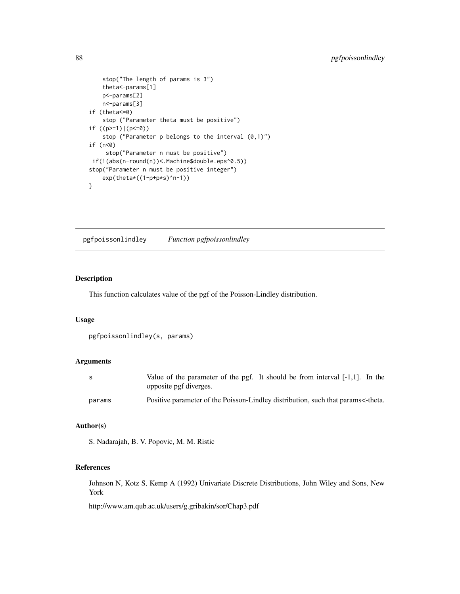```
stop("The length of params is 3")
    theta<-params[1]
   p<-params[2]
   n<-params[3]
if (theta<=0)
   stop ("Parameter theta must be positive")
if ((p>=1)|(p<=0))stop ("Parameter p belongs to the interval (0,1)")
if (n<0)stop("Parameter n must be positive")
if(!(abs(n-round(n))<.Machine$double.eps^0.5))
stop("Parameter n must be positive integer")
    exp(theta*((1-p+p*s)^n-1))
}
```
pgfpoissonlindley *Function pgfpoissonlindley*

# Description

This function calculates value of the pgf of the Poisson-Lindley distribution.

# Usage

```
pgfpoissonlindley(s, params)
```
#### Arguments

| -S     | Value of the parameter of the pgf. It should be from interval [-1,1]. In the<br>opposite pgf diverges. |
|--------|--------------------------------------------------------------------------------------------------------|
|        |                                                                                                        |
| params | Positive parameter of the Poisson-Lindley distribution, such that params<-theta.                       |

# Author(s)

S. Nadarajah, B. V. Popovic, M. M. Ristic

# References

Johnson N, Kotz S, Kemp A (1992) Univariate Discrete Distributions, John Wiley and Sons, New York

http://www.am.qub.ac.uk/users/g.gribakin/sor/Chap3.pdf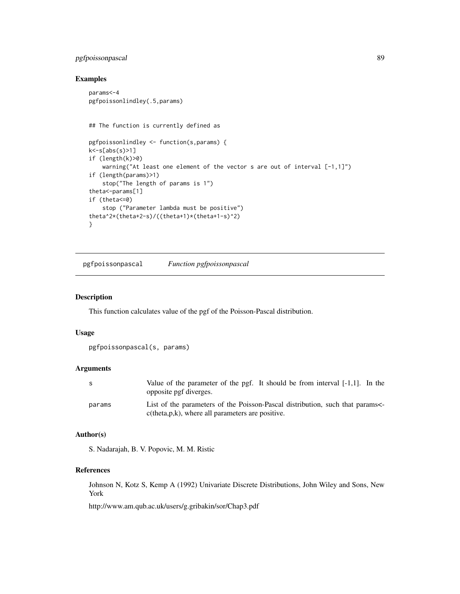# <span id="page-88-0"></span>pgfpoissonpascal 89

# Examples

```
params<-4
pgfpoissonlindley(.5,params)
## The function is currently defined as
pgfpoissonlindley <- function(s,params) {
k<-s[abs(s)>1]
if (length(k)>0)
    warning("At least one element of the vector s are out of interval [-1,1]")
if (length(params)>1)
    stop("The length of params is 1")
theta<-params[1]
if (theta<=0)
   stop ("Parameter lambda must be positive")
theta^2*(theta+2-s)/((theta+1)*(theta+1-s)^2)
}
```
pgfpoissonpascal *Function pgfpoissonpascal*

# Description

This function calculates value of the pgf of the Poisson-Pascal distribution.

#### Usage

```
pgfpoissonpascal(s, params)
```
#### Arguments

| S      | Value of the parameter of the pgf. It should be from interval $[-1,1]$ . In the<br>opposite pgf diverges.                               |
|--------|-----------------------------------------------------------------------------------------------------------------------------------------|
| params | List of the parameters of the Poisson-Pascal distribution, such that params<br>$c$ (theta, $p, k$ ), where all parameters are positive. |

# Author(s)

S. Nadarajah, B. V. Popovic, M. M. Ristic

# References

Johnson N, Kotz S, Kemp A (1992) Univariate Discrete Distributions, John Wiley and Sons, New York

http://www.am.qub.ac.uk/users/g.gribakin/sor/Chap3.pdf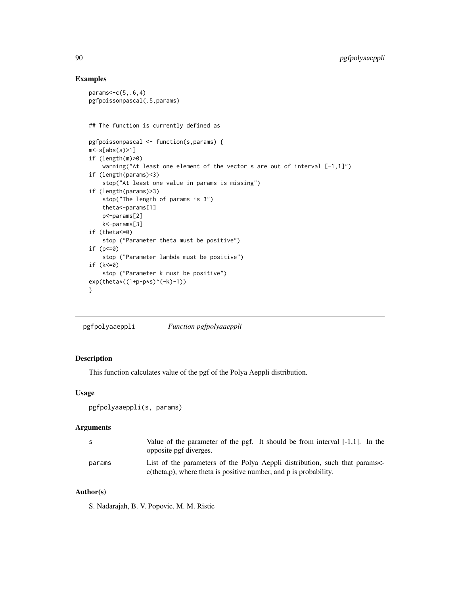# Examples

```
params < -c(5, .6, 4)pgfpoissonpascal(.5,params)
## The function is currently defined as
pgfpoissonpascal <- function(s,params) {
m < -s[abs(s)>1]if (length(m)>0)
    warning("At least one element of the vector s are out of interval [-1,1]")
if (length(params)<3)
    stop("At least one value in params is missing")
if (length(params)>3)
    stop("The length of params is 3")
    theta<-params[1]
    p<-params[2]
    k<-params[3]
if (theta<=0)
    stop ("Parameter theta must be positive")
if (p<=0)
    stop ("Parameter lambda must be positive")
if (k<=0)
    stop ("Parameter k must be positive")
exp(the\tan\left(\frac{1+p-p*s}{-k}\right)\cdot(-k)-1))}
```
pgfpolyaaeppli *Function pgfpolyaaeppli*

# Description

This function calculates value of the pgf of the Polya Aeppli distribution.

#### Usage

```
pgfpolyaaeppli(s, params)
```
#### Arguments

| - S    | Value of the parameter of the pgf. It should be from interval $[-1,1]$ . In the<br>opposite pgf diverges.                                            |
|--------|------------------------------------------------------------------------------------------------------------------------------------------------------|
| params | List of the parameters of the Polya Aeppli distribution, such that params<-<br>$c$ (theta, p), where theta is positive number, and p is probability. |

# Author(s)

S. Nadarajah, B. V. Popovic, M. M. Ristic

<span id="page-89-0"></span>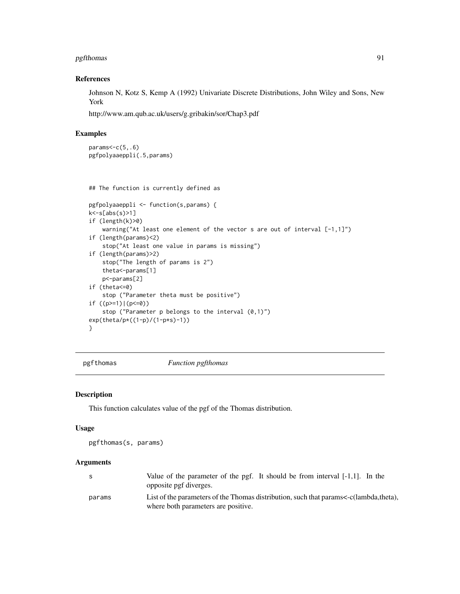# <span id="page-90-0"></span>pgfthomas 91

# References

Johnson N, Kotz S, Kemp A (1992) Univariate Discrete Distributions, John Wiley and Sons, New York

http://www.am.qub.ac.uk/users/g.gribakin/sor/Chap3.pdf

#### Examples

```
params <- c(5,.6)
pgfpolyaaeppli(.5,params)
```

```
## The function is currently defined as
```

```
pgfpolyaaeppli <- function(s,params) {
k<-s[abs(s)>1]
if (length(k)>0)
   warning("At least one element of the vector s are out of interval [-1,1]")
if (length(params)<2)
   stop("At least one value in params is missing")
if (length(params)>2)
   stop("The length of params is 2")
   theta<-params[1]
   p<-params[2]
if (theta<=0)
   stop ("Parameter theta must be positive")
if ((p>=1)|(p<=0))stop ("Parameter p belongs to the interval (0,1)")
exp(theta/p*((1-p)/(1-p*s)-1))
}
```
pgfthomas *Function pgfthomas*

#### Description

This function calculates value of the pgf of the Thomas distribution.

## Usage

```
pgfthomas(s, params)
```
# Arguments

|        | Value of the parameter of the pgf. It should be from interval $[-1,1]$ . In the<br>opposite pgf diverges.                    |
|--------|------------------------------------------------------------------------------------------------------------------------------|
| params | List of the parameters of the Thomas distribution, such that params<-c(lambda,theta),<br>where both parameters are positive. |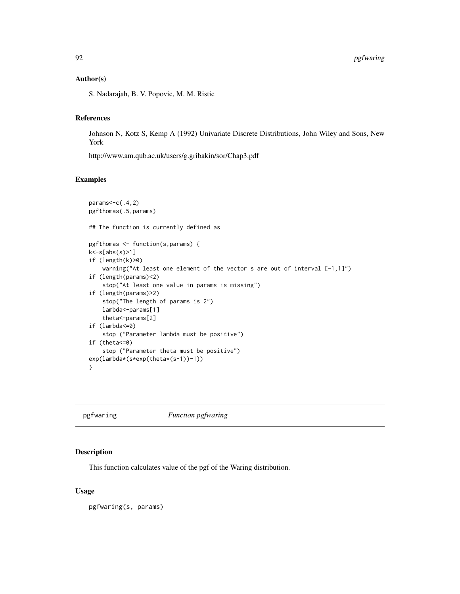## <span id="page-91-0"></span>Author(s)

S. Nadarajah, B. V. Popovic, M. M. Ristic

# References

Johnson N, Kotz S, Kemp A (1992) Univariate Discrete Distributions, John Wiley and Sons, New York

http://www.am.qub.ac.uk/users/g.gribakin/sor/Chap3.pdf

## Examples

```
params < -c(.4, 2)pgfthomas(.5,params)
## The function is currently defined as
pgfthomas <- function(s,params) {
k<-s[abs(s)>1]
if (length(k)>0)
    warning("At least one element of the vector s are out of interval [-1,1]")
if (length(params)<2)
    stop("At least one value in params is missing")
if (length(params)>2)
   stop("The length of params is 2")
    lambda<-params[1]
    theta<-params[2]
if (lambda<=0)
    stop ("Parameter lambda must be positive")
if (theta<=0)
    stop ("Parameter theta must be positive")
exp(lambda*(s*exp(theta*(s-1))-1))
}
```
pgfwaring *Function pgfwaring*

#### Description

This function calculates value of the pgf of the Waring distribution.

#### Usage

pgfwaring(s, params)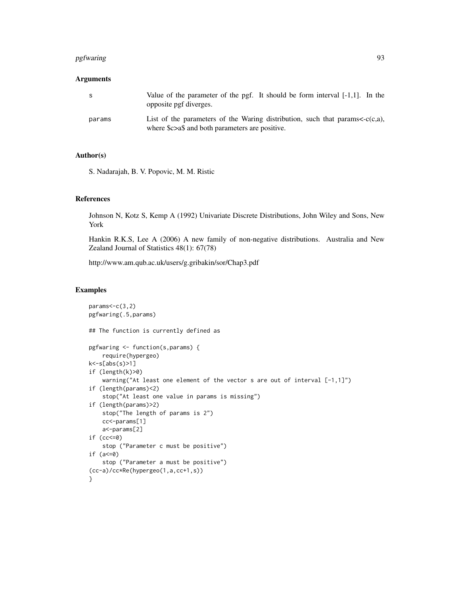#### pgfwaring the contract of the contract of the contract of the contract of the contract of the contract of the contract of the contract of the contract of the contract of the contract of the contract of the contract of the

# Arguments

| S      | Value of the parameter of the pgf. It should be form interval $[-1,1]$ . In the<br>opposite pgf diverges.                             |
|--------|---------------------------------------------------------------------------------------------------------------------------------------|
| params | List of the parameters of the Waring distribution, such that params $\lt c(c,a)$ ,<br>where \$c>a\$ and both parameters are positive. |

# Author(s)

S. Nadarajah, B. V. Popovic, M. M. Ristic

## References

Johnson N, Kotz S, Kemp A (1992) Univariate Discrete Distributions, John Wiley and Sons, New York

Hankin R.K.S, Lee A (2006) A new family of non-negative distributions. Australia and New Zealand Journal of Statistics 48(1): 67(78)

http://www.am.qub.ac.uk/users/g.gribakin/sor/Chap3.pdf

```
params < -c(3,2)pgfwaring(.5,params)
## The function is currently defined as
pgfwaring <- function(s,params) {
    require(hypergeo)
k<-s[abs(s)>1]
if (length(k)>0)
    warning("At least one element of the vector s are out of interval [-1,1]")
if (length(params)<2)
   stop("At least one value in params is missing")
if (length(params)>2)
   stop("The length of params is 2")
   cc<-params[1]
   a<-params[2]
if (cc<=0)
   stop ("Parameter c must be positive")
if (a<=0)
    stop ("Parameter a must be positive")
(cc-a)/cc*Re(hypergeo(1,a,cc+1,s))
}
```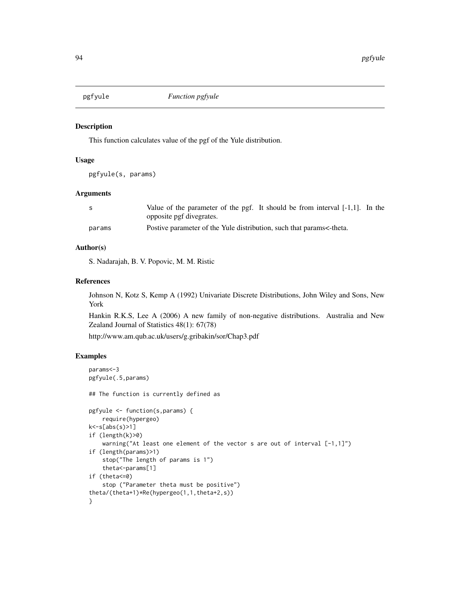<span id="page-93-0"></span>

## Description

This function calculates value of the pgf of the Yule distribution.

#### Usage

pgfyule(s, params)

# Arguments

| - S    | Value of the parameter of the pgf. It should be from interval $[-1,1]$ . In the |
|--------|---------------------------------------------------------------------------------|
|        | opposite pgf divegrates.                                                        |
| params | Postive parameter of the Yule distribution, such that params<-theta.            |

## Author(s)

S. Nadarajah, B. V. Popovic, M. M. Ristic

#### References

Johnson N, Kotz S, Kemp A (1992) Univariate Discrete Distributions, John Wiley and Sons, New York

Hankin R.K.S, Lee A (2006) A new family of non-negative distributions. Australia and New Zealand Journal of Statistics 48(1): 67(78)

http://www.am.qub.ac.uk/users/g.gribakin/sor/Chap3.pdf

```
params<-3
pgfyule(.5,params)
## The function is currently defined as
pgfyule <- function(s,params) {
    require(hypergeo)
k<-s[abs(s)>1]
if (length(k)>0)
    warning("At least one element of the vector s are out of interval [-1,1]")
if (length(params)>1)
   stop("The length of params is 1")
    theta<-params[1]
if (theta<=0)
    stop ("Parameter theta must be positive")
theta/(theta+1)*Re(hypergeo(1,1,theta+2,s))
}
```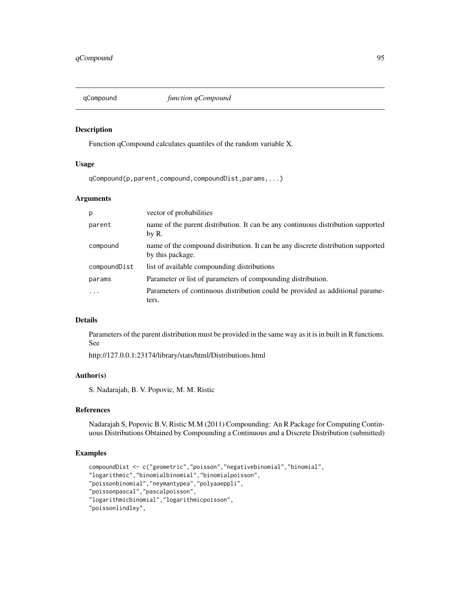<span id="page-94-0"></span>

## Description

Function qCompound calculates quantiles of the random variable X.

## Usage

qCompound(p,parent,compound,compoundDist,params,...)

# Arguments

| p            | vector of probabilities                                                                              |
|--------------|------------------------------------------------------------------------------------------------------|
| parent       | name of the parent distribution. It can be any continuous distribution supported<br>by R.            |
| compound     | name of the compound distribution. It can be any discrete distribution supported<br>by this package. |
| compoundDist | list of available compounding distributions                                                          |
| params       | Parameter or list of parameters of compounding distribution.                                         |
|              | Parameters of continuous distribution could be provided as additional parame-<br>ters.               |

#### Details

Parameters of the parent distribution must be provided in the same way as it is in built in R functions. See

http://127.0.0.1:23174/library/stats/html/Distributions.html

# Author(s)

S. Nadarajah, B. V. Popovic, M. M. Ristic

#### References

Nadarajah S, Popovic B.V, Ristic M.M (2011) Compounding: An R Package for Computing Continuous Distributions Obtained by Compounding a Continuous and a Discrete Distribution (submitted)

```
compoundDist <- c("geometric","poisson","negativebinomial","binomial",
"logarithmic","binomialbinomial","binomialpoisson",
"poissonbinomial","neymantypea","polyaaeppli",
"poissonpascal","pascalpoisson",
"logarithmicbinomial","logarithmicpoisson",
"poissonlindley",
```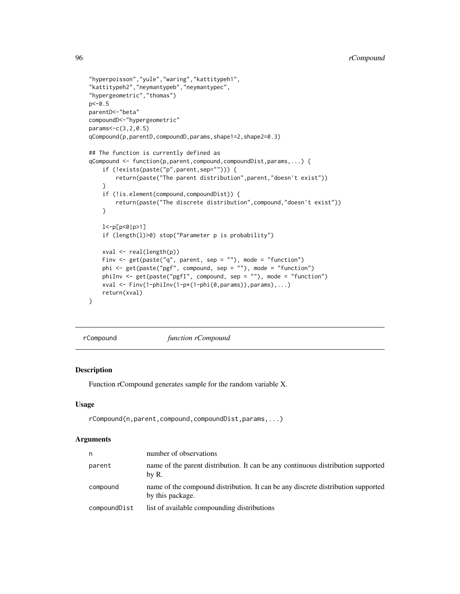```
"hyperpoisson","yule","waring","kattitypeh1",
"kattitypeh2","neymantypeb","neymantypec",
"hypergeometric","thomas")
p < -0.5parentD<-"beta"
compoundD<-"hypergeometric"
params<-c(3,2,0.5)
qCompound(p,parentD,compoundD,params,shape1=2,shape2=0.3)
## The function is currently defined as
qCompound <- function(p,parent,compound,compoundDist,params,...) {
    if (!exists(paste("p",parent,sep=""))) {
        return(paste("The parent distribution",parent,"doesn't exist"))
    }
    if (!is.element(compound,compoundDist)) {
       return(paste("The discrete distribution",compound,"doesn't exist"))
    }
   l<-p[p<0|p>1]
    if (length(l)>0) stop("Parameter p is probability")
   xval <- real(length(p))
   Finv <- get(paste("q", parent, sep = ""), mode = "function")
   phi <- get(paste("pgf", compound, sep = ""), mode = "function")
   phiInv <- get(paste("pgfI", compound, sep = ""), mode = "function")
   xval <- Finv(1-phiInv(1-p*(1-phi(0,params)),params),...)
   return(xval)
}
```
rCompound *function rCompound*

## Description

Function rCompound generates sample for the random variable X.

# Usage

rCompound(n,parent,compound,compoundDist,params,...)

## **Arguments**

| n            | number of observations                                                                               |
|--------------|------------------------------------------------------------------------------------------------------|
| parent       | name of the parent distribution. It can be any continuous distribution supported<br>by R.            |
| compound     | name of the compound distribution. It can be any discrete distribution supported<br>by this package. |
| compoundDist | list of available compounding distributions                                                          |

<span id="page-95-0"></span>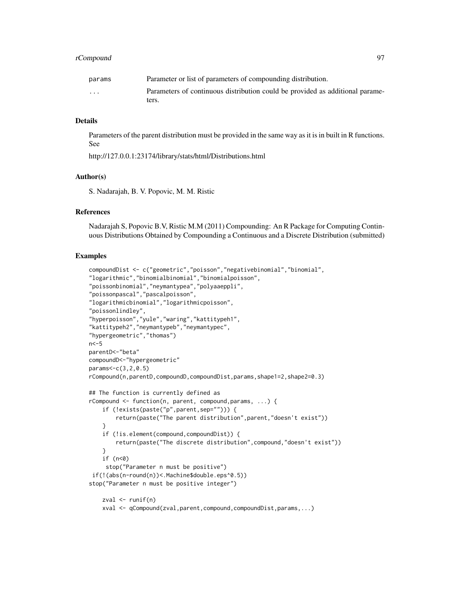# rCompound 97

| params                  | Parameter or list of parameters of compounding distribution.                  |
|-------------------------|-------------------------------------------------------------------------------|
| $\cdot$ $\cdot$ $\cdot$ | Parameters of continuous distribution could be provided as additional parame- |
|                         | ters.                                                                         |

#### Details

Parameters of the parent distribution must be provided in the same way as it is in built in R functions. See

http://127.0.0.1:23174/library/stats/html/Distributions.html

# Author(s)

S. Nadarajah, B. V. Popovic, M. M. Ristic

#### References

Nadarajah S, Popovic B.V, Ristic M.M (2011) Compounding: An R Package for Computing Continuous Distributions Obtained by Compounding a Continuous and a Discrete Distribution (submitted)

## Examples

```
compoundDist <- c("geometric","poisson","negativebinomial","binomial",
"logarithmic","binomialbinomial","binomialpoisson",
"poissonbinomial","neymantypea","polyaaeppli",
"poissonpascal","pascalpoisson",
"logarithmicbinomial","logarithmicpoisson",
"poissonlindley",
"hyperpoisson","yule","waring","kattitypeh1",
"kattitypeh2","neymantypeb","neymantypec",
"hypergeometric","thomas")
n < -5parentD<-"beta"
compoundD<-"hypergeometric"
params<-c(3,2,0.5)
rCompound(n,parentD,compoundD,compoundDist,params,shape1=2,shape2=0.3)
## The function is currently defined as
rCompound <- function(n, parent, compound,params, ...) {
    if (!exists(paste("p",parent,sep=""))) {
        return(paste("The parent distribution",parent,"doesn't exist"))
    }
   if (!is.element(compound,compoundDist)) {
        return(paste("The discrete distribution",compound,"doesn't exist"))
    }
    if (n<0)
     stop("Parameter n must be positive")
if(!(abs(n-round(n))<.Machine$double.eps^0.5))
stop("Parameter n must be positive integer")
    zval \leq runif(n)
```
xval <- qCompound(zval,parent,compound,compoundDist,params,...)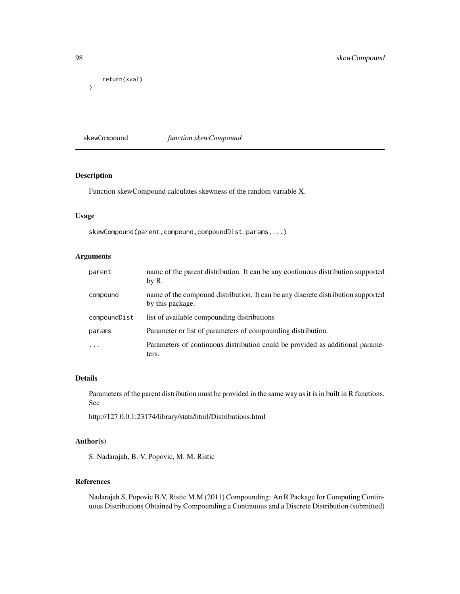```
return(xval)
```
}

skewCompound *function skewCompound*

# Description

Function skewCompound calculates skewness of the random variable X.

## Usage

skewCompound(parent,compound,compoundDist,params,...)

# Arguments

| parent                  | name of the parent distribution. It can be any continuous distribution supported<br>by R.            |
|-------------------------|------------------------------------------------------------------------------------------------------|
| compound                | name of the compound distribution. It can be any discrete distribution supported<br>by this package. |
| compoundDist            | list of available compounding distributions                                                          |
| params                  | Parameter or list of parameters of compounding distribution.                                         |
| $\cdot$ $\cdot$ $\cdot$ | Parameters of continuous distribution could be provided as additional parame-<br>ters.               |

#### Details

Parameters of the parent distribution must be provided in the same way as it is in built in R functions. See

http://127.0.0.1:23174/library/stats/html/Distributions.html

# Author(s)

S. Nadarajah, B. V. Popovic, M. M. Ristic

## References

Nadarajah S, Popovic B.V, Ristic M.M (2011) Compounding: An R Package for Computing Continuous Distributions Obtained by Compounding a Continuous and a Discrete Distribution (submitted)

<span id="page-97-0"></span>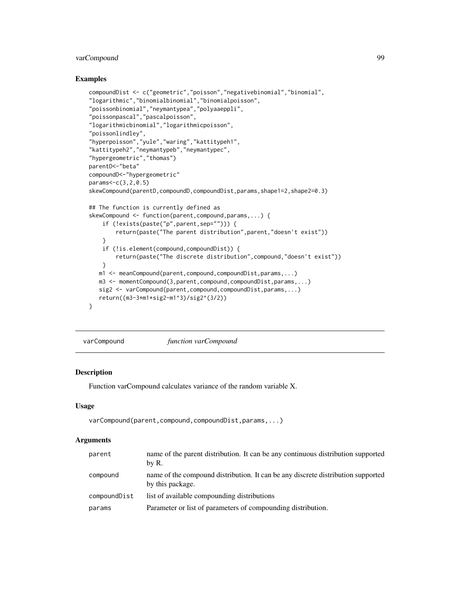# <span id="page-98-0"></span>varCompound 99

## Examples

```
compoundDist <- c("geometric","poisson","negativebinomial","binomial",
"logarithmic","binomialbinomial","binomialpoisson",
"poissonbinomial","neymantypea","polyaaeppli",
"poissonpascal","pascalpoisson",
"logarithmicbinomial","logarithmicpoisson",
"poissonlindley",
"hyperpoisson","yule","waring","kattitypeh1",
"kattitypeh2","neymantypeb","neymantypec",
"hypergeometric","thomas")
parentD<-"beta"
compoundD<-"hypergeometric"
params<-c(3,2,0.5)
skewCompound(parentD,compoundD,compoundDist,params,shape1=2,shape2=0.3)
## The function is currently defined as
skewCompound <- function(parent,compound,params,...) {
    if (!exists(paste("p",parent,sep=""))) {
       return(paste("The parent distribution",parent,"doesn't exist"))
    }
   if (!is.element(compound,compoundDist)) {
       return(paste("The discrete distribution",compound,"doesn't exist"))
   }
  m1 <- meanCompound(parent,compound,compoundDist,params,...)
  m3 <- momentCompound(3,parent,compound,compoundDist,params,...)
  sig2 <- varCompound(parent,compound,compoundDist,params,...)
  return((m3-3*m1*sig2-m1^3)/sig2^(3/2))
}
```
varCompound *function varCompound*

## **Description**

Function varCompound calculates variance of the random variable X.

## Usage

varCompound(parent,compound,compoundDist,params,...)

## Arguments

| parent       | name of the parent distribution. It can be any continuous distribution supported<br>by R.            |
|--------------|------------------------------------------------------------------------------------------------------|
| compound     | name of the compound distribution. It can be any discrete distribution supported<br>by this package. |
| compoundDist | list of available compounding distributions                                                          |
| params       | Parameter or list of parameters of compounding distribution.                                         |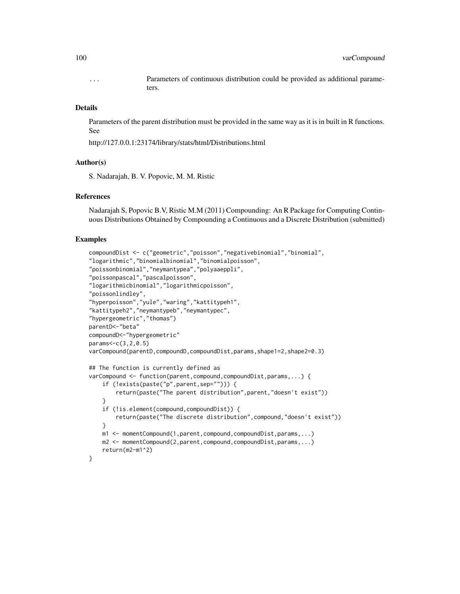... Parameters of continuous distribution could be provided as additional parameters.

## Details

Parameters of the parent distribution must be provided in the same way as it is in built in R functions. See

http://127.0.0.1:23174/library/stats/html/Distributions.html

## Author(s)

S. Nadarajah, B. V. Popovic, M. M. Ristic

## References

Nadarajah S, Popovic B.V, Ristic M.M (2011) Compounding: An R Package for Computing Continuous Distributions Obtained by Compounding a Continuous and a Discrete Distribution (submitted)

```
compoundDist <- c("geometric","poisson","negativebinomial","binomial",
"logarithmic","binomialbinomial","binomialpoisson",
"poissonbinomial","neymantypea","polyaaeppli",
"poissonpascal","pascalpoisson",
"logarithmicbinomial","logarithmicpoisson",
"poissonlindley",
"hyperpoisson","yule","waring","kattitypeh1",
"kattitypeh2","neymantypeb","neymantypec",
"hypergeometric","thomas")
parentD<-"beta"
compoundD<-"hypergeometric"
params<-c(3,2,0.5)
varCompound(parentD,compoundD,compoundDist,params,shape1=2,shape2=0.3)
## The function is currently defined as
varCompound <- function(parent,compound,compoundDist,params,...) {
    if (!exists(paste("p",parent,sep=""))) {
        return(paste("The parent distribution",parent,"doesn't exist"))
    }
    if (!is.element(compound,compoundDist)) {
        return(paste("The discrete distribution",compound,"doesn't exist"))
    }
   m1 <- momentCompound(1,parent,compound,compoundDist,params,...)
   m2 <- momentCompound(2,parent,compound,compoundDist,params,...)
   return(m2-m1^2)
}
```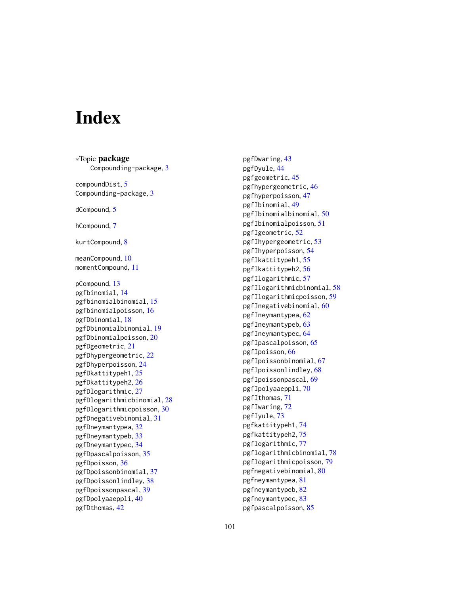# **Index**

∗Topic package Compounding-package, [3](#page-2-0) compoundDist , [5](#page-4-0) Compounding-package, [3](#page-2-0) dCompound , [5](#page-4-0) hCompound , [7](#page-6-0) kurtCompound, [8](#page-7-0) meanCompound , [10](#page-9-0) momentCompound , [11](#page-10-0) pCompound , [13](#page-12-0) pgfbinomial , [14](#page-13-0) pgfbinomialbinomial , [15](#page-14-0) pgfbinomialpoisson , [16](#page-15-0) pgfDbinomial , [18](#page-17-0) pgfDbinomialbinomial , [19](#page-18-0) pgfDbinomialpoisson , [20](#page-19-0) pgfDgeometric , [21](#page-20-0) pgfDhypergeometric , [22](#page-21-0) pgfDhyperpoisson , [24](#page-23-0) pgfDkattitypeh1 , [25](#page-24-0) pgfDkattitypeh2 , [26](#page-25-0) pgfDlogarithmic , [27](#page-26-0) pgfDlogarithmicbinomial , [28](#page-27-0) pgfDlogarithmicpoisson , [30](#page-29-0) pgfDnegativebinomial , [31](#page-30-0) pgfDneymantypea , [32](#page-31-0) pgfDneymantypeb , [33](#page-32-0) pgfDneymantypec , [34](#page-33-0) pgfDpascalpoisson , [35](#page-34-0) pgfDpoisson , [36](#page-35-0) pgfDpoissonbinomial , [37](#page-36-0) pgfDpoissonlindley , [38](#page-37-0) pgfDpoissonpascal , [39](#page-38-0) pgfDpolyaaeppli , [40](#page-39-0) pgfDthomas , [42](#page-41-0)

pgfDwaring , [43](#page-42-0) pgfDyule , [44](#page-43-0) pgfgeometric , [45](#page-44-0) pgfhypergeometric , [46](#page-45-0) pgfhyperpoisson , [47](#page-46-0) pgfIbinomial , [49](#page-48-0) pgfIbinomialbinomial , [50](#page-49-0) pgfIbinomialpoisson , [51](#page-50-0) pgfIgeometric , [52](#page-51-0) pgfIhypergeometric , [53](#page-52-0) pgfIhyperpoisson , [54](#page-53-0) pgfIkattitypeh1 , [55](#page-54-0) pgfIkattitypeh2 , [56](#page-55-0) pgfIlogarithmic , [57](#page-56-0) pgfIlogarithmicbinomial , [58](#page-57-0) pgfIlogarithmicpoisson , [59](#page-58-0) pgfInegativebinomial , [60](#page-59-0) pgfIneymantypea , [62](#page-61-0) pgfIneymantypeb , [63](#page-62-0) pgfIneymantypec , [64](#page-63-0) pgfIpascalpoisson , [65](#page-64-0) pgfIpoisson , [66](#page-65-0) pgfIpoissonbinomial , [67](#page-66-0) pgfIpoissonlindley , [68](#page-67-0) pgfIpoissonpascal , [69](#page-68-0) pgfIpolyaaeppli , [70](#page-69-0) pgfIthomas , [71](#page-70-0) pgfIwaring , [72](#page-71-0) pgfIyule , [73](#page-72-0) pgfkattitypeh1 , [74](#page-73-0) pgfkattitypeh2 , [75](#page-74-0) pgflogarithmic , [77](#page-76-0) pgflogarithmicbinomial , [78](#page-77-0) pgflogarithmicpoisson , [79](#page-78-0) pgfnegativebinomial, [80](#page-79-0) pgfneymantypea , [81](#page-80-0) pgfneymantypeb , [82](#page-81-0) pgfneymantypec , [83](#page-82-0) pgfpascalpoisson , [85](#page-84-0)